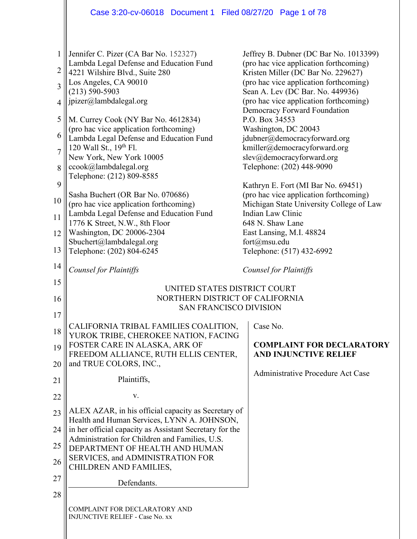|                | Case 3:20-cv-06018 Document 1 Filed 08/27/20 Page 1 of 78                                                 |                                                                                    |
|----------------|-----------------------------------------------------------------------------------------------------------|------------------------------------------------------------------------------------|
|                |                                                                                                           |                                                                                    |
| 1              | Jennifer C. Pizer (CA Bar No. 152327)<br>Lambda Legal Defense and Education Fund                          | Jeffrey B. Dubner (DC Bar No. 1013399)<br>(pro hac vice application forthcoming)   |
| 2              | 4221 Wilshire Blvd., Suite 280<br>Los Angeles, CA 90010                                                   | Kristen Miller (DC Bar No. 229627)<br>(pro hac vice application forthcoming)       |
| $\overline{3}$ | $(213) 590 - 5903$                                                                                        | Sean A. Lev (DC Bar. No. 449936)                                                   |
| 4              | jpizer@lambdalegal.org                                                                                    | (pro hac vice application forthcoming)<br>Democracy Forward Foundation             |
| 5              | M. Currey Cook (NY Bar No. 4612834)<br>(pro hac vice application forthcoming)                             | P.O. Box 34553<br>Washington, DC 20043                                             |
| 6              | Lambda Legal Defense and Education Fund                                                                   | jdubner@democracyforward.org                                                       |
| $\overline{7}$ | 120 Wall St., 19th Fl.                                                                                    | kmiller@democracyforward.org                                                       |
| 8              | New York, New York 10005<br>ccook@lambdalegal.org<br>Telephone: (212) 809-8585                            | slev@democracyforward.org<br>Telephone: (202) 448-9090                             |
| 9              |                                                                                                           | Kathryn E. Fort (MI Bar No. 69451)                                                 |
| 10             | Sasha Buchert (OR Bar No. 070686)<br>(pro hac vice application forthcoming)                               | (pro hac vice application forthcoming)<br>Michigan State University College of Law |
| 11             | Lambda Legal Defense and Education Fund                                                                   | Indian Law Clinic                                                                  |
|                | 1776 K Street, N.W., 8th Floor                                                                            | 648 N. Shaw Lane                                                                   |
| 12             | Washington, DC 20006-2304<br>Sbuchert@lambdalegal.org                                                     | East Lansing, M.I. 48824<br>fort@msu.edu                                           |
| 13             | Telephone: (202) 804-6245                                                                                 | Telephone: (517) 432-6992                                                          |
| 14             | <b>Counsel for Plaintiffs</b>                                                                             | Counsel for Plaintiffs                                                             |
| 15             | UNITED STATES DISTRICT COURT                                                                              |                                                                                    |
| 16             | NORTHERN DISTRICT OF CALIFORNIA<br><b>SAN FRANCISCO DIVISION</b>                                          |                                                                                    |
| 17             |                                                                                                           |                                                                                    |
| 18             | CALIFORNIA TRIBAL FAMILIES COALITION,<br>YUROK TRIBE, CHEROKEE NATION, FACING                             | Case No.                                                                           |
| 19             | FOSTER CARE IN ALASKA, ARK OF                                                                             | <b>COMPLAINT FOR DECLARATORY</b>                                                   |
| 20             | FREEDOM ALLIANCE, RUTH ELLIS CENTER,<br>and TRUE COLORS, INC.,                                            | <b>AND INJUNCTIVE RELIEF</b>                                                       |
|                | Plaintiffs,                                                                                               | Administrative Procedure Act Case                                                  |
| 21             | V.                                                                                                        |                                                                                    |
| 22             | ALEX AZAR, in his official capacity as Secretary of                                                       |                                                                                    |
| 23             | Health and Human Services, LYNN A. JOHNSON,                                                               |                                                                                    |
| 24             | in her official capacity as Assistant Secretary for the<br>Administration for Children and Families, U.S. |                                                                                    |
| 25             | DEPARTMENT OF HEALTH AND HUMAN                                                                            |                                                                                    |
| 26             | SERVICES, and ADMINISTRATION FOR<br>CHILDREN AND FAMILIES,                                                |                                                                                    |
| 27             | Defendants.                                                                                               |                                                                                    |
| 28             |                                                                                                           |                                                                                    |
|                | COMPLAINT FOR DECLARATORY AND<br><b>INJUNCTIVE RELIEF - Case No. xx</b>                                   |                                                                                    |
|                |                                                                                                           |                                                                                    |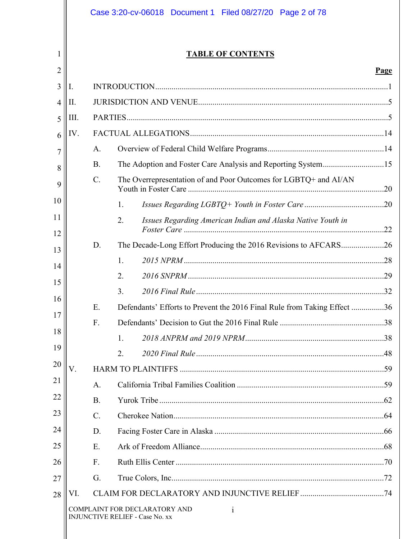|          |      |                 | Case 3:20-cv-06018 Document 1 Filed 08/27/20 Page 2 of 78                               |      |
|----------|------|-----------------|-----------------------------------------------------------------------------------------|------|
| 1        |      |                 | <b>TABLE OF CONTENTS</b>                                                                |      |
| 2        |      |                 |                                                                                         | Page |
| 3        | I.   |                 |                                                                                         |      |
| 4        | Π.   |                 |                                                                                         |      |
| 5        | III. |                 |                                                                                         |      |
| 6        | IV.  |                 |                                                                                         |      |
| 7        |      | A.              |                                                                                         |      |
| 8        |      | <b>B.</b>       | The Adoption and Foster Care Analysis and Reporting System15                            |      |
| 9        |      | $\mathcal{C}$ . | The Overrepresentation of and Poor Outcomes for LGBTQ+ and AI/AN                        |      |
| 10       |      |                 | 1.                                                                                      |      |
| 11<br>12 |      |                 | Issues Regarding American Indian and Alaska Native Youth in<br>2.                       |      |
| 13       |      | D.              | The Decade-Long Effort Producing the 2016 Revisions to AFCARS26                         |      |
| 14       |      |                 | $\mathbf{1}$ .                                                                          |      |
| 15       |      |                 | 2.                                                                                      |      |
| 16       |      |                 | 3.                                                                                      |      |
| 17       |      | Ε.              | Defendants' Efforts to Prevent the 2016 Final Rule from Taking Effect 36                |      |
| 18       |      | F.              |                                                                                         |      |
|          |      |                 | 1.                                                                                      |      |
| 19       |      |                 | 2.                                                                                      |      |
| 20       | V.   |                 |                                                                                         |      |
| 21       |      | A.              |                                                                                         |      |
| 22       |      | <b>B.</b>       |                                                                                         |      |
| 23       |      | $\mathcal{C}$ . |                                                                                         |      |
| 24       |      | D.              |                                                                                         |      |
| 25       |      | E.              |                                                                                         |      |
| 26       |      | F <sub>1</sub>  |                                                                                         |      |
| 27       |      | G.              |                                                                                         |      |
| 28       | VI.  |                 |                                                                                         |      |
|          |      |                 | COMPLAINT FOR DECLARATORY AND<br>$\mathbf{i}$<br><b>INJUNCTIVE RELIEF - Case No. xx</b> |      |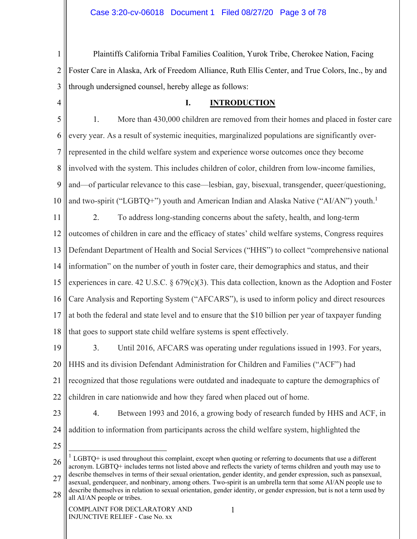1 2 3 Plaintiffs California Tribal Families Coalition, Yurok Tribe, Cherokee Nation, Facing Foster Care in Alaska, Ark of Freedom Alliance, Ruth Ellis Center, and True Colors, Inc., by and through undersigned counsel, hereby allege as follows:

4

## **I. INTRODUCTION**

5 6 7 8 9 10 1. More than 430,000 children are removed from their homes and placed in foster care every year. As a result of systemic inequities, marginalized populations are significantly overrepresented in the child welfare system and experience worse outcomes once they become involved with the system. This includes children of color, children from low-income families, and—of particular relevance to this case—lesbian, gay, bisexual, transgender, queer/questioning, and two-spirit ("LGBTQ+") youth and American Indian and Alaska Native ("AI/AN") youth.<sup>1</sup>

11 12 13 14 15 16 17 18 2. To address long-standing concerns about the safety, health, and long-term outcomes of children in care and the efficacy of states' child welfare systems, Congress requires Defendant Department of Health and Social Services ("HHS") to collect "comprehensive national information" on the number of youth in foster care, their demographics and status, and their experiences in care. 42 U.S.C. § 679(c)(3). This data collection, known as the Adoption and Foster Care Analysis and Reporting System ("AFCARS"), is used to inform policy and direct resources at both the federal and state level and to ensure that the \$10 billion per year of taxpayer funding that goes to support state child welfare systems is spent effectively.

19 20 21 22 3. Until 2016, AFCARS was operating under regulations issued in 1993. For years, HHS and its division Defendant Administration for Children and Families ("ACF") had recognized that those regulations were outdated and inadequate to capture the demographics of children in care nationwide and how they fared when placed out of home.

23

4. Between 1993 and 2016, a growing body of research funded by HHS and ACF, in addition to information from participants across the child welfare system, highlighted the

25

24

26 27  $1$  LGBTQ+ is used throughout this complaint, except when quoting or referring to documents that use a different acronym. LGBTQ+ includes terms not listed above and reflects the variety of terms children and youth may use to describe themselves in terms of their sexual orientation, gender identity, and gender expression, such as pansexual, asexual, genderqueer, and nonbinary, among others. Two-spirit is an umbrella term that some AI/AN people use to describe themselves in relation to sexual orientation, gender identity, or gender expression, but is not a term used by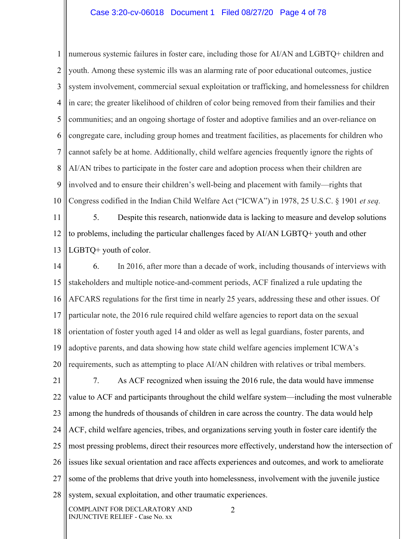#### Case 3:20-cv-06018 Document 1 Filed 08/27/20 Page 4 of 78

1 2 3 4 5 6 7 8 9 10 numerous systemic failures in foster care, including those for AI/AN and LGBTQ+ children and youth. Among these systemic ills was an alarming rate of poor educational outcomes, justice system involvement, commercial sexual exploitation or trafficking, and homelessness for children in care; the greater likelihood of children of color being removed from their families and their communities; and an ongoing shortage of foster and adoptive families and an over-reliance on congregate care, including group homes and treatment facilities, as placements for children who cannot safely be at home. Additionally, child welfare agencies frequently ignore the rights of AI/AN tribes to participate in the foster care and adoption process when their children are involved and to ensure their children's well-being and placement with family—rights that Congress codified in the Indian Child Welfare Act ("ICWA") in 1978, 25 U.S.C. § 1901 *et seq.* 

11 12 13 5. Despite this research, nationwide data is lacking to measure and develop solutions to problems, including the particular challenges faced by AI/AN LGBTQ+ youth and other LGBTQ+ youth of color.

14 15 16 17 18 19 20 6. In 2016, after more than a decade of work, including thousands of interviews with stakeholders and multiple notice-and-comment periods, ACF finalized a rule updating the AFCARS regulations for the first time in nearly 25 years, addressing these and other issues. Of particular note, the 2016 rule required child welfare agencies to report data on the sexual orientation of foster youth aged 14 and older as well as legal guardians, foster parents, and adoptive parents, and data showing how state child welfare agencies implement ICWA's requirements, such as attempting to place AI/AN children with relatives or tribal members.

21 22 23 24 25 26 27 28 7. As ACF recognized when issuing the 2016 rule, the data would have immense value to ACF and participants throughout the child welfare system—including the most vulnerable among the hundreds of thousands of children in care across the country. The data would help ACF, child welfare agencies, tribes, and organizations serving youth in foster care identify the most pressing problems, direct their resources more effectively, understand how the intersection of issues like sexual orientation and race affects experiences and outcomes, and work to ameliorate some of the problems that drive youth into homelessness, involvement with the juvenile justice system, sexual exploitation, and other traumatic experiences.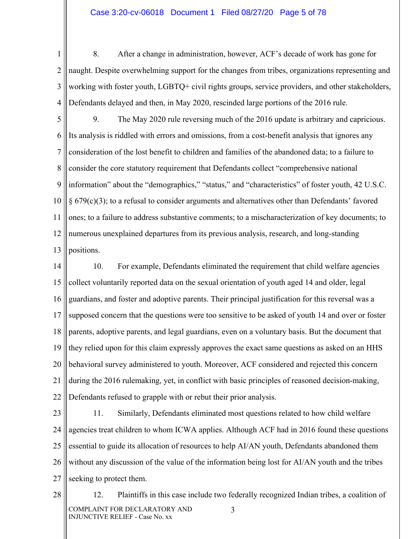#### Case 3:20-cv-06018 Document 1 Filed 08/27/20 Page 5 of 78

1 2 3 4 8. After a change in administration, however, ACF's decade of work has gone for naught. Despite overwhelming support for the changes from tribes, organizations representing and working with foster youth, LGBTQ+ civil rights groups, service providers, and other stakeholders, Defendants delayed and then, in May 2020, rescinded large portions of the 2016 rule.

5 6 7 8 9 10 11 12 13 9. The May 2020 rule reversing much of the 2016 update is arbitrary and capricious. Its analysis is riddled with errors and omissions, from a cost-benefit analysis that ignores any consideration of the lost benefit to children and families of the abandoned data; to a failure to consider the core statutory requirement that Defendants collect "comprehensive national information" about the "demographics," "status," and "characteristics" of foster youth, 42 U.S.C.  $§ 679(c)(3);$  to a refusal to consider arguments and alternatives other than Defendants' favored ones; to a failure to address substantive comments; to a mischaracterization of key documents; to numerous unexplained departures from its previous analysis, research, and long-standing positions.

14 15 16 17 18 19 20 21 22 10. For example, Defendants eliminated the requirement that child welfare agencies collect voluntarily reported data on the sexual orientation of youth aged 14 and older, legal guardians, and foster and adoptive parents. Their principal justification for this reversal was a supposed concern that the questions were too sensitive to be asked of youth 14 and over or foster parents, adoptive parents, and legal guardians, even on a voluntary basis. But the document that they relied upon for this claim expressly approves the exact same questions as asked on an HHS behavioral survey administered to youth. Moreover, ACF considered and rejected this concern during the 2016 rulemaking, yet, in conflict with basic principles of reasoned decision-making, Defendants refused to grapple with or rebut their prior analysis.

23 24 25 26 27 11. Similarly, Defendants eliminated most questions related to how child welfare agencies treat children to whom ICWA applies. Although ACF had in 2016 found these questions essential to guide its allocation of resources to help AI/AN youth, Defendants abandoned them without any discussion of the value of the information being lost for AI/AN youth and the tribes seeking to protect them.

28 COMPLAINT FOR DECLARATORY AND INJUNCTIVE RELIEF - Case No. xx 3 12. Plaintiffs in this case include two federally recognized Indian tribes, a coalition of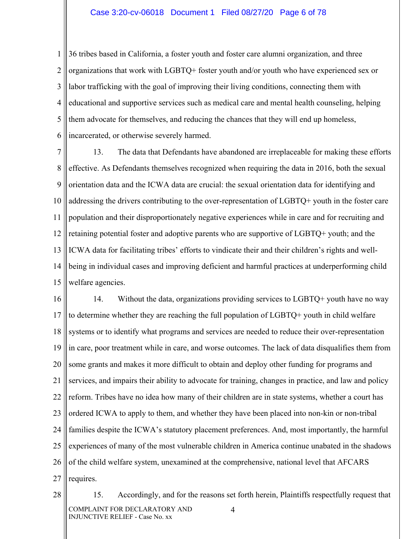#### Case 3:20-cv-06018 Document 1 Filed 08/27/20 Page 6 of 78

1 2 3 4 5 6 36 tribes based in California, a foster youth and foster care alumni organization, and three organizations that work with LGBTQ+ foster youth and/or youth who have experienced sex or labor trafficking with the goal of improving their living conditions, connecting them with educational and supportive services such as medical care and mental health counseling, helping them advocate for themselves, and reducing the chances that they will end up homeless, incarcerated, or otherwise severely harmed.

7 8 9 10 11 12 13 14 15 13. The data that Defendants have abandoned are irreplaceable for making these efforts effective. As Defendants themselves recognized when requiring the data in 2016, both the sexual orientation data and the ICWA data are crucial: the sexual orientation data for identifying and addressing the drivers contributing to the over-representation of LGBTQ+ youth in the foster care population and their disproportionately negative experiences while in care and for recruiting and retaining potential foster and adoptive parents who are supportive of LGBTQ+ youth; and the ICWA data for facilitating tribes' efforts to vindicate their and their children's rights and wellbeing in individual cases and improving deficient and harmful practices at underperforming child welfare agencies.

16 17 18 19 20 21 22 23 24 25 26 27 14. Without the data, organizations providing services to LGBTQ+ youth have no way to determine whether they are reaching the full population of LGBTQ+ youth in child welfare systems or to identify what programs and services are needed to reduce their over-representation in care, poor treatment while in care, and worse outcomes. The lack of data disqualifies them from some grants and makes it more difficult to obtain and deploy other funding for programs and services, and impairs their ability to advocate for training, changes in practice, and law and policy reform. Tribes have no idea how many of their children are in state systems, whether a court has ordered ICWA to apply to them, and whether they have been placed into non-kin or non-tribal families despite the ICWA's statutory placement preferences. And, most importantly, the harmful experiences of many of the most vulnerable children in America continue unabated in the shadows of the child welfare system, unexamined at the comprehensive, national level that AFCARS requires.

28 COMPLAINT FOR DECLARATORY AND INJUNCTIVE RELIEF - Case No. xx 4 15. Accordingly, and for the reasons set forth herein, Plaintiffs respectfully request that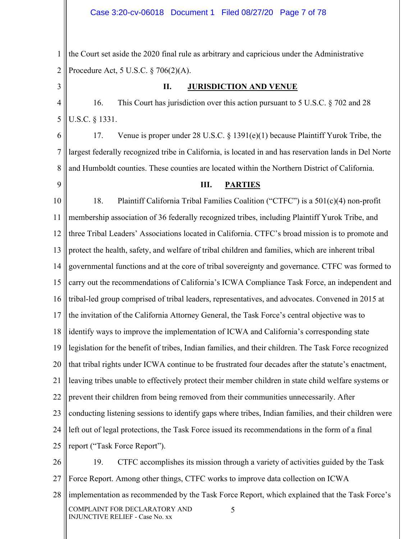1 2 the Court set aside the 2020 final rule as arbitrary and capricious under the Administrative Procedure Act, 5 U.S.C. § 706(2)(A).

3

### **II. JURISDICTION AND VENUE**

4 5 16. This Court has jurisdiction over this action pursuant to 5 U.S.C. § 702 and 28 U.S.C. § 1331.

6 7 8 17. Venue is proper under 28 U.S.C. § 1391(e)(1) because Plaintiff Yurok Tribe, the largest federally recognized tribe in California, is located in and has reservation lands in Del Norte and Humboldt counties. These counties are located within the Northern District of California.

9

INJUNCTIVE RELIEF - Case No. xx

### **III. PARTIES**

10 11 12 13 14 15 16 17 18 19 20 21 22 23 24 25 26 27 28 COMPLAINT FOR DECLARATORY AND 5 18. Plaintiff California Tribal Families Coalition ("CTFC") is a 501(c)(4) non-profit membership association of 36 federally recognized tribes, including Plaintiff Yurok Tribe, and three Tribal Leaders' Associations located in California. CTFC's broad mission is to promote and protect the health, safety, and welfare of tribal children and families, which are inherent tribal governmental functions and at the core of tribal sovereignty and governance. CTFC was formed to carry out the recommendations of California's ICWA Compliance Task Force, an independent and tribal-led group comprised of tribal leaders, representatives, and advocates. Convened in 2015 at the invitation of the California Attorney General, the Task Force's central objective was to identify ways to improve the implementation of ICWA and California's corresponding state legislation for the benefit of tribes, Indian families, and their children. The Task Force recognized that tribal rights under ICWA continue to be frustrated four decades after the statute's enactment, leaving tribes unable to effectively protect their member children in state child welfare systems or prevent their children from being removed from their communities unnecessarily. After conducting listening sessions to identify gaps where tribes, Indian families, and their children were left out of legal protections, the Task Force issued its recommendations in the form of a final report ("Task Force Report"). 19. CTFC accomplishes its mission through a variety of activities guided by the Task Force Report. Among other things, CTFC works to improve data collection on ICWA implementation as recommended by the Task Force Report, which explained that the Task Force's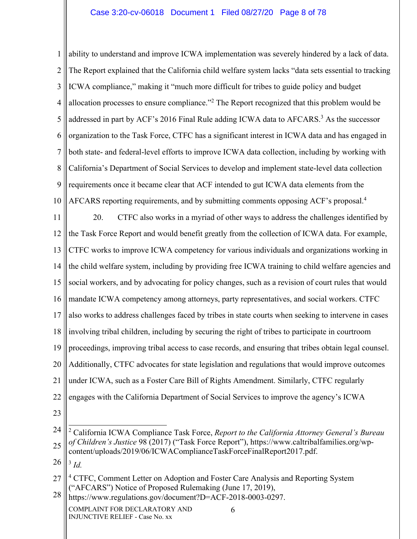### Case 3:20-cv-06018 Document 1 Filed 08/27/20 Page 8 of 78

1 2 3 4 5 6 7 8 9 10 ability to understand and improve ICWA implementation was severely hindered by a lack of data. The Report explained that the California child welfare system lacks "data sets essential to tracking ICWA compliance," making it "much more difficult for tribes to guide policy and budget allocation processes to ensure compliance."<sup>2</sup> The Report recognized that this problem would be addressed in part by ACF's 2016 Final Rule adding ICWA data to AFCARS.<sup>3</sup> As the successor organization to the Task Force, CTFC has a significant interest in ICWA data and has engaged in both state- and federal-level efforts to improve ICWA data collection, including by working with California's Department of Social Services to develop and implement state-level data collection requirements once it became clear that ACF intended to gut ICWA data elements from the AFCARS reporting requirements, and by submitting comments opposing ACF's proposal.4

11 12 13 14 15 16 17 18 19 20 21 22 20. CTFC also works in a myriad of other ways to address the challenges identified by the Task Force Report and would benefit greatly from the collection of ICWA data. For example, CTFC works to improve ICWA competency for various individuals and organizations working in the child welfare system, including by providing free ICWA training to child welfare agencies and social workers, and by advocating for policy changes, such as a revision of court rules that would mandate ICWA competency among attorneys, party representatives, and social workers. CTFC also works to address challenges faced by tribes in state courts when seeking to intervene in cases involving tribal children, including by securing the right of tribes to participate in courtroom proceedings, improving tribal access to case records, and ensuring that tribes obtain legal counsel. Additionally, CTFC advocates for state legislation and regulations that would improve outcomes under ICWA, such as a Foster Care Bill of Rights Amendment. Similarly, CTFC regularly engages with the California Department of Social Services to improve the agency's ICWA

23

26 <sup>3</sup> *Id.*

28 https://www.regulations.gov/document?D=ACF-2018-0003-0297.

<sup>24</sup> 25 2 California ICWA Compliance Task Force, *Report to the California Attorney General's Bureau of Children's Justice* 98 (2017) ("Task Force Report"), https://www.caltribalfamilies.org/wpcontent/uploads/2019/06/ICWAComplianceTaskForceFinalReport2017.pdf.

<sup>27</sup> <sup>4</sup> CTFC, Comment Letter on Adoption and Foster Care Analysis and Reporting System ("AFCARS") Notice of Proposed Rulemaking (June 17, 2019),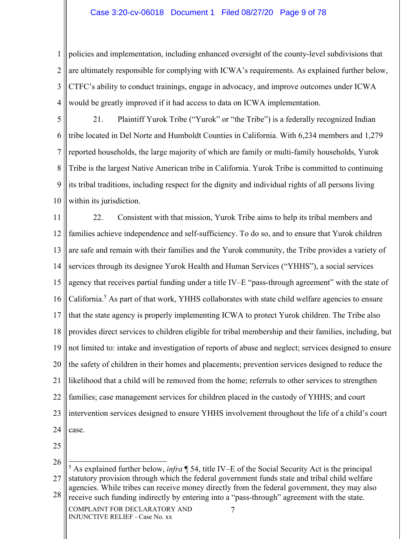### Case 3:20-cv-06018 Document 1 Filed 08/27/20 Page 9 of 78

1 2 3 4 policies and implementation, including enhanced oversight of the county-level subdivisions that are ultimately responsible for complying with ICWA's requirements. As explained further below, CTFC's ability to conduct trainings, engage in advocacy, and improve outcomes under ICWA would be greatly improved if it had access to data on ICWA implementation.

5 6 7 8 9 10 21. Plaintiff Yurok Tribe ("Yurok" or "the Tribe") is a federally recognized Indian tribe located in Del Norte and Humboldt Counties in California. With 6,234 members and 1,279 reported households, the large majority of which are family or multi-family households, Yurok Tribe is the largest Native American tribe in California. Yurok Tribe is committed to continuing its tribal traditions, including respect for the dignity and individual rights of all persons living within its jurisdiction.

11 12 13 14 15 16 17 18 19 20 21 22 23 24 22. Consistent with that mission, Yurok Tribe aims to help its tribal members and families achieve independence and self-sufficiency. To do so, and to ensure that Yurok children are safe and remain with their families and the Yurok community, the Tribe provides a variety of services through its designee Yurok Health and Human Services ("YHHS"), a social services agency that receives partial funding under a title IV–E "pass-through agreement" with the state of California.<sup>5</sup> As part of that work, YHHS collaborates with state child welfare agencies to ensure that the state agency is properly implementing ICWA to protect Yurok children. The Tribe also provides direct services to children eligible for tribal membership and their families, including, but not limited to: intake and investigation of reports of abuse and neglect; services designed to ensure the safety of children in their homes and placements; prevention services designed to reduce the likelihood that a child will be removed from the home; referrals to other services to strengthen families; case management services for children placed in the custody of YHHS; and court intervention services designed to ensure YHHS involvement throughout the life of a child's court case.

25

26

27 28 5 As explained further below, *infra* ¶ 54, title IV–E of the Social Security Act is the principal statutory provision through which the federal government funds state and tribal child welfare agencies. While tribes can receive money directly from the federal government, they may also receive such funding indirectly by entering into a "pass-through" agreement with the state.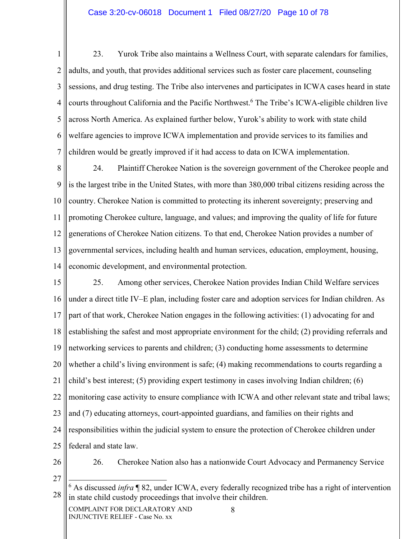### Case 3:20-cv-06018 Document 1 Filed 08/27/20 Page 10 of 78

1 2 3 4 5 6 7 23. Yurok Tribe also maintains a Wellness Court, with separate calendars for families, adults, and youth, that provides additional services such as foster care placement, counseling sessions, and drug testing. The Tribe also intervenes and participates in ICWA cases heard in state courts throughout California and the Pacific Northwest.<sup>6</sup> The Tribe's ICWA-eligible children live across North America. As explained further below, Yurok's ability to work with state child welfare agencies to improve ICWA implementation and provide services to its families and children would be greatly improved if it had access to data on ICWA implementation.

8 9 10 11 12 13 14 24. Plaintiff Cherokee Nation is the sovereign government of the Cherokee people and is the largest tribe in the United States, with more than 380,000 tribal citizens residing across the country. Cherokee Nation is committed to protecting its inherent sovereignty; preserving and promoting Cherokee culture, language, and values; and improving the quality of life for future generations of Cherokee Nation citizens. To that end, Cherokee Nation provides a number of governmental services, including health and human services, education, employment, housing, economic development, and environmental protection.

15 16 17 18 19 20 21 22 23 24 25 25. Among other services, Cherokee Nation provides Indian Child Welfare services under a direct title IV–E plan, including foster care and adoption services for Indian children. As part of that work, Cherokee Nation engages in the following activities: (1) advocating for and establishing the safest and most appropriate environment for the child; (2) providing referrals and networking services to parents and children; (3) conducting home assessments to determine whether a child's living environment is safe; (4) making recommendations to courts regarding a child's best interest; (5) providing expert testimony in cases involving Indian children; (6) monitoring case activity to ensure compliance with ICWA and other relevant state and tribal laws; and (7) educating attorneys, court-appointed guardians, and families on their rights and responsibilities within the judicial system to ensure the protection of Cherokee children under federal and state law.

26

26. Cherokee Nation also has a nationwide Court Advocacy and Permanency Service

27

28 6 As discussed *infra* ¶ 82, under ICWA, every federally recognized tribe has a right of intervention in state child custody proceedings that involve their children.

COMPLAINT FOR DECLARATORY AND INJUNCTIVE RELIEF - Case No. xx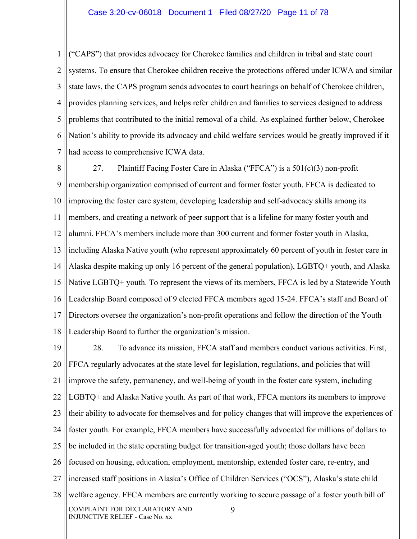1 2 3 4 5 6 7 ("CAPS") that provides advocacy for Cherokee families and children in tribal and state court systems. To ensure that Cherokee children receive the protections offered under ICWA and similar state laws, the CAPS program sends advocates to court hearings on behalf of Cherokee children, provides planning services, and helps refer children and families to services designed to address problems that contributed to the initial removal of a child. As explained further below, Cherokee Nation's ability to provide its advocacy and child welfare services would be greatly improved if it had access to comprehensive ICWA data.

8 9 10 11 12 13 14 15 16 17 18 27. Plaintiff Facing Foster Care in Alaska ("FFCA") is a 501(c)(3) non-profit membership organization comprised of current and former foster youth. FFCA is dedicated to improving the foster care system, developing leadership and self-advocacy skills among its members, and creating a network of peer support that is a lifeline for many foster youth and alumni. FFCA's members include more than 300 current and former foster youth in Alaska, including Alaska Native youth (who represent approximately 60 percent of youth in foster care in Alaska despite making up only 16 percent of the general population), LGBTQ+ youth, and Alaska Native LGBTQ+ youth. To represent the views of its members, FFCA is led by a Statewide Youth Leadership Board composed of 9 elected FFCA members aged 15-24. FFCA's staff and Board of Directors oversee the organization's non-profit operations and follow the direction of the Youth Leadership Board to further the organization's mission.

19 20 21 22 23 24 25 26 27 28 COMPLAINT FOR DECLARATORY AND INJUNCTIVE RELIEF - Case No. xx 9 28. To advance its mission, FFCA staff and members conduct various activities. First, FFCA regularly advocates at the state level for legislation, regulations, and policies that will improve the safety, permanency, and well-being of youth in the foster care system, including LGBTQ+ and Alaska Native youth. As part of that work, FFCA mentors its members to improve their ability to advocate for themselves and for policy changes that will improve the experiences of foster youth. For example, FFCA members have successfully advocated for millions of dollars to be included in the state operating budget for transition-aged youth; those dollars have been focused on housing, education, employment, mentorship, extended foster care, re-entry, and increased staff positions in Alaska's Office of Children Services ("OCS"), Alaska's state child welfare agency. FFCA members are currently working to secure passage of a foster youth bill of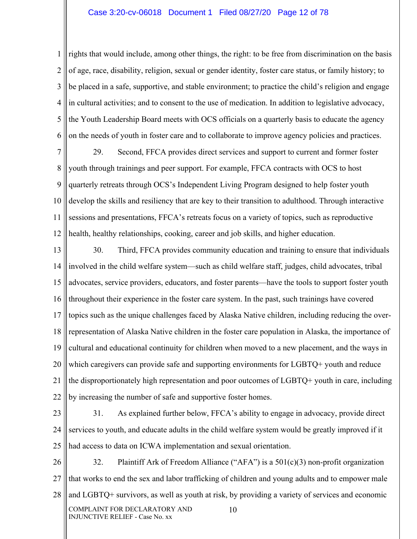### Case 3:20-cv-06018 Document 1 Filed 08/27/20 Page 12 of 78

1 2 3 4 5 6 rights that would include, among other things, the right: to be free from discrimination on the basis of age, race, disability, religion, sexual or gender identity, foster care status, or family history; to be placed in a safe, supportive, and stable environment; to practice the child's religion and engage in cultural activities; and to consent to the use of medication. In addition to legislative advocacy, the Youth Leadership Board meets with OCS officials on a quarterly basis to educate the agency on the needs of youth in foster care and to collaborate to improve agency policies and practices.

7 8 9 10 11 12 29. Second, FFCA provides direct services and support to current and former foster youth through trainings and peer support. For example, FFCA contracts with OCS to host quarterly retreats through OCS's Independent Living Program designed to help foster youth develop the skills and resiliency that are key to their transition to adulthood. Through interactive sessions and presentations, FFCA's retreats focus on a variety of topics, such as reproductive health, healthy relationships, cooking, career and job skills, and higher education.

13 14 15 16 17 18 19 20 21 22 30. Third, FFCA provides community education and training to ensure that individuals involved in the child welfare system—such as child welfare staff, judges, child advocates, tribal advocates, service providers, educators, and foster parents—have the tools to support foster youth throughout their experience in the foster care system. In the past, such trainings have covered topics such as the unique challenges faced by Alaska Native children, including reducing the overrepresentation of Alaska Native children in the foster care population in Alaska, the importance of cultural and educational continuity for children when moved to a new placement, and the ways in which caregivers can provide safe and supporting environments for LGBTQ+ youth and reduce the disproportionately high representation and poor outcomes of LGBTQ+ youth in care, including by increasing the number of safe and supportive foster homes.

23

24 25 31. As explained further below, FFCA's ability to engage in advocacy, provide direct services to youth, and educate adults in the child welfare system would be greatly improved if it had access to data on ICWA implementation and sexual orientation.

26 27 28 COMPLAINT FOR DECLARATORY AND INJUNCTIVE RELIEF - Case No. xx 10 32. Plaintiff Ark of Freedom Alliance ("AFA") is a 501(c)(3) non-profit organization that works to end the sex and labor trafficking of children and young adults and to empower male and LGBTQ+ survivors, as well as youth at risk, by providing a variety of services and economic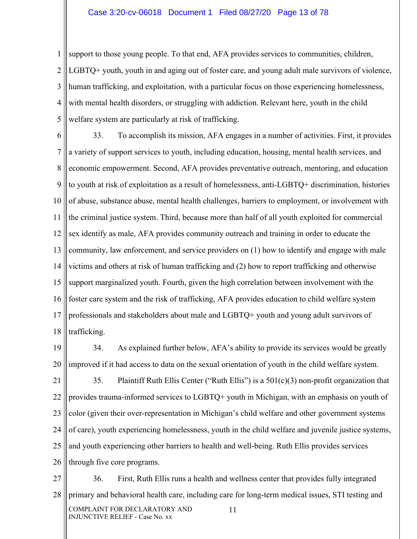1 2 3 4 5 support to those young people. To that end, AFA provides services to communities, children, LGBTQ+ youth, youth in and aging out of foster care, and young adult male survivors of violence, human trafficking, and exploitation, with a particular focus on those experiencing homelessness, with mental health disorders, or struggling with addiction. Relevant here, youth in the child welfare system are particularly at risk of trafficking.

6 7 8 9 10 11 12 13 14 15 16 17 18 33. To accomplish its mission, AFA engages in a number of activities. First, it provides a variety of support services to youth, including education, housing, mental health services, and economic empowerment. Second, AFA provides preventative outreach, mentoring, and education to youth at risk of exploitation as a result of homelessness, anti-LGBTQ+ discrimination, histories of abuse, substance abuse, mental health challenges, barriers to employment, or involvement with the criminal justice system. Third, because more than half of all youth exploited for commercial sex identify as male, AFA provides community outreach and training in order to educate the community, law enforcement, and service providers on (1) how to identify and engage with male victims and others at risk of human trafficking and (2) how to report trafficking and otherwise support marginalized youth. Fourth, given the high correlation between involvement with the foster care system and the risk of trafficking, AFA provides education to child welfare system professionals and stakeholders about male and LGBTQ+ youth and young adult survivors of trafficking.

19 20 34. As explained further below, AFA's ability to provide its services would be greatly improved if it had access to data on the sexual orientation of youth in the child welfare system.

21 22 23 24 25 26 35. Plaintiff Ruth Ellis Center ("Ruth Ellis") is a  $501(c)(3)$  non-profit organization that provides trauma-informed services to LGBTQ+ youth in Michigan, with an emphasis on youth of color (given their over-representation in Michigan's child welfare and other government systems of care), youth experiencing homelessness, youth in the child welfare and juvenile justice systems, and youth experiencing other barriers to health and well-being. Ruth Ellis provides services through five core programs.

27 28 COMPLAINT FOR DECLARATORY AND INJUNCTIVE RELIEF - Case No. xx 11 36. First, Ruth Ellis runs a health and wellness center that provides fully integrated primary and behavioral health care, including care for long-term medical issues, STI testing and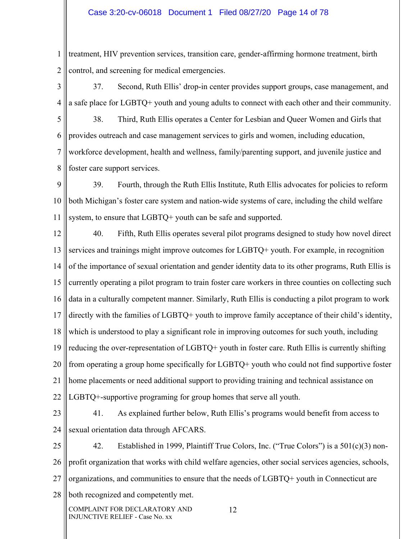### Case 3:20-cv-06018 Document 1 Filed 08/27/20 Page 14 of 78

1 2 treatment, HIV prevention services, transition care, gender-affirming hormone treatment, birth control, and screening for medical emergencies.

3 4 37. Second, Ruth Ellis' drop-in center provides support groups, case management, and a safe place for LGBTQ+ youth and young adults to connect with each other and their community.

5 6 7 8 38. Third, Ruth Ellis operates a Center for Lesbian and Queer Women and Girls that provides outreach and case management services to girls and women, including education, workforce development, health and wellness, family/parenting support, and juvenile justice and foster care support services.

9 10 11 39. Fourth, through the Ruth Ellis Institute, Ruth Ellis advocates for policies to reform both Michigan's foster care system and nation-wide systems of care, including the child welfare system, to ensure that LGBTQ+ youth can be safe and supported.

12 13 14 15 16 17 18 19 20 21 22 40. Fifth, Ruth Ellis operates several pilot programs designed to study how novel direct services and trainings might improve outcomes for LGBTQ+ youth. For example, in recognition of the importance of sexual orientation and gender identity data to its other programs, Ruth Ellis is currently operating a pilot program to train foster care workers in three counties on collecting such data in a culturally competent manner. Similarly, Ruth Ellis is conducting a pilot program to work directly with the families of LGBTQ+ youth to improve family acceptance of their child's identity, which is understood to play a significant role in improving outcomes for such youth, including reducing the over-representation of LGBTQ+ youth in foster care. Ruth Ellis is currently shifting from operating a group home specifically for LGBTQ+ youth who could not find supportive foster home placements or need additional support to providing training and technical assistance on LGBTQ+-supportive programing for group homes that serve all youth.

23

24

41. As explained further below, Ruth Ellis's programs would benefit from access to sexual orientation data through AFCARS.

25 26 27 28 42. Established in 1999, Plaintiff True Colors, Inc. ("True Colors") is a 501(c)(3) nonprofit organization that works with child welfare agencies, other social services agencies, schools, organizations, and communities to ensure that the needs of LGBTQ+ youth in Connecticut are both recognized and competently met.

COMPLAINT FOR DECLARATORY AND INJUNCTIVE RELIEF - Case No. xx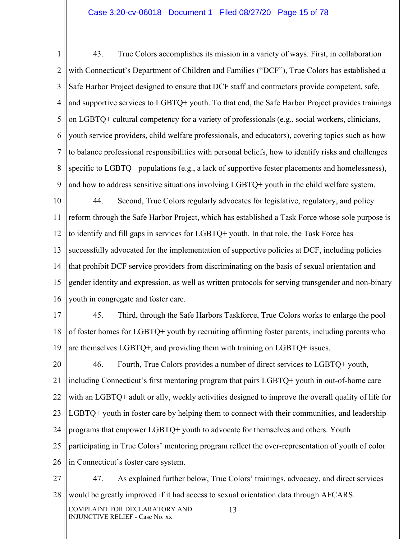### Case 3:20-cv-06018 Document 1 Filed 08/27/20 Page 15 of 78

1 2 3 4 5 6 7 8 9 43. True Colors accomplishes its mission in a variety of ways. First, in collaboration with Connecticut's Department of Children and Families ("DCF"), True Colors has established a Safe Harbor Project designed to ensure that DCF staff and contractors provide competent, safe, and supportive services to LGBTQ+ youth. To that end, the Safe Harbor Project provides trainings on LGBTQ+ cultural competency for a variety of professionals (e.g., social workers, clinicians, youth service providers, child welfare professionals, and educators), covering topics such as how to balance professional responsibilities with personal beliefs, how to identify risks and challenges specific to LGBTQ+ populations (e.g., a lack of supportive foster placements and homelessness), and how to address sensitive situations involving LGBTQ+ youth in the child welfare system.

10 11 12 13 14 15 16 44. Second, True Colors regularly advocates for legislative, regulatory, and policy reform through the Safe Harbor Project, which has established a Task Force whose sole purpose is to identify and fill gaps in services for LGBTQ+ youth. In that role, the Task Force has successfully advocated for the implementation of supportive policies at DCF, including policies that prohibit DCF service providers from discriminating on the basis of sexual orientation and gender identity and expression, as well as written protocols for serving transgender and non-binary youth in congregate and foster care.

17 18 19 45. Third, through the Safe Harbors Taskforce, True Colors works to enlarge the pool of foster homes for LGBTQ+ youth by recruiting affirming foster parents, including parents who are themselves LGBTQ+, and providing them with training on LGBTQ+ issues.

20 21 22 23 24 25 26 46. Fourth, True Colors provides a number of direct services to LGBTQ+ youth, including Connecticut's first mentoring program that pairs LGBTQ+ youth in out-of-home care with an LGBTQ+ adult or ally, weekly activities designed to improve the overall quality of life for LGBTQ+ youth in foster care by helping them to connect with their communities, and leadership programs that empower LGBTQ+ youth to advocate for themselves and others. Youth participating in True Colors' mentoring program reflect the over-representation of youth of color in Connecticut's foster care system.

27 28 47. As explained further below, True Colors' trainings, advocacy, and direct services would be greatly improved if it had access to sexual orientation data through AFCARS.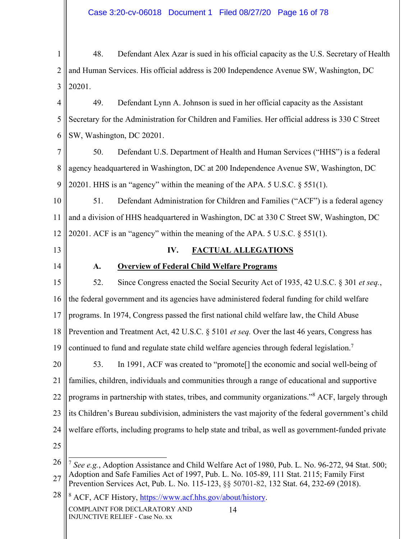1 2 3 48. Defendant Alex Azar is sued in his official capacity as the U.S. Secretary of Health and Human Services. His official address is 200 Independence Avenue SW, Washington, DC 20201.

4 5 6 49. Defendant Lynn A. Johnson is sued in her official capacity as the Assistant Secretary for the Administration for Children and Families. Her official address is 330 C Street SW, Washington, DC 20201.

7 8 9 50. Defendant U.S. Department of Health and Human Services ("HHS") is a federal agency headquartered in Washington, DC at 200 Independence Avenue SW, Washington, DC 20201. HHS is an "agency" within the meaning of the APA. 5 U.S.C. § 551(1).

10 11 12 51. Defendant Administration for Children and Families ("ACF") is a federal agency and a division of HHS headquartered in Washington, DC at 330 C Street SW, Washington, DC 20201. ACF is an "agency" within the meaning of the APA. 5 U.S.C. § 551(1).

13

14

### **IV. FACTUAL ALLEGATIONS**

# **A. Overview of Federal Child Welfare Programs**

15 16 17 18 19 52. Since Congress enacted the Social Security Act of 1935, 42 U.S.C. § 301 *et seq.*, the federal government and its agencies have administered federal funding for child welfare programs. In 1974, Congress passed the first national child welfare law, the Child Abuse Prevention and Treatment Act, 42 U.S.C. § 5101 *et seq.* Over the last 46 years, Congress has continued to fund and regulate state child welfare agencies through federal legislation.<sup>7</sup>

20 21 22 23 24 53. In 1991, ACF was created to "promote[] the economic and social well-being of families, children, individuals and communities through a range of educational and supportive programs in partnership with states, tribes, and community organizations."<sup>8</sup> ACF, largely through its Children's Bureau subdivision, administers the vast majority of the federal government's child welfare efforts, including programs to help state and tribal, as well as government-funded private

25

28 COMPLAINT FOR DECLARATORY AND INJUNCTIVE RELIEF - Case No. xx 14 <sup>8</sup> ACF, ACF History, https://www.acf.hhs.gov/about/history.

<sup>26</sup> 27 <sup>7</sup> *See e.g.*, Adoption Assistance and Child Welfare Act of 1980, Pub. L. No. 96-272, 94 Stat. 500; Adoption and Safe Families Act of 1997, Pub. L. No. 105-89, 111 Stat. 2115; Family First Prevention Services Act, Pub. L. No. 115-123, §§ 50701-82, 132 Stat. 64, 232-69 (2018).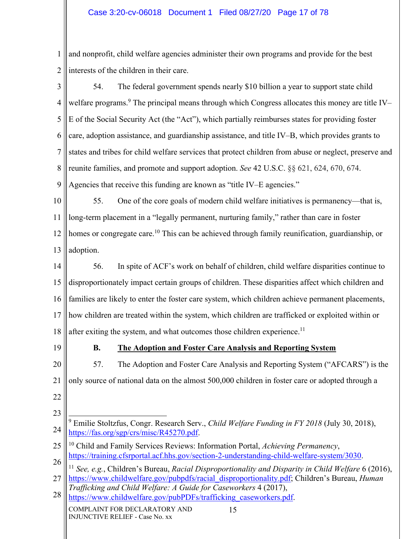1 2 and nonprofit, child welfare agencies administer their own programs and provide for the best interests of the children in their care.

3 4 5 6 7 8 9 54. The federal government spends nearly \$10 billion a year to support state child welfare programs.<sup>9</sup> The principal means through which Congress allocates this money are title IV-E of the Social Security Act (the "Act"), which partially reimburses states for providing foster care, adoption assistance, and guardianship assistance, and title IV–B, which provides grants to states and tribes for child welfare services that protect children from abuse or neglect, preserve and reunite families, and promote and support adoption. *See* 42 U.S.C. §§ 621, 624, 670, 674. Agencies that receive this funding are known as "title IV–E agencies."

10 11 12 13 55. One of the core goals of modern child welfare initiatives is permanency—that is, long-term placement in a "legally permanent, nurturing family," rather than care in foster homes or congregate care.<sup>10</sup> This can be achieved through family reunification, guardianship, or adoption.

14 15 16 17 18 56. In spite of ACF's work on behalf of children, child welfare disparities continue to disproportionately impact certain groups of children. These disparities affect which children and families are likely to enter the foster care system, which children achieve permanent placements, how children are treated within the system, which children are trafficked or exploited within or after exiting the system, and what outcomes those children experience.<sup>11</sup>

19

# **B. The Adoption and Foster Care Analysis and Reporting System**

20 21 22 57. The Adoption and Foster Care Analysis and Reporting System ("AFCARS") is the only source of national data on the almost 500,000 children in foster care or adopted through a

23

25 26 10 Child and Family Services Reviews: Information Portal, *Achieving Permanency*, https://training.cfsrportal.acf.hhs.gov/section-2-understanding-child-welfare-system/3030.

27 <sup>11</sup> *See, e.g.*, Children's Bureau, *Racial Disproportionality and Disparity in Child Welfare* 6 (2016), https://www.childwelfare.gov/pubpdfs/racial\_disproportionality.pdf; Children's Bureau, *Human* 

28 *Trafficking and Child Welfare: A Guide for Caseworkers* 4 (2017),

https://www.childwelfare.gov/pubPDFs/trafficking\_caseworkers.pdf.

<sup>24</sup> 9 Emilie Stoltzfus, Congr. Research Serv., *Child Welfare Funding in FY 2018* (July 30, 2018), https://fas.org/sgp/crs/misc/R45270.pdf.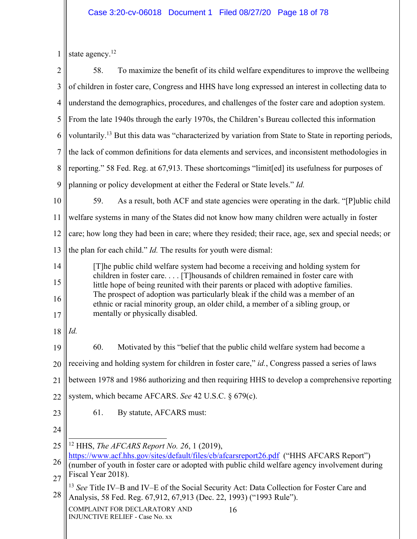|  | $1$ state agency. |
|--|-------------------|
|--|-------------------|

| $\overline{2}$ | 58.<br>To maximize the benefit of its child welfare expenditures to improve the wellbeing                                                                                                                                                                                                                                                  |  |  |
|----------------|--------------------------------------------------------------------------------------------------------------------------------------------------------------------------------------------------------------------------------------------------------------------------------------------------------------------------------------------|--|--|
| 3              | of children in foster care, Congress and HHS have long expressed an interest in collecting data to                                                                                                                                                                                                                                         |  |  |
| 4              | understand the demographics, procedures, and challenges of the foster care and adoption system.                                                                                                                                                                                                                                            |  |  |
| 5              | From the late 1940s through the early 1970s, the Children's Bureau collected this information                                                                                                                                                                                                                                              |  |  |
| 6              | voluntarily. <sup>13</sup> But this data was "characterized by variation from State to State in reporting periods,                                                                                                                                                                                                                         |  |  |
| $\overline{7}$ | the lack of common definitions for data elements and services, and inconsistent methodologies in                                                                                                                                                                                                                                           |  |  |
| 8              | reporting." 58 Fed. Reg. at 67,913. These shortcomings "limit[ed] its usefulness for purposes of                                                                                                                                                                                                                                           |  |  |
| 9              | planning or policy development at either the Federal or State levels." Id.                                                                                                                                                                                                                                                                 |  |  |
| 10             | 59.<br>As a result, both ACF and state agencies were operating in the dark. "[P]ublic child                                                                                                                                                                                                                                                |  |  |
| 11             | welfare systems in many of the States did not know how many children were actually in foster                                                                                                                                                                                                                                               |  |  |
| 12             | care; how long they had been in care; where they resided; their race, age, sex and special needs; or                                                                                                                                                                                                                                       |  |  |
| 13             | the plan for each child." <i>Id</i> . The results for youth were dismal:                                                                                                                                                                                                                                                                   |  |  |
| 14             | [T] he public child welfare system had become a receiving and holding system for                                                                                                                                                                                                                                                           |  |  |
| 15             | children in foster care [T] housands of children remained in foster care with<br>little hope of being reunited with their parents or placed with adoptive families.<br>The prospect of adoption was particularly bleak if the child was a member of an<br>ethnic or racial minority group, an older child, a member of a sibling group, or |  |  |
| 16             |                                                                                                                                                                                                                                                                                                                                            |  |  |
| 17             | mentally or physically disabled.                                                                                                                                                                                                                                                                                                           |  |  |
| 18             | Id.                                                                                                                                                                                                                                                                                                                                        |  |  |
| 19             | 60.<br>Motivated by this "belief that the public child welfare system had become a                                                                                                                                                                                                                                                         |  |  |
| 20             | receiving and holding system for children in foster care," id., Congress passed a series of laws                                                                                                                                                                                                                                           |  |  |
| 21             | between 1978 and 1986 authorizing and then requiring HHS to develop a comprehensive reporting                                                                                                                                                                                                                                              |  |  |
| 22             | system, which became AFCARS. See 42 U.S.C. § 679(c).                                                                                                                                                                                                                                                                                       |  |  |
| 23             | 61.<br>By statute, AFCARS must:                                                                                                                                                                                                                                                                                                            |  |  |
| 24             |                                                                                                                                                                                                                                                                                                                                            |  |  |
| 25             | <sup>12</sup> HHS, <i>The AFCARS Report No. 26</i> , 1 (2019),                                                                                                                                                                                                                                                                             |  |  |
| 26             | https://www.acf.hhs.gov/sites/default/files/cb/afcarsreport26.pdf ("HHS AFCARS Report")<br>(number of youth in foster care or adopted with public child welfare agency involvement during                                                                                                                                                  |  |  |
| 27             | Fiscal Year 2018).                                                                                                                                                                                                                                                                                                                         |  |  |
| 28             | <sup>13</sup> See Title IV-B and IV-E of the Social Security Act: Data Collection for Foster Care and<br>Analysis, 58 Fed. Reg. 67,912, 67,913 (Dec. 22, 1993) ("1993 Rule").                                                                                                                                                              |  |  |
|                | COMPLAINT FOR DECLARATORY AND<br>16<br><b>INJUNCTIVE RELIEF - Case No. xx</b>                                                                                                                                                                                                                                                              |  |  |
|                |                                                                                                                                                                                                                                                                                                                                            |  |  |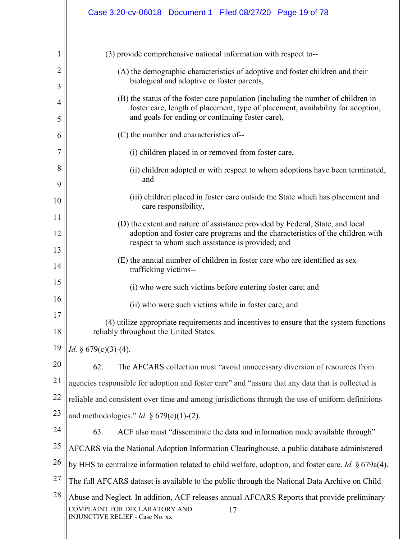|                     | Case 3:20-cv-06018  Document 1  Filed 08/27/20  Page 19 of 78                                                                                                                                                            |  |  |
|---------------------|--------------------------------------------------------------------------------------------------------------------------------------------------------------------------------------------------------------------------|--|--|
|                     | (3) provide comprehensive national information with respect to--                                                                                                                                                         |  |  |
|                     |                                                                                                                                                                                                                          |  |  |
| $\overline{2}$<br>3 | (A) the demographic characteristics of adoptive and foster children and their<br>biological and adoptive or foster parents,                                                                                              |  |  |
| 4<br>5              | (B) the status of the foster care population (including the number of children in<br>foster care, length of placement, type of placement, availability for adoption,<br>and goals for ending or continuing foster care), |  |  |
| 6                   | (C) the number and characteristics of--                                                                                                                                                                                  |  |  |
| 7                   | (i) children placed in or removed from foster care,                                                                                                                                                                      |  |  |
| 8<br>9              | (ii) children adopted or with respect to whom adoptions have been terminated,<br>and                                                                                                                                     |  |  |
| 10                  | (iii) children placed in foster care outside the State which has placement and<br>care responsibility,                                                                                                                   |  |  |
| 11                  | (D) the extent and nature of assistance provided by Federal, State, and local                                                                                                                                            |  |  |
| 12                  | adoption and foster care programs and the characteristics of the children with<br>respect to whom such assistance is provided; and                                                                                       |  |  |
| 13<br>14            | (E) the annual number of children in foster care who are identified as sex<br>trafficking victims--                                                                                                                      |  |  |
| 15                  | (i) who were such victims before entering foster care; and                                                                                                                                                               |  |  |
| 16                  | (ii) who were such victims while in foster care; and                                                                                                                                                                     |  |  |
| 17                  | (4) utilize appropriate requirements and incentives to ensure that the system functions                                                                                                                                  |  |  |
| 18                  | reliably throughout the United States.                                                                                                                                                                                   |  |  |
| 19                  | <i>Id.</i> § $679(c)(3)-(4)$ .                                                                                                                                                                                           |  |  |
| 20                  | 62.<br>The AFCARS collection must "avoid unnecessary diversion of resources from                                                                                                                                         |  |  |
| 21                  | agencies responsible for adoption and foster care" and "assure that any data that is collected is                                                                                                                        |  |  |
| 22                  | reliable and consistent over time and among jurisdictions through the use of uniform definitions                                                                                                                         |  |  |
| 23                  | and methodologies." <i>Id.</i> § $679(c)(1)-(2)$ .                                                                                                                                                                       |  |  |
| 24                  | 63.<br>ACF also must "disseminate the data and information made available through"                                                                                                                                       |  |  |
| 25                  | AFCARS via the National Adoption Information Clearinghouse, a public database administered                                                                                                                               |  |  |
| 26                  | by HHS to centralize information related to child welfare, adoption, and foster care. Id. § 679a(4).                                                                                                                     |  |  |
| 27                  | The full AFCARS dataset is available to the public through the National Data Archive on Child                                                                                                                            |  |  |
| 28                  | Abuse and Neglect. In addition, ACF releases annual AFCARS Reports that provide preliminary<br>COMPLAINT FOR DECLARATORY AND<br>17<br><b>INJUNCTIVE RELIEF - Case No. xx</b>                                             |  |  |
|                     |                                                                                                                                                                                                                          |  |  |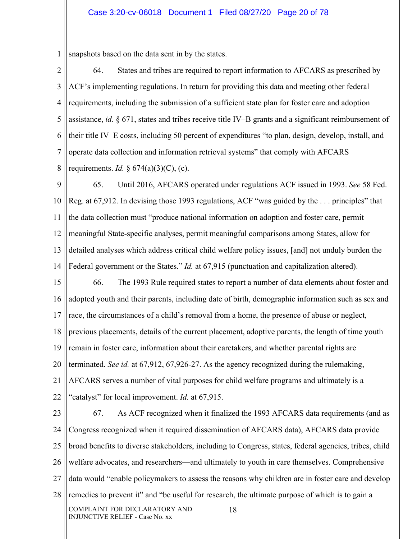1 snapshots based on the data sent in by the states.

2 3 4 5 6 7 8 64. States and tribes are required to report information to AFCARS as prescribed by ACF's implementing regulations. In return for providing this data and meeting other federal requirements, including the submission of a sufficient state plan for foster care and adoption assistance, *id.* § 671, states and tribes receive title IV–B grants and a significant reimbursement of their title IV–E costs, including 50 percent of expenditures "to plan, design, develop, install, and operate data collection and information retrieval systems" that comply with AFCARS requirements. *Id.* § 674(a)(3)(C), (c).

9 10 11 12 13 14 65. Until 2016, AFCARS operated under regulations ACF issued in 1993. *See* 58 Fed. Reg. at 67,912. In devising those 1993 regulations, ACF "was guided by the . . . principles" that the data collection must "produce national information on adoption and foster care, permit meaningful State-specific analyses, permit meaningful comparisons among States, allow for detailed analyses which address critical child welfare policy issues, [and] not unduly burden the Federal government or the States." *Id.* at 67,915 (punctuation and capitalization altered).

15 16 17 18 19 20 21 22 66. The 1993 Rule required states to report a number of data elements about foster and adopted youth and their parents, including date of birth, demographic information such as sex and race, the circumstances of a child's removal from a home, the presence of abuse or neglect, previous placements, details of the current placement, adoptive parents, the length of time youth remain in foster care, information about their caretakers, and whether parental rights are terminated. *See id.* at 67,912, 67,926-27. As the agency recognized during the rulemaking, AFCARS serves a number of vital purposes for child welfare programs and ultimately is a "catalyst" for local improvement. *Id.* at 67,915.

23 24 25 26 27 28 COMPLAINT FOR DECLARATORY AND INJUNCTIVE RELIEF - Case No. xx 18 67. As ACF recognized when it finalized the 1993 AFCARS data requirements (and as Congress recognized when it required dissemination of AFCARS data), AFCARS data provide broad benefits to diverse stakeholders, including to Congress, states, federal agencies, tribes, child welfare advocates, and researchers—and ultimately to youth in care themselves. Comprehensive data would "enable policymakers to assess the reasons why children are in foster care and develop remedies to prevent it" and "be useful for research, the ultimate purpose of which is to gain a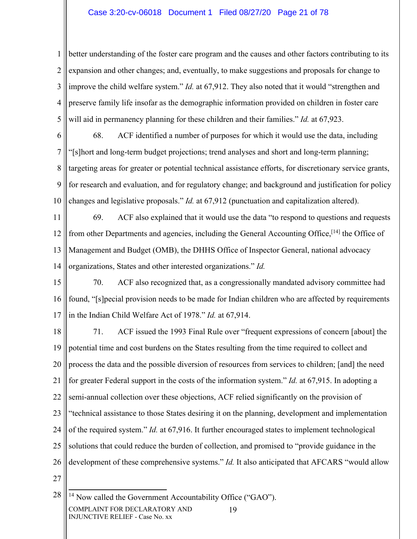### Case 3:20-cv-06018 Document 1 Filed 08/27/20 Page 21 of 78

1 2 3 4 5 better understanding of the foster care program and the causes and other factors contributing to its expansion and other changes; and, eventually, to make suggestions and proposals for change to improve the child welfare system." *Id.* at 67,912. They also noted that it would "strengthen and preserve family life insofar as the demographic information provided on children in foster care will aid in permanency planning for these children and their families." *Id.* at 67,923.

6 7 8 9 10 68. ACF identified a number of purposes for which it would use the data, including "[s]hort and long-term budget projections; trend analyses and short and long-term planning; targeting areas for greater or potential technical assistance efforts, for discretionary service grants, for research and evaluation, and for regulatory change; and background and justification for policy changes and legislative proposals." *Id.* at 67,912 (punctuation and capitalization altered).

11 12 13 14 69. ACF also explained that it would use the data "to respond to questions and requests from other Departments and agencies, including the General Accounting Office,<sup>[14]</sup> the Office of Management and Budget (OMB), the DHHS Office of Inspector General, national advocacy organizations, States and other interested organizations." *Id.*

15 16 17 70. ACF also recognized that, as a congressionally mandated advisory committee had found, "[s]pecial provision needs to be made for Indian children who are affected by requirements in the Indian Child Welfare Act of 1978." *Id.* at 67,914.

18 19 20 21 22 23 24 25 26 27 71. ACF issued the 1993 Final Rule over "frequent expressions of concern [about] the potential time and cost burdens on the States resulting from the time required to collect and process the data and the possible diversion of resources from services to children; [and] the need for greater Federal support in the costs of the information system." *Id.* at 67,915. In adopting a semi-annual collection over these objections, ACF relied significantly on the provision of "technical assistance to those States desiring it on the planning, development and implementation of the required system." *Id.* at 67,916. It further encouraged states to implement technological solutions that could reduce the burden of collection, and promised to "provide guidance in the development of these comprehensive systems." *Id.* It also anticipated that AFCARS "would allow

28 COMPLAINT FOR DECLARATORY AND INJUNCTIVE RELIEF - Case No. xx 19 <sup>14</sup> Now called the Government Accountability Office ("GAO").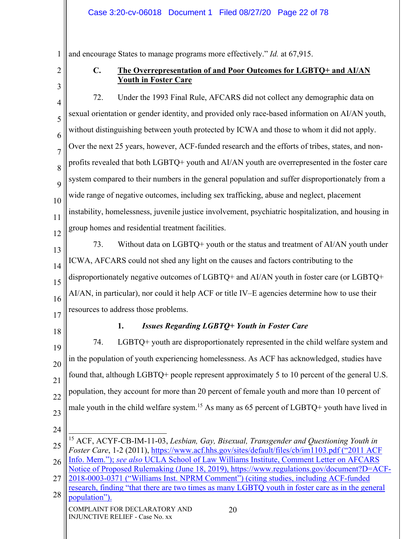1 and encourage States to manage programs more effectively." *Id.* at 67,915.

2 3

### **C. The Overrepresentation of and Poor Outcomes for LGBTQ+ and AI/AN Youth in Foster Care**

4 5 6 7 8 9 10 11 72. Under the 1993 Final Rule, AFCARS did not collect any demographic data on sexual orientation or gender identity, and provided only race-based information on AI/AN youth, without distinguishing between youth protected by ICWA and those to whom it did not apply. Over the next 25 years, however, ACF-funded research and the efforts of tribes, states, and nonprofits revealed that both LGBTQ+ youth and AI/AN youth are overrepresented in the foster care system compared to their numbers in the general population and suffer disproportionately from a wide range of negative outcomes, including sex trafficking, abuse and neglect, placement instability, homelessness, juvenile justice involvement, psychiatric hospitalization, and housing in group homes and residential treatment facilities.

12 13

14

15

16

73. Without data on LGBTQ+ youth or the status and treatment of AI/AN youth under ICWA, AFCARS could not shed any light on the causes and factors contributing to the disproportionately negative outcomes of LGBTQ+ and AI/AN youth in foster care (or LGBTQ+ AI/AN, in particular), nor could it help ACF or title IV–E agencies determine how to use their resources to address those problems.

17 18

# **1.** *Issues Regarding LGBTQ+ Youth in Foster Care*

19 20 21 22 23 74. LGBTQ+ youth are disproportionately represented in the child welfare system and in the population of youth experiencing homelessness. As ACF has acknowledged, studies have found that, although LGBTQ+ people represent approximately 5 to 10 percent of the general U.S. population, they account for more than 20 percent of female youth and more than 10 percent of male youth in the child welfare system.<sup>15</sup> As many as 65 percent of LGBTQ+ youth have lived in

24

27 2018-0003-0371 ("Williams Inst. NPRM Comment") (citing studies, including ACF-funded research, finding "that there are two times as many LGBTQ youth in foster care as in the general

20

28 COMPLAINT FOR DECLARATORY AND INJUNCTIVE RELIEF - Case No. xx population").

<sup>25</sup> 15 ACF, ACYF-CB-IM-11-03, *Lesbian, Gay, Bisexual, Transgender and Questioning Youth in Foster Care*, 1-2 (2011), https://www.acf.hhs.gov/sites/default/files/cb/im1103.pdf ("2011 ACF

<sup>26</sup> Info. Mem."); *see also* UCLA School of Law Williams Institute, Comment Letter on AFCARS Notice of Proposed Rulemaking (June 18, 2019), https://www.regulations.gov/document?D=ACF-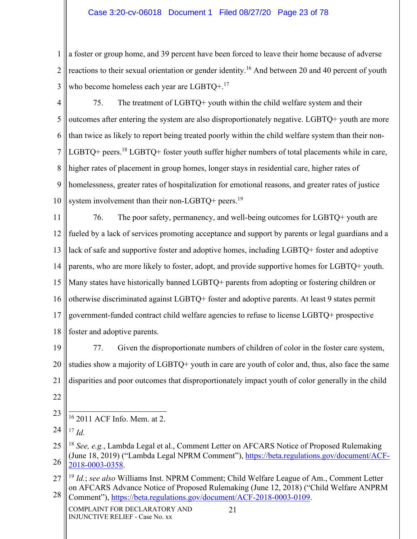### Case 3:20-cv-06018 Document 1 Filed 08/27/20 Page 23 of 78

1 2 3 a foster or group home, and 39 percent have been forced to leave their home because of adverse reactions to their sexual orientation or gender identity.16 And between 20 and 40 percent of youth who become homeless each year are LGBTQ+.<sup>17</sup>

4 5 6 7 8 9 10 75. The treatment of LGBTQ+ youth within the child welfare system and their outcomes after entering the system are also disproportionately negative. LGBTQ+ youth are more than twice as likely to report being treated poorly within the child welfare system than their non-LGBTQ+ peers.<sup>18</sup> LGBTQ+ foster youth suffer higher numbers of total placements while in care, higher rates of placement in group homes, longer stays in residential care, higher rates of homelessness, greater rates of hospitalization for emotional reasons, and greater rates of justice system involvement than their non-LGBTQ+ peers.<sup>19</sup>

11 12 13 14 15 16 17 18 76. The poor safety, permanency, and well-being outcomes for LGBTQ+ youth are fueled by a lack of services promoting acceptance and support by parents or legal guardians and a lack of safe and supportive foster and adoptive homes, including LGBTQ+ foster and adoptive parents, who are more likely to foster, adopt, and provide supportive homes for LGBTQ+ youth. Many states have historically banned LGBTQ+ parents from adopting or fostering children or otherwise discriminated against LGBTQ+ foster and adoptive parents. At least 9 states permit government-funded contract child welfare agencies to refuse to license LGBTQ+ prospective foster and adoptive parents.

19 20 21 22 77. Given the disproportionate numbers of children of color in the foster care system, studies show a majority of LGBTQ+ youth in care are youth of color and, thus, also face the same disparities and poor outcomes that disproportionately impact youth of color generally in the child

23 16 2011 ACF Info. Mem. at 2.

24 <sup>17</sup> *Id.*

<sup>25</sup> 26 <sup>18</sup> *See, e.g.*, Lambda Legal et al., Comment Letter on AFCARS Notice of Proposed Rulemaking (June 18, 2019) ("Lambda Legal NPRM Comment"), https://beta.regulations.gov/document/ACF-2018-0003-0358.

<sup>27</sup> 28 <sup>19</sup> *Id.*; *see also* Williams Inst. NPRM Comment; Child Welfare League of Am., Comment Letter on AFCARS Advance Notice of Proposed Rulemaking (June 12, 2018) ("Child Welfare ANPRM Comment"), https://beta.regulations.gov/document/ACF-2018-0003-0109.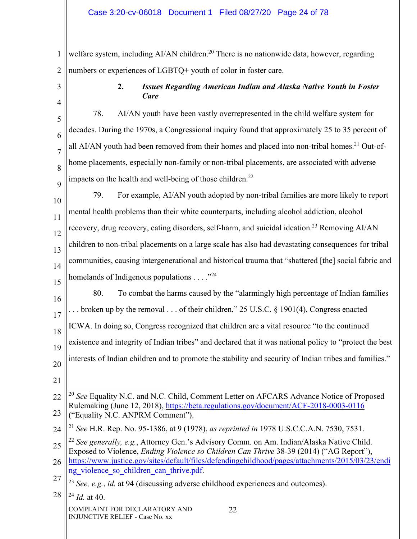1 2 welfare system, including AI/AN children.<sup>20</sup> There is no nationwide data, however, regarding numbers or experiences of LGBTQ+ youth of color in foster care.

# **2.** *Issues Regarding American Indian and Alaska Native Youth in Foster Care*

78. AI/AN youth have been vastly overrepresented in the child welfare system for decades. During the 1970s, a Congressional inquiry found that approximately 25 to 35 percent of all AI/AN youth had been removed from their homes and placed into non-tribal homes.<sup>21</sup> Out-ofhome placements, especially non-family or non-tribal placements, are associated with adverse impacts on the health and well-being of those children.<sup>22</sup>

- 10 11 12 13 14 15 79. For example, AI/AN youth adopted by non-tribal families are more likely to report mental health problems than their white counterparts, including alcohol addiction, alcohol recovery, drug recovery, eating disorders, self-harm, and suicidal ideation.<sup>23</sup> Removing AI/AN children to non-tribal placements on a large scale has also had devastating consequences for tribal communities, causing intergenerational and historical trauma that "shattered [the] social fabric and homelands of Indigenous populations  $\dots$ ."<sup>24</sup>
- 16 17 18 19 20 80. To combat the harms caused by the "alarmingly high percentage of Indian families . . broken up by the removal . . . of their children," 25 U.S.C. § 1901(4), Congress enacted ICWA. In doing so, Congress recognized that children are a vital resource "to the continued existence and integrity of Indian tribes" and declared that it was national policy to "protect the best interests of Indian children and to promote the stability and security of Indian tribes and families."
- 21

3

4

5

6

7

8

9

COMPLAINT FOR DECLARATORY AND INJUNCTIVE RELIEF - Case No. xx

<sup>22</sup> 23 <sup>20</sup> *See* Equality N.C. and N.C. Child, Comment Letter on AFCARS Advance Notice of Proposed Rulemaking (June 12, 2018), https://beta.regulations.gov/document/ACF-2018-0003-0116 ("Equality N.C. ANPRM Comment").

<sup>24</sup> <sup>21</sup> *See* H.R. Rep. No. 95-1386, at 9 (1978), *as reprinted in* 1978 U.S.C.C.A.N. 7530, 7531.

<sup>25</sup> 26 <sup>22</sup> *See generally, e.g.*, Attorney Gen.'s Advisory Comm. on Am. Indian/Alaska Native Child. Exposed to Violence, *Ending Violence so Children Can Thrive* 38-39 (2014) ("AG Report"), https://www.justice.gov/sites/default/files/defendingchildhood/pages/attachments/2015/03/23/endi ng violence so children can thrive.pdf.

<sup>27</sup> <sup>23</sup> *See, e.g.*, *id.* at 94 (discussing adverse childhood experiences and outcomes).

<sup>28</sup> <sup>24</sup> *Id.* at 40.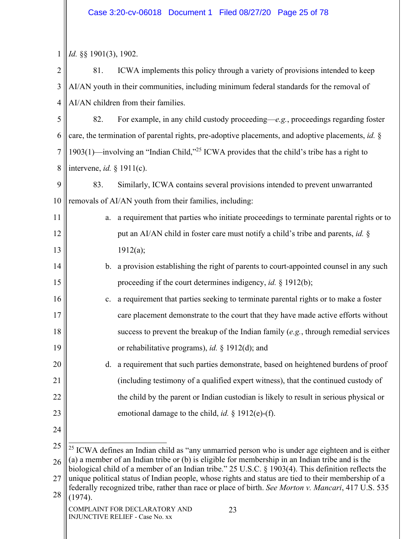# Case 3:20-cv-06018 Document 1 Filed 08/27/20 Page 25 of 78

| 1              | Id. §§ 1901(3), 1902.                                                                                                                                                                                                                                                                                                                                                                                                           |                                                                                                             |  |
|----------------|---------------------------------------------------------------------------------------------------------------------------------------------------------------------------------------------------------------------------------------------------------------------------------------------------------------------------------------------------------------------------------------------------------------------------------|-------------------------------------------------------------------------------------------------------------|--|
| $\overline{2}$ | 81.                                                                                                                                                                                                                                                                                                                                                                                                                             | ICWA implements this policy through a variety of provisions intended to keep                                |  |
| 3              | AI/AN youth in their communities, including minimum federal standards for the removal of                                                                                                                                                                                                                                                                                                                                        |                                                                                                             |  |
| $\overline{4}$ | AI/AN children from their families.                                                                                                                                                                                                                                                                                                                                                                                             |                                                                                                             |  |
| 5              | 82.                                                                                                                                                                                                                                                                                                                                                                                                                             | For example, in any child custody proceeding— $e.g.,$ proceedings regarding foster                          |  |
| 6              |                                                                                                                                                                                                                                                                                                                                                                                                                                 | care, the termination of parental rights, pre-adoptive placements, and adoptive placements, id. §           |  |
| 7              | 1903(1)—involving an "Indian Child," <sup>25</sup> ICWA provides that the child's tribe has a right to                                                                                                                                                                                                                                                                                                                          |                                                                                                             |  |
| 8              | intervene, id. $§$ 1911(c).                                                                                                                                                                                                                                                                                                                                                                                                     |                                                                                                             |  |
| 9              | 83.                                                                                                                                                                                                                                                                                                                                                                                                                             | Similarly, ICWA contains several provisions intended to prevent unwarranted                                 |  |
| 10             |                                                                                                                                                                                                                                                                                                                                                                                                                                 | removals of AI/AN youth from their families, including:                                                     |  |
| 11             |                                                                                                                                                                                                                                                                                                                                                                                                                                 | a. a requirement that parties who initiate proceedings to terminate parental rights or to                   |  |
| 12             |                                                                                                                                                                                                                                                                                                                                                                                                                                 | put an AI/AN child in foster care must notify a child's tribe and parents, id. §                            |  |
| 13             |                                                                                                                                                                                                                                                                                                                                                                                                                                 | 1912(a);                                                                                                    |  |
| 14             |                                                                                                                                                                                                                                                                                                                                                                                                                                 | b. a provision establishing the right of parents to court-appointed counsel in any such                     |  |
| 15             |                                                                                                                                                                                                                                                                                                                                                                                                                                 | proceeding if the court determines indigency, <i>id.</i> $\S$ 1912(b);                                      |  |
| 16             | c.                                                                                                                                                                                                                                                                                                                                                                                                                              | a requirement that parties seeking to terminate parental rights or to make a foster                         |  |
| 17             |                                                                                                                                                                                                                                                                                                                                                                                                                                 | care placement demonstrate to the court that they have made active efforts without                          |  |
| 18             |                                                                                                                                                                                                                                                                                                                                                                                                                                 | success to prevent the breakup of the Indian family $(e.g., throught)$ remedial services                    |  |
| 19             |                                                                                                                                                                                                                                                                                                                                                                                                                                 | or rehabilitative programs), id. § 1912(d); and                                                             |  |
| 20             |                                                                                                                                                                                                                                                                                                                                                                                                                                 | d. a requirement that such parties demonstrate, based on heightened burdens of proof                        |  |
| 21             |                                                                                                                                                                                                                                                                                                                                                                                                                                 | (including testimony of a qualified expert witness), that the continued custody of                          |  |
| 22             |                                                                                                                                                                                                                                                                                                                                                                                                                                 | the child by the parent or Indian custodian is likely to result in serious physical or                      |  |
| 23             |                                                                                                                                                                                                                                                                                                                                                                                                                                 | emotional damage to the child, <i>id.</i> § 1912(e)-(f).                                                    |  |
| 24             |                                                                                                                                                                                                                                                                                                                                                                                                                                 |                                                                                                             |  |
| 25             |                                                                                                                                                                                                                                                                                                                                                                                                                                 | <sup>25</sup> ICWA defines an Indian child as "any unmarried person who is under age eighteen and is either |  |
| 26             | (a) a member of an Indian tribe or (b) is eligible for membership in an Indian tribe and is the<br>biological child of a member of an Indian tribe." 25 U.S.C. § 1903(4). This definition reflects the<br>unique political status of Indian people, whose rights and status are tied to their membership of a<br>federally recognized tribe, rather than race or place of birth. See Morton v. Mancari, 417 U.S. 535<br>(1974). |                                                                                                             |  |
| 27             |                                                                                                                                                                                                                                                                                                                                                                                                                                 |                                                                                                             |  |
| 28             |                                                                                                                                                                                                                                                                                                                                                                                                                                 |                                                                                                             |  |
|                |                                                                                                                                                                                                                                                                                                                                                                                                                                 | COMPLAINT FOR DECLARATORY AND<br>23<br><b>INJUNCTIVE RELIEF - Case No. xx</b>                               |  |
|                |                                                                                                                                                                                                                                                                                                                                                                                                                                 |                                                                                                             |  |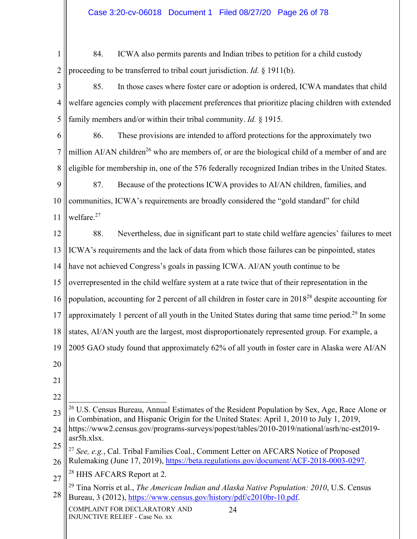1 2 84. ICWA also permits parents and Indian tribes to petition for a child custody proceeding to be transferred to tribal court jurisdiction. *Id.* § 1911(b).

3 4 5 85. In those cases where foster care or adoption is ordered, ICWA mandates that child welfare agencies comply with placement preferences that prioritize placing children with extended family members and/or within their tribal community. *Id.* § 1915.

6 7 8 86. These provisions are intended to afford protections for the approximately two million  $A$ I/AN children<sup>26</sup> who are members of, or are the biological child of a member of and are eligible for membership in, one of the 576 federally recognized Indian tribes in the United States.

9 10 11 87. Because of the protections ICWA provides to AI/AN children, families, and communities, ICWA's requirements are broadly considered the "gold standard" for child welfare.27

12 13 14 88. Nevertheless, due in significant part to state child welfare agencies' failures to meet ICWA's requirements and the lack of data from which those failures can be pinpointed, states have not achieved Congress's goals in passing ICWA. AI/AN youth continue to be

15 overrepresented in the child welfare system at a rate twice that of their representation in the

16 population, accounting for 2 percent of all children in foster care in 201828 despite accounting for

17 approximately 1 percent of all youth in the United States during that same time period.29 In some

18 states, AI/AN youth are the largest, most disproportionately represented group. For example, a

19 2005 GAO study found that approximately 62% of all youth in foster care in Alaska were AI/AN

- 20
- 21
- 22

23  $26$  U.S. Census Bureau, Annual Estimates of the Resident Population by Sex, Age, Race Alone or in Combination, and Hispanic Origin for the United States: April 1, 2010 to July 1, 2019,

24 https://www2.census.gov/programs-surveys/popest/tables/2010-2019/national/asrh/nc-est2019 asr5h.xlsx.

<sup>25</sup> 26 <sup>27</sup> *See, e.g.*, Cal. Tribal Families Coal., Comment Letter on AFCARS Notice of Proposed Rulemaking (June 17, 2019), https://beta.regulations.gov/document/ACF-2018-0003-0297.

<sup>27</sup> <sup>28</sup> HHS AFCARS Report at 2.

<sup>28</sup> 29 Tina Norris et al., *The American Indian and Alaska Native Population: 2010*, U.S. Census Bureau, 3 (2012), https://www.census.gov/history/pdf/c2010br-10.pdf.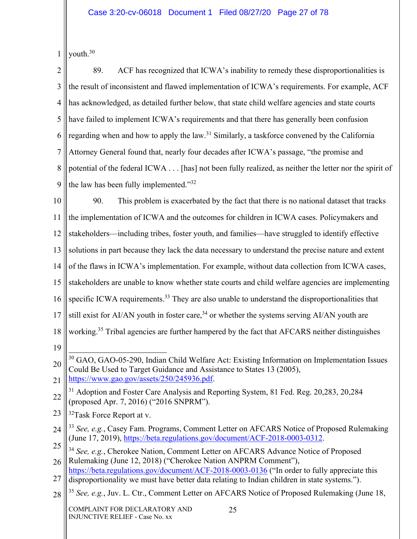1 youth.30

2 3 4 5 6 7 8 9 89. ACF has recognized that ICWA's inability to remedy these disproportionalities is the result of inconsistent and flawed implementation of ICWA's requirements. For example, ACF has acknowledged, as detailed further below, that state child welfare agencies and state courts have failed to implement ICWA's requirements and that there has generally been confusion regarding when and how to apply the law.<sup>31</sup> Similarly, a taskforce convened by the California Attorney General found that, nearly four decades after ICWA's passage, "the promise and potential of the federal ICWA . . . [has] not been fully realized, as neither the letter nor the spirit of the law has been fully implemented."32

10 11 12 13 14 15 16 17 18 19 90. This problem is exacerbated by the fact that there is no national dataset that tracks the implementation of ICWA and the outcomes for children in ICWA cases. Policymakers and stakeholders—including tribes, foster youth, and families—have struggled to identify effective solutions in part because they lack the data necessary to understand the precise nature and extent of the flaws in ICWA's implementation. For example, without data collection from ICWA cases, stakeholders are unable to know whether state courts and child welfare agencies are implementing specific ICWA requirements.<sup>33</sup> They are also unable to understand the disproportionalities that still exist for AI/AN youth in foster care,  $34$  or whether the systems serving AI/AN youth are working.<sup>35</sup> Tribal agencies are further hampered by the fact that AFCARS neither distinguishes <sup>30</sup> GAO, GAO-05-290, Indian Child Welfare Act: Existing Information on Implementation Issues

- 23 <sup>32</sup>Task Force Report at v.
- 24 <sup>33</sup> *See, e.g.*, Casey Fam. Programs, Comment Letter on AFCARS Notice of Proposed Rulemaking (June 17, 2019), https://beta.regulations.gov/document/ACF-2018-0003-0312.
- 25 26 <sup>34</sup> *See, e.g.*, Cherokee Nation, Comment Letter on AFCARS Advance Notice of Proposed Rulemaking (June 12, 2018) ("Cherokee Nation ANPRM Comment"),

28 <sup>35</sup> *See, e.g.*, Juv. L. Ctr., Comment Letter on AFCARS Notice of Proposed Rulemaking (June 18,

<sup>20</sup> 21 Could Be Used to Target Guidance and Assistance to States 13 (2005), https://www.gao.gov/assets/250/245936.pdf.

<sup>22</sup> <sup>31</sup> Adoption and Foster Care Analysis and Reporting System, 81 Fed. Reg. 20,283, 20,284 (proposed Apr. 7, 2016) ("2016 SNPRM").

<sup>27</sup> https://beta.regulations.gov/document/ACF-2018-0003-0136 ("In order to fully appreciate this disproportionality we must have better data relating to Indian children in state systems.").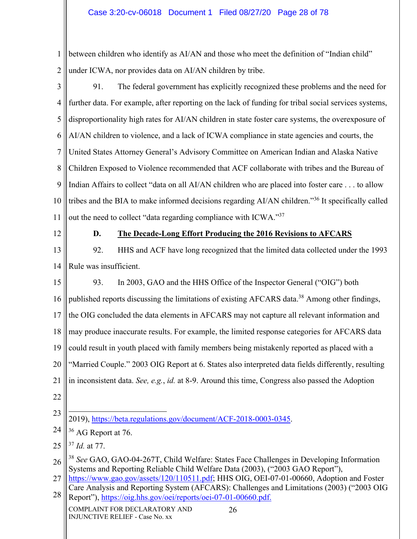1 2 between children who identify as AI/AN and those who meet the definition of "Indian child" under ICWA, nor provides data on AI/AN children by tribe.

- 3 4 5 6 7 8 9 10 11 91. The federal government has explicitly recognized these problems and the need for further data. For example, after reporting on the lack of funding for tribal social services systems, disproportionality high rates for AI/AN children in state foster care systems, the overexposure of AI/AN children to violence, and a lack of ICWA compliance in state agencies and courts, the United States Attorney General's Advisory Committee on American Indian and Alaska Native Children Exposed to Violence recommended that ACF collaborate with tribes and the Bureau of Indian Affairs to collect "data on all AI/AN children who are placed into foster care . . . to allow tribes and the BIA to make informed decisions regarding AI/AN children."36 It specifically called out the need to collect "data regarding compliance with ICWA."37
- 12

# **D. The Decade-Long Effort Producing the 2016 Revisions to AFCARS**

- 13 14 92. HHS and ACF have long recognized that the limited data collected under the 1993 Rule was insufficient.
- 15 16 17 18 19 20 21 93. In 2003, GAO and the HHS Office of the Inspector General ("OIG") both published reports discussing the limitations of existing AFCARS data.<sup>38</sup> Among other findings, the OIG concluded the data elements in AFCARS may not capture all relevant information and may produce inaccurate results. For example, the limited response categories for AFCARS data could result in youth placed with family members being mistakenly reported as placed with a "Married Couple." 2003 OIG Report at 6. States also interpreted data fields differently, resulting in inconsistent data. *See, e.g.*, *id.* at 8-9. Around this time, Congress also passed the Adoption
- 22

25 <sup>37</sup> *Id.* at 77.

<sup>23</sup> 2019), https://beta.regulations.gov/document/ACF-2018-0003-0345.

<sup>24</sup> <sup>36</sup> AG Report at 76.

<sup>26</sup> <sup>38</sup> *See* GAO, GAO-04-267T, Child Welfare: States Face Challenges in Developing Information Systems and Reporting Reliable Child Welfare Data (2003), ("2003 GAO Report"),

<sup>27</sup> 28 https://www.gao.gov/assets/120/110511.pdf; HHS OIG, OEI-07-01-00660, Adoption and Foster Care Analysis and Reporting System (AFCARS): Challenges and Limitations (2003) ("2003 OIG Report"), https://oig.hhs.gov/oei/reports/oei-07-01-00660.pdf.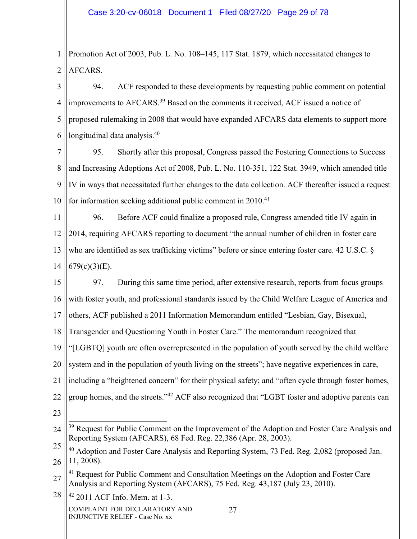1 2 Promotion Act of 2003, Pub. L. No. 108–145, 117 Stat. 1879, which necessitated changes to AFCARS.

3 4 5 6 94. ACF responded to these developments by requesting public comment on potential improvements to AFCARS.<sup>39</sup> Based on the comments it received, ACF issued a notice of proposed rulemaking in 2008 that would have expanded AFCARS data elements to support more longitudinal data analysis.<sup>40</sup>

7 8 9 10 95. Shortly after this proposal, Congress passed the Fostering Connections to Success and Increasing Adoptions Act of 2008, Pub. L. No. 110-351, 122 Stat. 3949, which amended title IV in ways that necessitated further changes to the data collection. ACF thereafter issued a request for information seeking additional public comment in 2010.<sup>41</sup>

11 12 13 14 96. Before ACF could finalize a proposed rule, Congress amended title IV again in 2014, requiring AFCARS reporting to document "the annual number of children in foster care who are identified as sex trafficking victims" before or since entering foster care. 42 U.S.C. §  $679(c)(3)(E)$ .

15 16 97. During this same time period, after extensive research, reports from focus groups with foster youth, and professional standards issued by the Child Welfare League of America and

17 others, ACF published a 2011 Information Memorandum entitled "Lesbian, Gay, Bisexual,

18 Transgender and Questioning Youth in Foster Care." The memorandum recognized that

19 "[LGBTQ] youth are often overrepresented in the population of youth served by the child welfare

20 system and in the population of youth living on the streets"; have negative experiences in care,

21 including a "heightened concern" for their physical safety; and "often cycle through foster homes,

- 22 group homes, and the streets."42 ACF also recognized that "LGBT foster and adoptive parents can
- 23

27

28 42 2011 ACF Info. Mem. at 1-3.

<sup>24</sup> <sup>39</sup> Request for Public Comment on the Improvement of the Adoption and Foster Care Analysis and Reporting System (AFCARS), 68 Fed. Reg. 22,386 (Apr. 28, 2003).

<sup>25</sup> 26 40 Adoption and Foster Care Analysis and Reporting System, 73 Fed. Reg. 2,082 (proposed Jan. 11, 2008).

<sup>27</sup> <sup>41</sup> Request for Public Comment and Consultation Meetings on the Adoption and Foster Care Analysis and Reporting System (AFCARS), 75 Fed. Reg. 43,187 (July 23, 2010).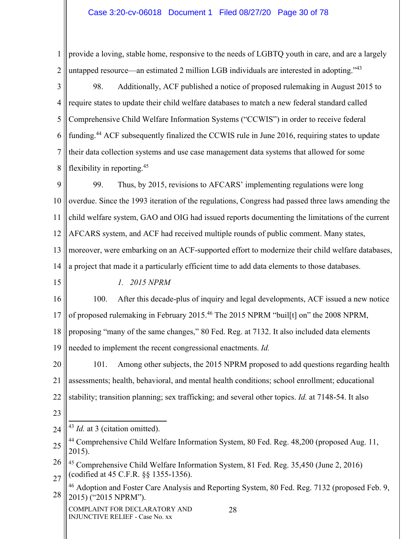1 2 provide a loving, stable home, responsive to the needs of LGBTQ youth in care, and are a largely untapped resource—an estimated 2 million LGB individuals are interested in adopting.<sup>743</sup>

3 4 5 6 7 8 98. Additionally, ACF published a notice of proposed rulemaking in August 2015 to require states to update their child welfare databases to match a new federal standard called Comprehensive Child Welfare Information Systems ("CCWIS") in order to receive federal funding.44 ACF subsequently finalized the CCWIS rule in June 2016, requiring states to update their data collection systems and use case management data systems that allowed for some flexibility in reporting.45

9 10 11 12 13 14 99. Thus, by 2015, revisions to AFCARS' implementing regulations were long overdue. Since the 1993 iteration of the regulations, Congress had passed three laws amending the child welfare system, GAO and OIG had issued reports documenting the limitations of the current AFCARS system, and ACF had received multiple rounds of public comment. Many states, moreover, were embarking on an ACF-supported effort to modernize their child welfare databases, a project that made it a particularly efficient time to add data elements to those databases.

15

*1. 2015 NPRM* 

16 17 18 19 100. After this decade-plus of inquiry and legal developments, ACF issued a new notice of proposed rulemaking in February 2015.46 The 2015 NPRM "buil[t] on" the 2008 NPRM, proposing "many of the same changes," 80 Fed. Reg. at 7132. It also included data elements needed to implement the recent congressional enactments. *Id.*

20 21 22 101. Among other subjects, the 2015 NPRM proposed to add questions regarding health assessments; health, behavioral, and mental health conditions; school enrollment; educational stability; transition planning; sex trafficking; and several other topics. *Id.* at 7148-54. It also

23

24 <sup>43</sup> *Id.* at 3 (citation omitted).

<sup>25</sup> <sup>44</sup> Comprehensive Child Welfare Information System, 80 Fed. Reg. 48,200 (proposed Aug. 11, 2015).

<sup>26</sup> 27 45 Comprehensive Child Welfare Information System, 81 Fed. Reg. 35,450 (June 2, 2016) (codified at 45 C.F.R. §§ 1355-1356).

<sup>28</sup> 46 Adoption and Foster Care Analysis and Reporting System, 80 Fed. Reg. 7132 (proposed Feb. 9, 2015) ("2015 NPRM").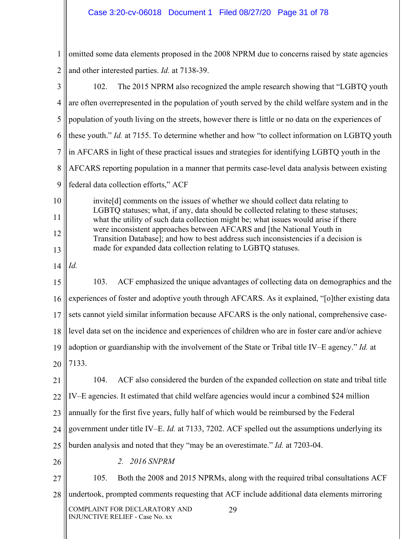1 2 3 4 5 6 omitted some data elements proposed in the 2008 NPRM due to concerns raised by state agencies and other interested parties. *Id.* at 7138-39. 102. The 2015 NPRM also recognized the ample research showing that "LGBTQ youth are often overrepresented in the population of youth served by the child welfare system and in the population of youth living on the streets, however there is little or no data on the experiences of these youth." *Id.* at 7155. To determine whether and how "to collect information on LGBTQ youth

- 7 in AFCARS in light of these practical issues and strategies for identifying LGBTQ youth in the
- 8 AFCARS reporting population in a manner that permits case-level data analysis between existing
- 9 federal data collection efforts," ACF

10 11 12 13 invite[d] comments on the issues of whether we should collect data relating to LGBTQ statuses; what, if any, data should be collected relating to these statuses; what the utility of such data collection might be; what issues would arise if there were inconsistent approaches between AFCARS and [the National Youth in Transition Database]; and how to best address such inconsistencies if a decision is made for expanded data collection relating to LGBTQ statuses.

14 *Id.*

15 16 17 18 19 20 103. ACF emphasized the unique advantages of collecting data on demographics and the experiences of foster and adoptive youth through AFCARS. As it explained, "[o]ther existing data sets cannot yield similar information because AFCARS is the only national, comprehensive caselevel data set on the incidence and experiences of children who are in foster care and/or achieve adoption or guardianship with the involvement of the State or Tribal title IV–E agency." *Id.* at 7133.

21 22 23 24 25 26 104. ACF also considered the burden of the expanded collection on state and tribal title IV–E agencies. It estimated that child welfare agencies would incur a combined \$24 million annually for the first five years, fully half of which would be reimbursed by the Federal government under title IV–E. *Id.* at 7133, 7202. ACF spelled out the assumptions underlying its burden analysis and noted that they "may be an overestimate." *Id.* at 7203-04. *2. 2016 SNPRM* 

27 28 105. Both the 2008 and 2015 NPRMs, along with the required tribal consultations ACF undertook, prompted comments requesting that ACF include additional data elements mirroring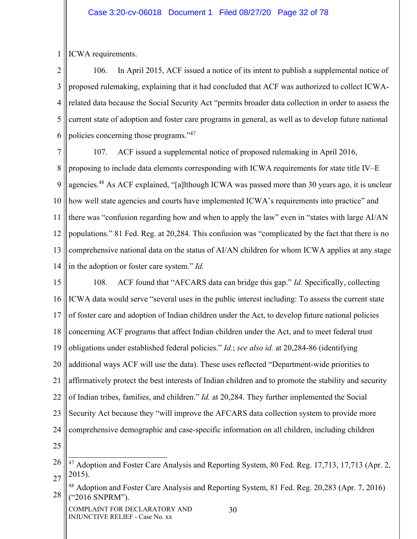1 ICWA requirements.

2 3 4 5 6 106. In April 2015, ACF issued a notice of its intent to publish a supplemental notice of proposed rulemaking, explaining that it had concluded that ACF was authorized to collect ICWArelated data because the Social Security Act "permits broader data collection in order to assess the current state of adoption and foster care programs in general, as well as to develop future national policies concerning those programs."47

7 8 9 10 11 12 13 14 107. ACF issued a supplemental notice of proposed rulemaking in April 2016, proposing to include data elements corresponding with ICWA requirements for state title IV–E agencies.48 As ACF explained, "[a]lthough ICWA was passed more than 30 years ago, it is unclear how well state agencies and courts have implemented ICWA's requirements into practice" and there was "confusion regarding how and when to apply the law" even in "states with large AI/AN populations." 81 Fed. Reg. at 20,284. This confusion was "complicated by the fact that there is no comprehensive national data on the status of AI/AN children for whom ICWA applies at any stage in the adoption or foster care system." *Id.*

15 16 17 18 19 20 21 22 23 24 25 108. ACF found that "AFCARS data can bridge this gap." *Id.* Specifically, collecting ICWA data would serve "several uses in the public interest including: To assess the current state of foster care and adoption of Indian children under the Act, to develop future national policies concerning ACF programs that affect Indian children under the Act, and to meet federal trust obligations under established federal policies." *Id.*; *see also id.* at 20,284-86 (identifying additional ways ACF will use the data). These uses reflected "Department-wide priorities to affirmatively protect the best interests of Indian children and to promote the stability and security of Indian tribes, families, and children." *Id.* at 20,284. They further implemented the Social Security Act because they "will improve the AFCARS data collection system to provide more comprehensive demographic and case-specific information on all children, including children

<sup>26</sup> 27 <sup>47</sup> Adoption and Foster Care Analysis and Reporting System, 80 Fed. Reg. 17,713, 17,713 (Apr. 2, 2015).

<sup>28</sup> <sup>48</sup> Adoption and Foster Care Analysis and Reporting System, 81 Fed. Reg. 20,283 (Apr. 7, 2016) ("2016 SNPRM").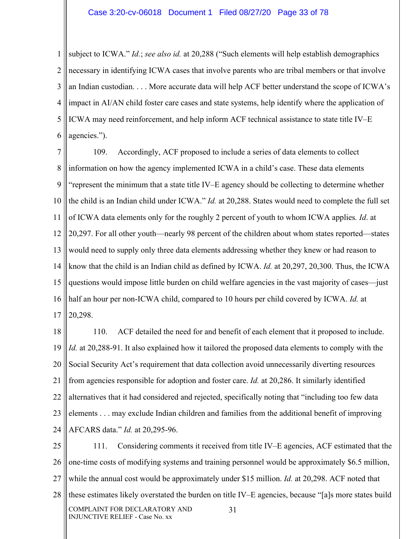#### Case 3:20-cv-06018 Document 1 Filed 08/27/20 Page 33 of 78

1 2 3 4 5 6 subject to ICWA." *Id.*; *see also id.* at 20,288 ("Such elements will help establish demographics necessary in identifying ICWA cases that involve parents who are tribal members or that involve an Indian custodian. . . . More accurate data will help ACF better understand the scope of ICWA's impact in AI/AN child foster care cases and state systems, help identify where the application of ICWA may need reinforcement, and help inform ACF technical assistance to state title IV–E agencies.").

7 8 9 10 11 12 13 14 15 16 17 109. Accordingly, ACF proposed to include a series of data elements to collect information on how the agency implemented ICWA in a child's case. These data elements "represent the minimum that a state title IV–E agency should be collecting to determine whether the child is an Indian child under ICWA." *Id.* at 20,288. States would need to complete the full set of ICWA data elements only for the roughly 2 percent of youth to whom ICWA applies*. Id*. at 20,297. For all other youth—nearly 98 percent of the children about whom states reported—states would need to supply only three data elements addressing whether they knew or had reason to know that the child is an Indian child as defined by ICWA. *Id.* at 20,297, 20,300. Thus, the ICWA questions would impose little burden on child welfare agencies in the vast majority of cases—just half an hour per non-ICWA child, compared to 10 hours per child covered by ICWA. *Id.* at 20,298.

18 19 20 21 22 23 24 110. ACF detailed the need for and benefit of each element that it proposed to include. *Id.* at 20,288-91. It also explained how it tailored the proposed data elements to comply with the Social Security Act's requirement that data collection avoid unnecessarily diverting resources from agencies responsible for adoption and foster care. *Id.* at 20,286. It similarly identified alternatives that it had considered and rejected, specifically noting that "including too few data elements . . . may exclude Indian children and families from the additional benefit of improving AFCARS data." *Id.* at 20,295-96.

25 26 27 28 COMPLAINT FOR DECLARATORY AND INJUNCTIVE RELIEF - Case No. xx 31 111. Considering comments it received from title IV–E agencies, ACF estimated that the one-time costs of modifying systems and training personnel would be approximately \$6.5 million, while the annual cost would be approximately under \$15 million. *Id.* at 20,298. ACF noted that these estimates likely overstated the burden on title IV–E agencies, because "[a]s more states build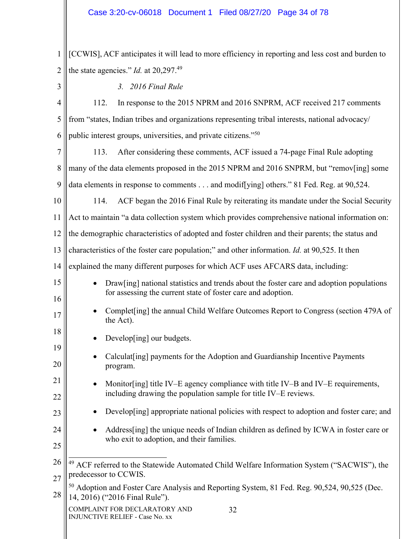### Case 3:20-cv-06018 Document 1 Filed 08/27/20 Page 34 of 78

1 2 [CCWIS], ACF anticipates it will lead to more efficiency in reporting and less cost and burden to the state agencies." *Id.* at 20,297.<sup>49</sup>

3

15

16

17

18

19

20

21

22

23

24

25

*3. 2016 Final Rule* 

| 4 | 112. In response to the 2015 NPRM and 2016 SNPRM, ACF received 217 comments                         |
|---|-----------------------------------------------------------------------------------------------------|
|   | $5$ from "states, Indian tribes and organizations representing tribal interests, national advocacy/ |
|   | 6    public interest groups, universities, and private citizens." $50$                              |

7 8 9 113. After considering these comments, ACF issued a 74-page Final Rule adopting many of the data elements proposed in the 2015 NPRM and 2016 SNPRM, but "remov[ing] some data elements in response to comments . . . and modiffying] others." 81 Fed. Reg. at 90,524.

10 114. ACF began the 2016 Final Rule by reiterating its mandate under the Social Security

11 Act to maintain "a data collection system which provides comprehensive national information on:

12 the demographic characteristics of adopted and foster children and their parents; the status and

13 characteristics of the foster care population;" and other information. *Id.* at 90,525. It then

14 explained the many different purposes for which ACF uses AFCARS data, including:

- Draw[ing] national statistics and trends about the foster care and adoption populations for assessing the current state of foster care and adoption.
- Complet[ing] the annual Child Welfare Outcomes Report to Congress (section 479A of the Act).
- Develop[ing] our budgets.
- Calculat [ing] payments for the Adoption and Guardianship Incentive Payments program.
- Monitor [ing] title IV–E agency compliance with title IV–B and IV–E requirements, including drawing the population sample for title IV–E reviews.
	- Develop[ing] appropriate national policies with respect to adoption and foster care; and
		- Address[ing] the unique needs of Indian children as defined by ICWA in foster care or who exit to adoption, and their families.

<sup>26</sup> 27 <sup>49</sup> ACF referred to the Statewide Automated Child Welfare Information System ("SACWIS"), the predecessor to CCWIS.

<sup>28</sup> <sup>50</sup> Adoption and Foster Care Analysis and Reporting System, 81 Fed. Reg. 90,524, 90,525 (Dec. 14, 2016) ("2016 Final Rule").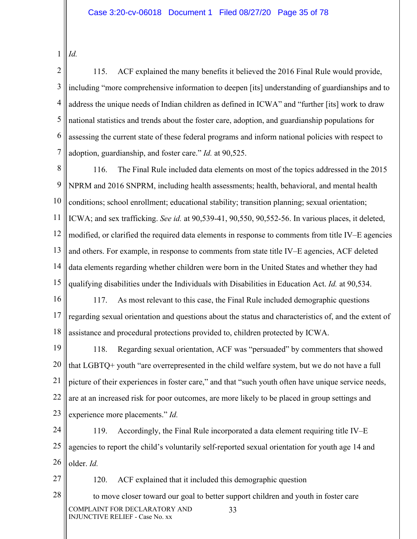1 *Id.*

27

2 3 4 5 6 7 115. ACF explained the many benefits it believed the 2016 Final Rule would provide, including "more comprehensive information to deepen [its] understanding of guardianships and to address the unique needs of Indian children as defined in ICWA" and "further [its] work to draw national statistics and trends about the foster care, adoption, and guardianship populations for assessing the current state of these federal programs and inform national policies with respect to adoption, guardianship, and foster care." *Id.* at 90,525.

8 9 10 11 12 13 14 15 116. The Final Rule included data elements on most of the topics addressed in the 2015 NPRM and 2016 SNPRM, including health assessments; health, behavioral, and mental health conditions; school enrollment; educational stability; transition planning; sexual orientation; ICWA; and sex trafficking. *See id.* at 90,539-41, 90,550, 90,552-56. In various places, it deleted, modified, or clarified the required data elements in response to comments from title IV–E agencies and others. For example, in response to comments from state title IV–E agencies, ACF deleted data elements regarding whether children were born in the United States and whether they had qualifying disabilities under the Individuals with Disabilities in Education Act. *Id.* at 90,534.

16 17 18 117. As most relevant to this case, the Final Rule included demographic questions regarding sexual orientation and questions about the status and characteristics of, and the extent of assistance and procedural protections provided to, children protected by ICWA.

19 20 21 22 23 118. Regarding sexual orientation, ACF was "persuaded" by commenters that showed that LGBTQ+ youth "are overrepresented in the child welfare system, but we do not have a full picture of their experiences in foster care," and that "such youth often have unique service needs, are at an increased risk for poor outcomes, are more likely to be placed in group settings and experience more placements." *Id.*

24 25 26 119. Accordingly, the Final Rule incorporated a data element requiring title IV–E agencies to report the child's voluntarily self-reported sexual orientation for youth age 14 and older. *Id.*

120. ACF explained that it included this demographic question

28 COMPLAINT FOR DECLARATORY AND INJUNCTIVE RELIEF - Case No. xx 33 to move closer toward our goal to better support children and youth in foster care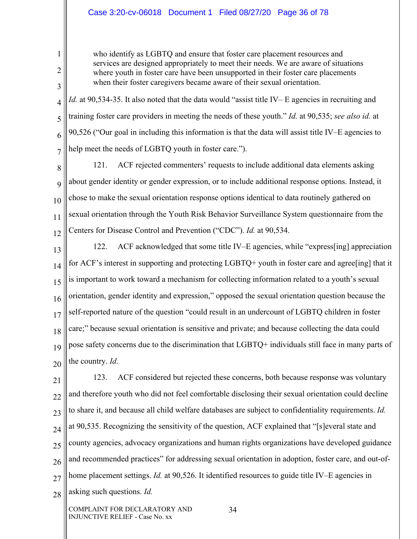### Case 3:20-cv-06018 Document 1 Filed 08/27/20 Page 36 of 78

1

2

3

who identify as LGBTQ and ensure that foster care placement resources and services are designed appropriately to meet their needs. We are aware of situations where youth in foster care have been unsupported in their foster care placements when their foster caregivers became aware of their sexual orientation.

4 5 6 7 *Id.* at 90,534-35. It also noted that the data would "assist title IV– E agencies in recruiting and training foster care providers in meeting the needs of these youth." *Id.* at 90,535; *see also id.* at 90,526 ("Our goal in including this information is that the data will assist title IV–E agencies to help meet the needs of LGBTQ youth in foster care.").

8 9 10 11 12 121. ACF rejected commenters' requests to include additional data elements asking about gender identity or gender expression, or to include additional response options. Instead, it chose to make the sexual orientation response options identical to data routinely gathered on sexual orientation through the Youth Risk Behavior Surveillance System questionnaire from the Centers for Disease Control and Prevention ("CDC"). *Id.* at 90,534.

13 14 15 16 17 18 19 20 122. ACF acknowledged that some title IV–E agencies, while "express[ing] appreciation for ACF's interest in supporting and protecting LGBTQ+ youth in foster care and agree[ing] that it is important to work toward a mechanism for collecting information related to a youth's sexual orientation, gender identity and expression," opposed the sexual orientation question because the self-reported nature of the question "could result in an undercount of LGBTQ children in foster care;" because sexual orientation is sensitive and private; and because collecting the data could pose safety concerns due to the discrimination that LGBTQ+ individuals still face in many parts of the country. *Id.*

21 22 23 24 25 26 27 28 123. ACF considered but rejected these concerns, both because response was voluntary and therefore youth who did not feel comfortable disclosing their sexual orientation could decline to share it, and because all child welfare databases are subject to confidentiality requirements. *Id.* at 90,535. Recognizing the sensitivity of the question, ACF explained that "[s]everal state and county agencies, advocacy organizations and human rights organizations have developed guidance and recommended practices" for addressing sexual orientation in adoption, foster care, and out-ofhome placement settings. *Id.* at 90,526. It identified resources to guide title IV–E agencies in asking such questions. *Id.*

COMPLAINT FOR DECLARATORY AND INJUNCTIVE RELIEF - Case No. xx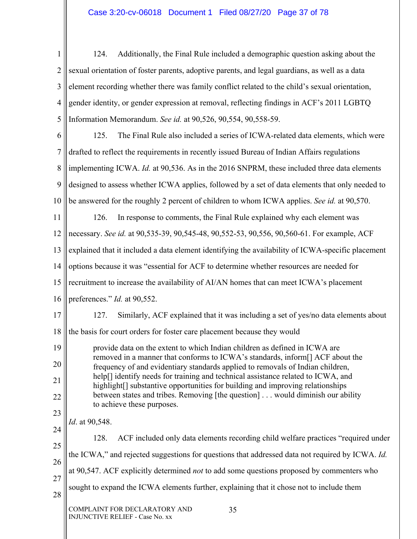## Case 3:20-cv-06018 Document 1 Filed 08/27/20 Page 37 of 78

1 2 3 4 5 124. Additionally, the Final Rule included a demographic question asking about the sexual orientation of foster parents, adoptive parents, and legal guardians, as well as a data element recording whether there was family conflict related to the child's sexual orientation, gender identity, or gender expression at removal, reflecting findings in ACF's 2011 LGBTQ Information Memorandum. *See id.* at 90,526, 90,554, 90,558-59.

6 7 8 9 10 11 12 13 14 15 16 17 18 19 20 21 22 23 24 25 26 27 28 COMPLAINT FOR DECLARATORY AND INJUNCTIVE RELIEF - Case No. xx 35 125. The Final Rule also included a series of ICWA-related data elements, which were drafted to reflect the requirements in recently issued Bureau of Indian Affairs regulations implementing ICWA. *Id.* at 90,536. As in the 2016 SNPRM, these included three data elements designed to assess whether ICWA applies, followed by a set of data elements that only needed to be answered for the roughly 2 percent of children to whom ICWA applies. *See id.* at 90,570. 126. In response to comments, the Final Rule explained why each element was necessary. *See id.* at 90,535-39, 90,545-48, 90,552-53, 90,556, 90,560-61. For example, ACF explained that it included a data element identifying the availability of ICWA-specific placement options because it was "essential for ACF to determine whether resources are needed for recruitment to increase the availability of AI/AN homes that can meet ICWA's placement preferences." *Id.* at 90,552. 127. Similarly, ACF explained that it was including a set of yes/no data elements about the basis for court orders for foster care placement because they would provide data on the extent to which Indian children as defined in ICWA are removed in a manner that conforms to ICWA's standards, inform[] ACF about the frequency of and evidentiary standards applied to removals of Indian children, help<sup>[]</sup> identify needs for training and technical assistance related to ICWA, and highlight<sup>[]</sup> substantive opportunities for building and improving relationships between states and tribes. Removing [the question] . . . would diminish our ability to achieve these purposes. *Id*. at 90,548. 128. ACF included only data elements recording child welfare practices "required under the ICWA," and rejected suggestions for questions that addressed data not required by ICWA. *Id.* at 90,547. ACF explicitly determined *not* to add some questions proposed by commenters who sought to expand the ICWA elements further, explaining that it chose not to include them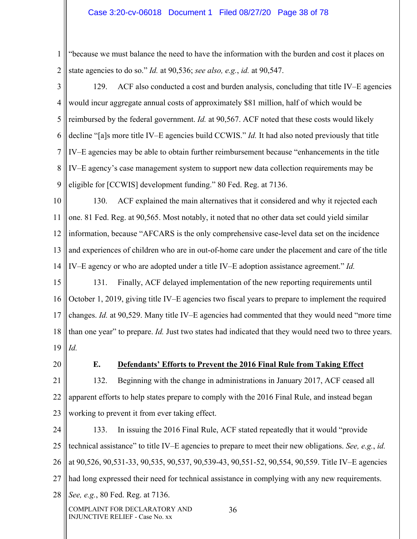#### Case 3:20-cv-06018 Document 1 Filed 08/27/20 Page 38 of 78

1 2 "because we must balance the need to have the information with the burden and cost it places on state agencies to do so." *Id.* at 90,536; *see also, e.g.*, *id.* at 90,547.

3 4 5 6 7 8 9 129. ACF also conducted a cost and burden analysis, concluding that title IV–E agencies would incur aggregate annual costs of approximately \$81 million, half of which would be reimbursed by the federal government. *Id.* at 90,567. ACF noted that these costs would likely decline "[a]s more title IV–E agencies build CCWIS." *Id.* It had also noted previously that title IV–E agencies may be able to obtain further reimbursement because "enhancements in the title IV–E agency's case management system to support new data collection requirements may be eligible for [CCWIS] development funding." 80 Fed. Reg. at 7136.

10 11 12 13 14 130. ACF explained the main alternatives that it considered and why it rejected each one. 81 Fed. Reg. at 90,565. Most notably, it noted that no other data set could yield similar information, because "AFCARS is the only comprehensive case-level data set on the incidence and experiences of children who are in out-of-home care under the placement and care of the title IV–E agency or who are adopted under a title IV–E adoption assistance agreement." *Id.*

15 16 17 18 19 131. Finally, ACF delayed implementation of the new reporting requirements until October 1, 2019, giving title IV–E agencies two fiscal years to prepare to implement the required changes. *Id.* at 90,529. Many title IV–E agencies had commented that they would need "more time than one year" to prepare. *Id.* Just two states had indicated that they would need two to three years. *Id.*

20

### **E. Defendants' Efforts to Prevent the 2016 Final Rule from Taking Effect**

21 22 23 132. Beginning with the change in administrations in January 2017, ACF ceased all apparent efforts to help states prepare to comply with the 2016 Final Rule, and instead began working to prevent it from ever taking effect.

24 25 26 27 28 COMPLAINT FOR DECLARATORY AND INJUNCTIVE RELIEF - Case No. xx 36 133. In issuing the 2016 Final Rule, ACF stated repeatedly that it would "provide technical assistance" to title IV–E agencies to prepare to meet their new obligations. *See, e.g.*, *id.* at 90,526, 90,531-33, 90,535, 90,537, 90,539-43, 90,551-52, 90,554, 90,559. Title IV–E agencies had long expressed their need for technical assistance in complying with any new requirements. *See, e.g.*, 80 Fed. Reg. at 7136.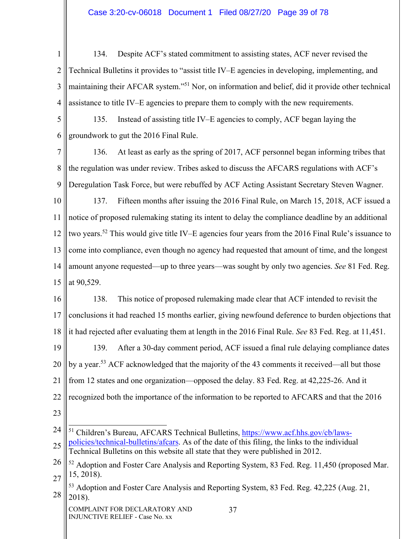## Case 3:20-cv-06018 Document 1 Filed 08/27/20 Page 39 of 78

1 2 3 4 134. Despite ACF's stated commitment to assisting states, ACF never revised the Technical Bulletins it provides to "assist title IV–E agencies in developing, implementing, and maintaining their AFCAR system."51 Nor, on information and belief, did it provide other technical assistance to title IV–E agencies to prepare them to comply with the new requirements.

5 6 135. Instead of assisting title IV–E agencies to comply, ACF began laying the groundwork to gut the 2016 Final Rule.

7 8 9 136. At least as early as the spring of 2017, ACF personnel began informing tribes that the regulation was under review. Tribes asked to discuss the AFCARS regulations with ACF's Deregulation Task Force, but were rebuffed by ACF Acting Assistant Secretary Steven Wagner.

10 11 12 13 14 15 137. Fifteen months after issuing the 2016 Final Rule, on March 15, 2018, ACF issued a notice of proposed rulemaking stating its intent to delay the compliance deadline by an additional two years.<sup>52</sup> This would give title IV–E agencies four years from the 2016 Final Rule's issuance to come into compliance, even though no agency had requested that amount of time, and the longest amount anyone requested—up to three years—was sought by only two agencies. *See* 81 Fed. Reg. at 90,529.

16 17 18 19 20 21 22 138. This notice of proposed rulemaking made clear that ACF intended to revisit the conclusions it had reached 15 months earlier, giving newfound deference to burden objections that it had rejected after evaluating them at length in the 2016 Final Rule. *See* 83 Fed. Reg. at 11,451. 139. After a 30-day comment period, ACF issued a final rule delaying compliance dates by a year.53 ACF acknowledged that the majority of the 43 comments it received—all but those from 12 states and one organization—opposed the delay. 83 Fed. Reg. at 42,225-26. And it recognized both the importance of the information to be reported to AFCARS and that the 2016

23

<sup>24</sup> 25 <sup>51</sup> Children's Bureau, AFCARS Technical Bulletins, https://www.acf.hhs.gov/cb/lawspolicies/technical-bulletins/afcars. As of the date of this filing, the links to the individual Technical Bulletins on this website all state that they were published in 2012.

<sup>26</sup> 27  $52$  Adoption and Foster Care Analysis and Reporting System, 83 Fed. Reg. 11,450 (proposed Mar. 15, 2018).

<sup>28</sup> 53 Adoption and Foster Care Analysis and Reporting System, 83 Fed. Reg. 42,225 (Aug. 21, 2018).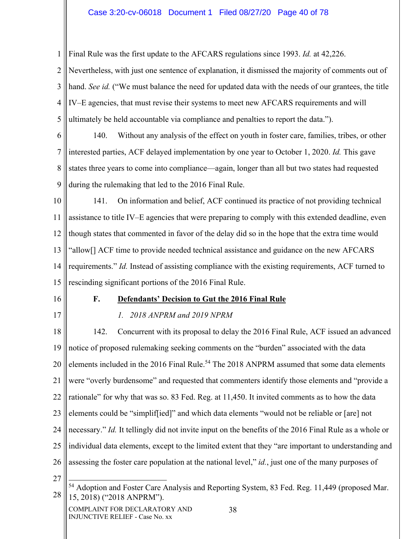## Case 3:20-cv-06018 Document 1 Filed 08/27/20 Page 40 of 78

Final Rule was the first update to the AFCARS regulations since 1993. *Id.* at 42,226.

2 3 4 5 Nevertheless, with just one sentence of explanation, it dismissed the majority of comments out of hand. *See id.* ("We must balance the need for updated data with the needs of our grantees, the title IV–E agencies, that must revise their systems to meet new AFCARS requirements and will ultimately be held accountable via compliance and penalties to report the data.").

6 7 8 9 140. Without any analysis of the effect on youth in foster care, families, tribes, or other interested parties, ACF delayed implementation by one year to October 1, 2020. *Id.* This gave states three years to come into compliance—again, longer than all but two states had requested during the rulemaking that led to the 2016 Final Rule.

10 11 12 13 14 15 141. On information and belief, ACF continued its practice of not providing technical assistance to title IV–E agencies that were preparing to comply with this extended deadline, even though states that commented in favor of the delay did so in the hope that the extra time would "allow[] ACF time to provide needed technical assistance and guidance on the new AFCARS requirements." *Id.* Instead of assisting compliance with the existing requirements, ACF turned to rescinding significant portions of the 2016 Final Rule.

16

1

#### **F. Defendants' Decision to Gut the 2016 Final Rule**

17

#### *1. 2018 ANPRM and 2019 NPRM*

18 19 20 21 22 23 24 25 26 142. Concurrent with its proposal to delay the 2016 Final Rule, ACF issued an advanced notice of proposed rulemaking seeking comments on the "burden" associated with the data elements included in the 2016 Final Rule.<sup>54</sup> The 2018 ANPRM assumed that some data elements were "overly burdensome" and requested that commenters identify those elements and "provide a rationale" for why that was so. 83 Fed. Reg. at 11,450. It invited comments as to how the data elements could be "simplif[ied]" and which data elements "would not be reliable or [are] not necessary." *Id.* It tellingly did not invite input on the benefits of the 2016 Final Rule as a whole or individual data elements, except to the limited extent that they "are important to understanding and assessing the foster care population at the national level," *id.*, just one of the many purposes of

<sup>28</sup> <sup>54</sup> Adoption and Foster Care Analysis and Reporting System, 83 Fed. Reg. 11,449 (proposed Mar. 15, 2018) ("2018 ANPRM").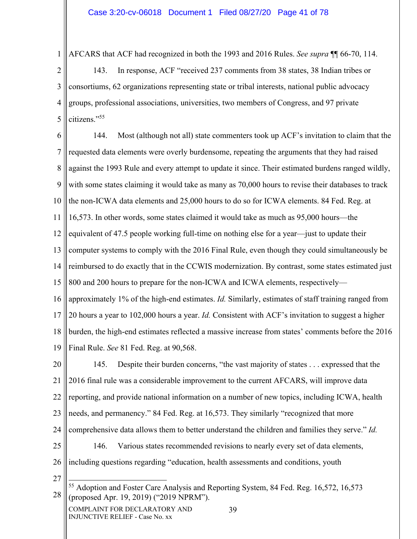1 AFCARS that ACF had recognized in both the 1993 and 2016 Rules. *See supra* ¶¶ 66-70, 114.

2 3 4 5 143. In response, ACF "received 237 comments from 38 states, 38 Indian tribes or consortiums, 62 organizations representing state or tribal interests, national public advocacy groups, professional associations, universities, two members of Congress, and 97 private citizens."55

6 7 8 9 10 11 12 13 14 15 16 17 18 144. Most (although not all) state commenters took up ACF's invitation to claim that the requested data elements were overly burdensome, repeating the arguments that they had raised against the 1993 Rule and every attempt to update it since. Their estimated burdens ranged wildly, with some states claiming it would take as many as 70,000 hours to revise their databases to track the non-ICWA data elements and 25,000 hours to do so for ICWA elements. 84 Fed. Reg. at 16,573. In other words, some states claimed it would take as much as 95,000 hours—the equivalent of 47.5 people working full-time on nothing else for a year—just to update their computer systems to comply with the 2016 Final Rule, even though they could simultaneously be reimbursed to do exactly that in the CCWIS modernization. By contrast, some states estimated just 800 and 200 hours to prepare for the non-ICWA and ICWA elements, respectively approximately 1% of the high-end estimates. *Id.* Similarly, estimates of staff training ranged from 20 hours a year to 102,000 hours a year. *Id.* Consistent with ACF's invitation to suggest a higher burden, the high-end estimates reflected a massive increase from states' comments before the 2016

19 Final Rule. *See* 81 Fed. Reg. at 90,568.

20 21 22 23 24 25 145. Despite their burden concerns, "the vast majority of states . . . expressed that the 2016 final rule was a considerable improvement to the current AFCARS, will improve data reporting, and provide national information on a number of new topics, including ICWA, health needs, and permanency." 84 Fed. Reg. at 16,573. They similarly "recognized that more comprehensive data allows them to better understand the children and families they serve." *Id.* 146. Various states recommended revisions to nearly every set of data elements,

26 including questions regarding "education, health assessments and conditions, youth

27

<sup>28</sup> <sup>55</sup> Adoption and Foster Care Analysis and Reporting System, 84 Fed. Reg. 16,572, 16,573 (proposed Apr. 19, 2019) ("2019 NPRM").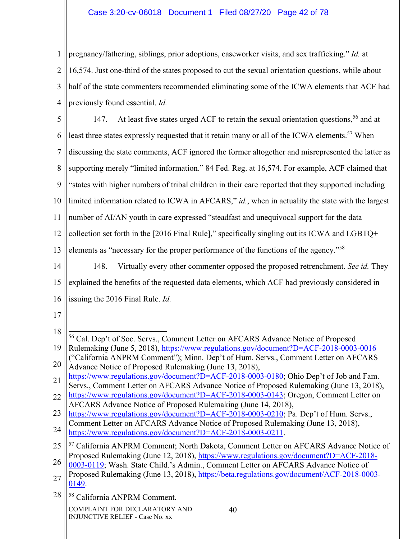# Case 3:20-cv-06018 Document 1 Filed 08/27/20 Page 42 of 78

1 2 3 4 pregnancy/fathering, siblings, prior adoptions, caseworker visits, and sex trafficking." *Id.* at 16,574. Just one-third of the states proposed to cut the sexual orientation questions, while about half of the state commenters recommended eliminating some of the ICWA elements that ACF had previously found essential. *Id.*

5 6 7 8 9 10 11 12 13 14 15 147. At least five states urged ACF to retain the sexual orientation questions,<sup>56</sup> and at least three states expressly requested that it retain many or all of the ICWA elements.<sup>57</sup> When discussing the state comments, ACF ignored the former altogether and misrepresented the latter as supporting merely "limited information." 84 Fed. Reg. at 16,574. For example, ACF claimed that "states with higher numbers of tribal children in their care reported that they supported including limited information related to ICWA in AFCARS," *id.*, when in actuality the state with the largest number of AI/AN youth in care expressed "steadfast and unequivocal support for the data collection set forth in the [2016 Final Rule]," specifically singling out its ICWA and LGBTQ+ elements as "necessary for the proper performance of the functions of the agency."58 148. Virtually every other commenter opposed the proposed retrenchment. *See id.* They explained the benefits of the requested data elements, which ACF had previously considered in

- 16 issuing the 2016 Final Rule. *Id.*
- 17

28 58 California ANPRM Comment.

<sup>18</sup> 19 56 Cal. Dep't of Soc. Servs., Comment Letter on AFCARS Advance Notice of Proposed Rulemaking (June 5, 2018), https://www.regulations.gov/document?D=ACF-2018-0003-0016 ("California ANPRM Comment"); Minn. Dep't of Hum. Servs., Comment Letter on AFCARS

<sup>20</sup> Advance Notice of Proposed Rulemaking (June 13, 2018),

<sup>21</sup> https://www.regulations.gov/document?D=ACF-2018-0003-0180; Ohio Dep't of Job and Fam. Servs., Comment Letter on AFCARS Advance Notice of Proposed Rulemaking (June 13, 2018),

<sup>22</sup> https://www.regulations.gov/document?D=ACF-2018-0003-0143; Oregon, Comment Letter on AFCARS Advance Notice of Proposed Rulemaking (June 14, 2018),

<sup>23</sup> 24 https://www.regulations.gov/document?D=ACF-2018-0003-0210; Pa. Dep't of Hum. Servs., Comment Letter on AFCARS Advance Notice of Proposed Rulemaking (June 13, 2018), https://www.regulations.gov/document?D=ACF-2018-0003-0211.

<sup>25</sup> 57 California ANPRM Comment; North Dakota, Comment Letter on AFCARS Advance Notice of Proposed Rulemaking (June 12, 2018), https://www.regulations.gov/document?D=ACF-2018-

<sup>26</sup> 0003-0119; Wash. State Child.'s Admin., Comment Letter on AFCARS Advance Notice of

<sup>27</sup> Proposed Rulemaking (June 13, 2018), https://beta.regulations.gov/document/ACF-2018-0003- 0149.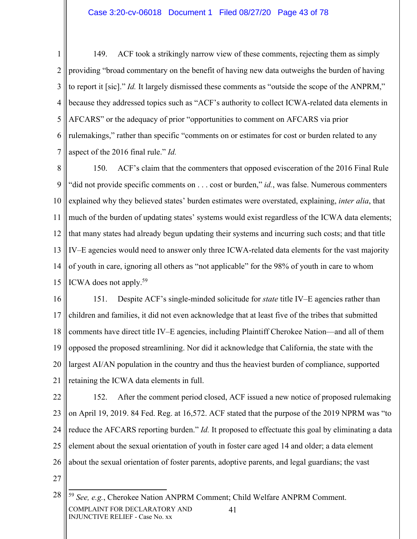1 2 3 4 5 6 7 149. ACF took a strikingly narrow view of these comments, rejecting them as simply providing "broad commentary on the benefit of having new data outweighs the burden of having to report it [sic]." *Id.* It largely dismissed these comments as "outside the scope of the ANPRM," because they addressed topics such as "ACF's authority to collect ICWA-related data elements in AFCARS" or the adequacy of prior "opportunities to comment on AFCARS via prior rulemakings," rather than specific "comments on or estimates for cost or burden related to any aspect of the 2016 final rule." *Id.*

8 9 10 11 12 13 14 15 150. ACF's claim that the commenters that opposed evisceration of the 2016 Final Rule "did not provide specific comments on . . . cost or burden," *id.*, was false. Numerous commenters explained why they believed states' burden estimates were overstated, explaining, *inter alia*, that much of the burden of updating states' systems would exist regardless of the ICWA data elements; that many states had already begun updating their systems and incurring such costs; and that title IV–E agencies would need to answer only three ICWA-related data elements for the vast majority of youth in care, ignoring all others as "not applicable" for the 98% of youth in care to whom ICWA does not apply.59

16 17 18 19 20 21 151. Despite ACF's single-minded solicitude for *state* title IV–E agencies rather than children and families, it did not even acknowledge that at least five of the tribes that submitted comments have direct title IV–E agencies, including Plaintiff Cherokee Nation—and all of them opposed the proposed streamlining. Nor did it acknowledge that California, the state with the largest AI/AN population in the country and thus the heaviest burden of compliance, supported retaining the ICWA data elements in full.

22 23 24 25 26 152. After the comment period closed, ACF issued a new notice of proposed rulemaking on April 19, 2019. 84 Fed. Reg. at 16,572. ACF stated that the purpose of the 2019 NPRM was "to reduce the AFCARS reporting burden." *Id.* It proposed to effectuate this goal by eliminating a data element about the sexual orientation of youth in foster care aged 14 and older; a data element about the sexual orientation of foster parents, adoptive parents, and legal guardians; the vast

<sup>28</sup> COMPLAINT FOR DECLARATORY AND INJUNCTIVE RELIEF - Case No. xx 41 <sup>59</sup> *See, e.g.*, Cherokee Nation ANPRM Comment; Child Welfare ANPRM Comment.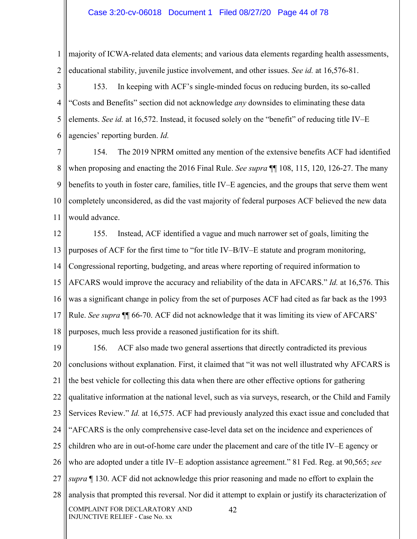#### Case 3:20-cv-06018 Document 1 Filed 08/27/20 Page 44 of 78

1 2 majority of ICWA-related data elements; and various data elements regarding health assessments, educational stability, juvenile justice involvement, and other issues. *See id.* at 16,576-81.

3 4 5 6 153. In keeping with ACF's single-minded focus on reducing burden, its so-called "Costs and Benefits" section did not acknowledge *any* downsides to eliminating these data elements. *See id.* at 16,572. Instead, it focused solely on the "benefit" of reducing title IV–E agencies' reporting burden. *Id.*

7 8 9 10 11 154. The 2019 NPRM omitted any mention of the extensive benefits ACF had identified when proposing and enacting the 2016 Final Rule. *See supra* ¶¶ 108, 115, 120, 126-27. The many benefits to youth in foster care, families, title IV–E agencies, and the groups that serve them went completely unconsidered, as did the vast majority of federal purposes ACF believed the new data would advance.

12 13 14 15 16 17 18 155. Instead, ACF identified a vague and much narrower set of goals, limiting the purposes of ACF for the first time to "for title IV–B/IV–E statute and program monitoring, Congressional reporting, budgeting, and areas where reporting of required information to AFCARS would improve the accuracy and reliability of the data in AFCARS." *Id.* at 16,576. This was a significant change in policy from the set of purposes ACF had cited as far back as the 1993 Rule. *See supra* ¶¶ 66-70. ACF did not acknowledge that it was limiting its view of AFCARS' purposes, much less provide a reasoned justification for its shift.

19 20 21 22 23 24 25 26 27 28 COMPLAINT FOR DECLARATORY AND INJUNCTIVE RELIEF - Case No. xx 42 156. ACF also made two general assertions that directly contradicted its previous conclusions without explanation. First, it claimed that "it was not well illustrated why AFCARS is the best vehicle for collecting this data when there are other effective options for gathering qualitative information at the national level, such as via surveys, research, or the Child and Family Services Review." *Id.* at 16,575. ACF had previously analyzed this exact issue and concluded that "AFCARS is the only comprehensive case-level data set on the incidence and experiences of children who are in out-of-home care under the placement and care of the title IV–E agency or who are adopted under a title IV–E adoption assistance agreement." 81 Fed. Reg. at 90,565; *see supra* ¶ 130. ACF did not acknowledge this prior reasoning and made no effort to explain the analysis that prompted this reversal. Nor did it attempt to explain or justify its characterization of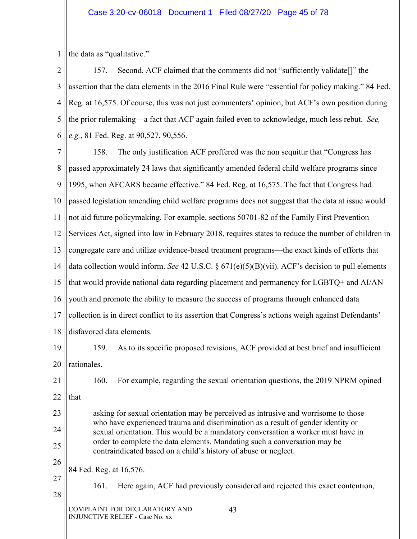1 the data as "qualitative."

2 3 4 5 6 157. Second, ACF claimed that the comments did not "sufficiently validate[]" the assertion that the data elements in the 2016 Final Rule were "essential for policy making." 84 Fed. Reg. at 16,575. Of course, this was not just commenters' opinion, but ACF's own position during the prior rulemaking—a fact that ACF again failed even to acknowledge, much less rebut. *See, e.g.*, 81 Fed. Reg. at 90,527, 90,556.

7 8 9 10 11 12 13 14 15 16 17 18 19 20 21 22 23 24 25 26 27 158. The only justification ACF proffered was the non sequitur that "Congress has passed approximately 24 laws that significantly amended federal child welfare programs since 1995, when AFCARS became effective." 84 Fed. Reg. at 16,575. The fact that Congress had passed legislation amending child welfare programs does not suggest that the data at issue would not aid future policymaking. For example, sections 50701-82 of the Family First Prevention Services Act, signed into law in February 2018, requires states to reduce the number of children in congregate care and utilize evidence-based treatment programs—the exact kinds of efforts that data collection would inform. *See* 42 U.S.C. § 671(e)(5)(B)(vii). ACF's decision to pull elements that would provide national data regarding placement and permanency for LGBTQ+ and AI/AN youth and promote the ability to measure the success of programs through enhanced data collection is in direct conflict to its assertion that Congress's actions weigh against Defendants' disfavored data elements. 159. As to its specific proposed revisions, ACF provided at best brief and insufficient rationales. 160. For example, regarding the sexual orientation questions, the 2019 NPRM opined that asking for sexual orientation may be perceived as intrusive and worrisome to those who have experienced trauma and discrimination as a result of gender identity or sexual orientation. This would be a mandatory conversation a worker must have in order to complete the data elements. Mandating such a conversation may be contraindicated based on a child's history of abuse or neglect. 84 Fed. Reg. at 16,576. 161. Here again, ACF had previously considered and rejected this exact contention,

COMPLAINT FOR DECLARATORY AND INJUNCTIVE RELIEF - Case No. xx

28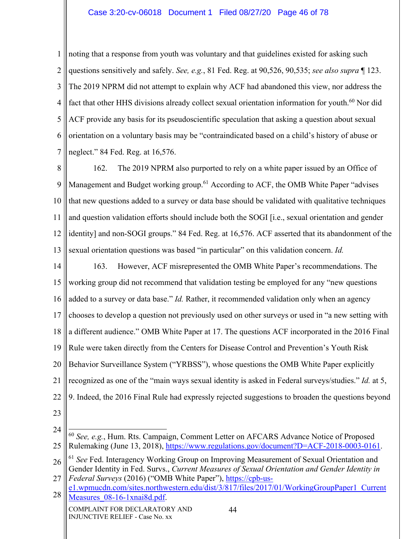## Case 3:20-cv-06018 Document 1 Filed 08/27/20 Page 46 of 78

1 2 3 4 5 6 7 noting that a response from youth was voluntary and that guidelines existed for asking such questions sensitively and safely. *See, e.g.*, 81 Fed. Reg. at 90,526, 90,535; *see also supra* ¶ 123. The 2019 NPRM did not attempt to explain why ACF had abandoned this view, nor address the fact that other HHS divisions already collect sexual orientation information for youth.<sup>60</sup> Nor did ACF provide any basis for its pseudoscientific speculation that asking a question about sexual orientation on a voluntary basis may be "contraindicated based on a child's history of abuse or neglect." 84 Fed. Reg. at 16,576.

8 9 10 11 12 13 162. The 2019 NPRM also purported to rely on a white paper issued by an Office of Management and Budget working group.<sup>61</sup> According to ACF, the OMB White Paper "advises" that new questions added to a survey or data base should be validated with qualitative techniques and question validation efforts should include both the SOGI [i.e., sexual orientation and gender identity] and non-SOGI groups." 84 Fed. Reg. at 16,576. ACF asserted that its abandonment of the sexual orientation questions was based "in particular" on this validation concern. *Id.*

14 15 16 17 18 19 20 21 22 163. However, ACF misrepresented the OMB White Paper's recommendations. The working group did not recommend that validation testing be employed for any "new questions added to a survey or data base." *Id.* Rather, it recommended validation only when an agency chooses to develop a question not previously used on other surveys or used in "a new setting with a different audience." OMB White Paper at 17. The questions ACF incorporated in the 2016 Final Rule were taken directly from the Centers for Disease Control and Prevention's Youth Risk Behavior Surveillance System ("YRBSS"), whose questions the OMB White Paper explicitly recognized as one of the "main ways sexual identity is asked in Federal surveys/studies." *Id.* at 5, 9. Indeed, the 2016 Final Rule had expressly rejected suggestions to broaden the questions beyond

<sup>24</sup> 25 <sup>60</sup> *See, e.g.*, Hum. Rts. Campaign, Comment Letter on AFCARS Advance Notice of Proposed Rulemaking (June 13, 2018), https://www.regulations.gov/document?D=ACF-2018-0003-0161.

<sup>26</sup> <sup>61</sup> See Fed. Interagency Working Group on Improving Measurement of Sexual Orientation and Gender Identity in Fed. Survs., *Current Measures of Sexual Orientation and Gender Identity in* 

<sup>27</sup> *Federal Surveys* (2016) ("OMB White Paper"), https://cpb-us-

<sup>28</sup> e1.wpmucdn.com/sites.northwestern.edu/dist/3/817/files/2017/01/WorkingGroupPaper1\_Current Measures 08-16-1xnai8d.pdf.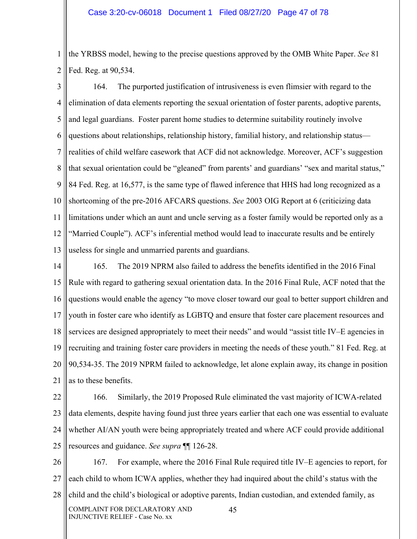1 2 the YRBSS model, hewing to the precise questions approved by the OMB White Paper. *See* 81 Fed. Reg. at 90,534.

3 4 5 6 7 8 9 10 11 12 13 164. The purported justification of intrusiveness is even flimsier with regard to the elimination of data elements reporting the sexual orientation of foster parents, adoptive parents, and legal guardians. Foster parent home studies to determine suitability routinely involve questions about relationships, relationship history, familial history, and relationship status realities of child welfare casework that ACF did not acknowledge. Moreover, ACF's suggestion that sexual orientation could be "gleaned" from parents' and guardians' "sex and marital status," 84 Fed. Reg. at 16,577, is the same type of flawed inference that HHS had long recognized as a shortcoming of the pre-2016 AFCARS questions. *See* 2003 OIG Report at 6 (criticizing data limitations under which an aunt and uncle serving as a foster family would be reported only as a "Married Couple"). ACF's inferential method would lead to inaccurate results and be entirely useless for single and unmarried parents and guardians.

14 15 16 17 18 19 20 21 165. The 2019 NPRM also failed to address the benefits identified in the 2016 Final Rule with regard to gathering sexual orientation data. In the 2016 Final Rule, ACF noted that the questions would enable the agency "to move closer toward our goal to better support children and youth in foster care who identify as LGBTQ and ensure that foster care placement resources and services are designed appropriately to meet their needs" and would "assist title IV–E agencies in recruiting and training foster care providers in meeting the needs of these youth." 81 Fed. Reg. at 90,534-35. The 2019 NPRM failed to acknowledge, let alone explain away, its change in position as to these benefits.

22 23 24 25 166. Similarly, the 2019 Proposed Rule eliminated the vast majority of ICWA-related data elements, despite having found just three years earlier that each one was essential to evaluate whether AI/AN youth were being appropriately treated and where ACF could provide additional resources and guidance. *See supra* ¶¶ 126-28.

26 27 28 COMPLAINT FOR DECLARATORY AND INJUNCTIVE RELIEF - Case No. xx 45 167. For example, where the 2016 Final Rule required title IV–E agencies to report, for each child to whom ICWA applies, whether they had inquired about the child's status with the child and the child's biological or adoptive parents, Indian custodian, and extended family, as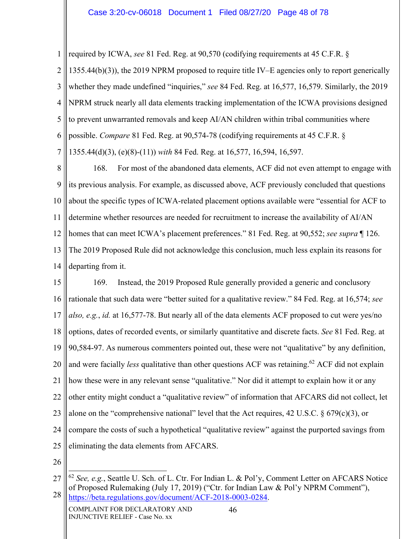1 2 3 4 5 6 7 required by ICWA, *see* 81 Fed. Reg. at 90,570 (codifying requirements at 45 C.F.R. § 1355.44(b)(3)), the 2019 NPRM proposed to require title IV–E agencies only to report generically whether they made undefined "inquiries," *see* 84 Fed. Reg. at 16,577, 16,579. Similarly, the 2019 NPRM struck nearly all data elements tracking implementation of the ICWA provisions designed to prevent unwarranted removals and keep AI/AN children within tribal communities where possible. *Compare* 81 Fed. Reg. at 90,574-78 (codifying requirements at 45 C.F.R. § 1355.44(d)(3), (e)(8)-(11)) *with* 84 Fed. Reg. at 16,577, 16,594, 16,597.

8 9 10 11 12 13 14 168. For most of the abandoned data elements, ACF did not even attempt to engage with its previous analysis. For example, as discussed above, ACF previously concluded that questions about the specific types of ICWA-related placement options available were "essential for ACF to determine whether resources are needed for recruitment to increase the availability of AI/AN homes that can meet ICWA's placement preferences." 81 Fed. Reg. at 90,552; *see supra* ¶ 126. The 2019 Proposed Rule did not acknowledge this conclusion, much less explain its reasons for departing from it.

15 16 17 18 19 20 21 22 23 24 25 169. Instead, the 2019 Proposed Rule generally provided a generic and conclusory rationale that such data were "better suited for a qualitative review." 84 Fed. Reg. at 16,574; *see also, e.g.*, *id.* at 16,577-78. But nearly all of the data elements ACF proposed to cut were yes/no options, dates of recorded events, or similarly quantitative and discrete facts. *See* 81 Fed. Reg. at 90,584-97. As numerous commenters pointed out, these were not "qualitative" by any definition, and were facially *less* qualitative than other questions ACF was retaining.<sup>62</sup> ACF did not explain how these were in any relevant sense "qualitative." Nor did it attempt to explain how it or any other entity might conduct a "qualitative review" of information that AFCARS did not collect, let alone on the "comprehensive national" level that the Act requires, 42 U.S.C. § 679(c)(3), or compare the costs of such a hypothetical "qualitative review" against the purported savings from eliminating the data elements from AFCARS.

26

<sup>27</sup> 28 <sup>62</sup> *See, e.g.*, Seattle U. Sch. of L. Ctr. For Indian L. & Pol'y, Comment Letter on AFCARS Notice of Proposed Rulemaking (July 17, 2019) ("Ctr. for Indian Law & Pol'y NPRM Comment"), https://beta.regulations.gov/document/ACF-2018-0003-0284.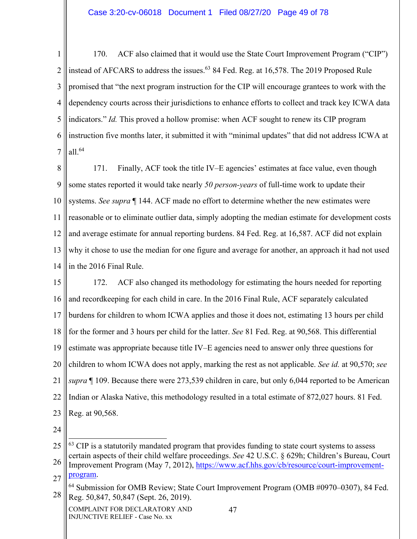1 2 3 4 5 6 7 170. ACF also claimed that it would use the State Court Improvement Program ("CIP") instead of AFCARS to address the issues.<sup>63</sup> 84 Fed. Reg. at 16,578. The 2019 Proposed Rule promised that "the next program instruction for the CIP will encourage grantees to work with the dependency courts across their jurisdictions to enhance efforts to collect and track key ICWA data indicators." *Id.* This proved a hollow promise: when ACF sought to renew its CIP program instruction five months later, it submitted it with "minimal updates" that did not address ICWA at all.64

8 9 10 11 12 13 14 171. Finally, ACF took the title IV–E agencies' estimates at face value, even though some states reported it would take nearly *50 person-years* of full-time work to update their systems. *See supra* ¶ 144. ACF made no effort to determine whether the new estimates were reasonable or to eliminate outlier data, simply adopting the median estimate for development costs and average estimate for annual reporting burdens. 84 Fed. Reg. at 16,587. ACF did not explain why it chose to use the median for one figure and average for another, an approach it had not used in the 2016 Final Rule.

- 15 16 17 18 19 20 21 22 23 172. ACF also changed its methodology for estimating the hours needed for reporting and recordkeeping for each child in care. In the 2016 Final Rule, ACF separately calculated burdens for children to whom ICWA applies and those it does not, estimating 13 hours per child for the former and 3 hours per child for the latter. *See* 81 Fed. Reg. at 90,568. This differential estimate was appropriate because title IV–E agencies need to answer only three questions for children to whom ICWA does not apply, marking the rest as not applicable. *See id.* at 90,570; *see supra* ¶ 109. Because there were 273,539 children in care, but only 6,044 reported to be American Indian or Alaska Native, this methodology resulted in a total estimate of 872,027 hours. 81 Fed. Reg. at 90,568.
- 24

COMPLAINT FOR DECLARATORY AND INJUNCTIVE RELIEF - Case No. xx

<sup>25</sup>  $63$  CIP is a statutorily mandated program that provides funding to state court systems to assess certain aspects of their child welfare proceedings. *See* 42 U.S.C. § 629h; Children's Bureau, Court

<sup>26</sup> 27 Improvement Program (May 7, 2012), https://www.acf.hhs.gov/cb/resource/court-improvementprogram.

<sup>28</sup> <sup>64</sup> Submission for OMB Review; State Court Improvement Program (OMB #0970–0307), 84 Fed. Reg. 50,847, 50,847 (Sept. 26, 2019).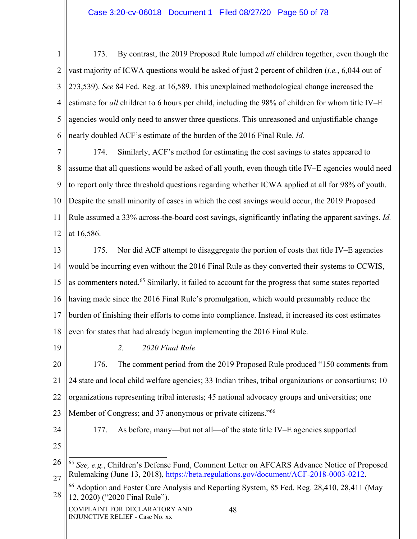1 2 3 4 5 6 173. By contrast, the 2019 Proposed Rule lumped *all* children together, even though the vast majority of ICWA questions would be asked of just 2 percent of children (*i.e.*, 6,044 out of 273,539). *See* 84 Fed. Reg. at 16,589. This unexplained methodological change increased the estimate for *all* children to 6 hours per child, including the 98% of children for whom title IV–E agencies would only need to answer three questions. This unreasoned and unjustifiable change nearly doubled ACF's estimate of the burden of the 2016 Final Rule. *Id.*

7 8 9 10 11 12 174. Similarly, ACF's method for estimating the cost savings to states appeared to assume that all questions would be asked of all youth, even though title IV–E agencies would need to report only three threshold questions regarding whether ICWA applied at all for 98% of youth. Despite the small minority of cases in which the cost savings would occur, the 2019 Proposed Rule assumed a 33% across-the-board cost savings, significantly inflating the apparent savings. *Id.* at 16,586.

13 14 15 16 17 18 175. Nor did ACF attempt to disaggregate the portion of costs that title IV–E agencies would be incurring even without the 2016 Final Rule as they converted their systems to CCWIS, as commenters noted.<sup>65</sup> Similarly, it failed to account for the progress that some states reported having made since the 2016 Final Rule's promulgation, which would presumably reduce the burden of finishing their efforts to come into compliance. Instead, it increased its cost estimates even for states that had already begun implementing the 2016 Final Rule.

19

*2. 2020 Final Rule*

20 21 22 23 176. The comment period from the 2019 Proposed Rule produced "150 comments from 24 state and local child welfare agencies; 33 Indian tribes, tribal organizations or consortiums; 10 organizations representing tribal interests; 45 national advocacy groups and universities; one Member of Congress; and 37 anonymous or private citizens."<sup>66</sup>

24

177. As before, many—but not all—of the state title IV–E agencies supported

25

26 27 <sup>65</sup> *See, e.g.*, Children's Defense Fund, Comment Letter on AFCARS Advance Notice of Proposed Rulemaking (June 13, 2018), https://beta.regulations.gov/document/ACF-2018-0003-0212.

28 66 Adoption and Foster Care Analysis and Reporting System, 85 Fed. Reg. 28,410, 28,411 (May 12, 2020) ("2020 Final Rule").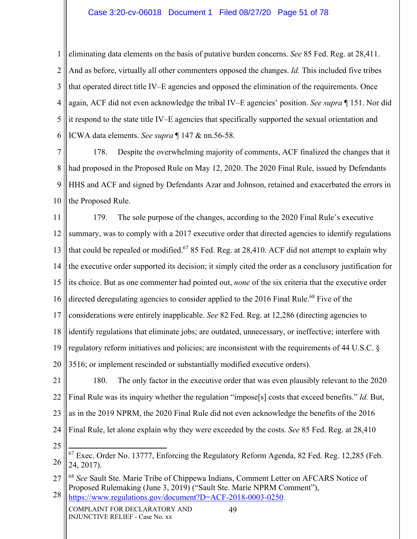### Case 3:20-cv-06018 Document 1 Filed 08/27/20 Page 51 of 78

1 2 3 4 5 6 eliminating data elements on the basis of putative burden concerns. *See* 85 Fed. Reg. at 28,411. And as before, virtually all other commenters opposed the changes. *Id.* This included five tribes that operated direct title IV–E agencies and opposed the elimination of the requirements. Once again, ACF did not even acknowledge the tribal IV–E agencies' position. *See supra* ¶ 151. Nor did it respond to the state title IV–E agencies that specifically supported the sexual orientation and ICWA data elements. *See supra* ¶ 147 & nn.56-58.

7 8 9 10 178. Despite the overwhelming majority of comments, ACF finalized the changes that it had proposed in the Proposed Rule on May 12, 2020. The 2020 Final Rule, issued by Defendants HHS and ACF and signed by Defendants Azar and Johnson, retained and exacerbated the errors in the Proposed Rule.

11 12 13 14 15 16 17 18 19 20 179. The sole purpose of the changes, according to the 2020 Final Rule's executive summary, was to comply with a 2017 executive order that directed agencies to identify regulations that could be repealed or modified.<sup>67</sup> 85 Fed. Reg. at 28,410. ACF did not attempt to explain why the executive order supported its decision; it simply cited the order as a conclusory justification for its choice. But as one commenter had pointed out, *none* of the six criteria that the executive order directed deregulating agencies to consider applied to the 2016 Final Rule.<sup>68</sup> Five of the considerations were entirely inapplicable. *See* 82 Fed. Reg. at 12,286 (directing agencies to identify regulations that eliminate jobs; are outdated, unnecessary, or ineffective; interfere with regulatory reform initiatives and policies; are inconsistent with the requirements of 44 U.S.C. § 3516; or implement rescinded or substantially modified executive orders).

- 21 22 23 24 180. The only factor in the executive order that was even plausibly relevant to the 2020 Final Rule was its inquiry whether the regulation "impose[s] costs that exceed benefits." *Id.* But, as in the 2019 NPRM, the 2020 Final Rule did not even acknowledge the benefits of the 2016 Final Rule, let alone explain why they were exceeded by the costs. *See* 85 Fed. Reg. at 28,410
	- 25

https://www.regulations.gov/document?D=ACF-2018-0003-0250.

<sup>26</sup>  $67$  Exec. Order No. 13777, Enforcing the Regulatory Reform Agenda, 82 Fed. Reg. 12,285 (Feb. 24, 2017).

<sup>27</sup> 28 <sup>68</sup> *See* Sault Ste. Marie Tribe of Chippewa Indians, Comment Letter on AFCARS Notice of Proposed Rulemaking (June 3, 2019) ("Sault Ste. Marie NPRM Comment"),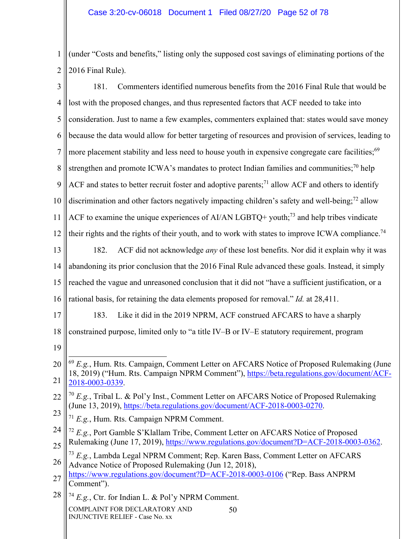1 2 2016 Final Rule). (under "Costs and benefits," listing only the supposed cost savings of eliminating portions of the

| 3              | 181.<br>Commenters identified numerous benefits from the 2016 Final Rule that would be                                                                                                                         |  |  |  |  |  |
|----------------|----------------------------------------------------------------------------------------------------------------------------------------------------------------------------------------------------------------|--|--|--|--|--|
| $\overline{4}$ | lost with the proposed changes, and thus represented factors that ACF needed to take into                                                                                                                      |  |  |  |  |  |
| 5              | consideration. Just to name a few examples, commenters explained that: states would save money                                                                                                                 |  |  |  |  |  |
| 6              | because the data would allow for better targeting of resources and provision of services, leading to                                                                                                           |  |  |  |  |  |
| 7              | more placement stability and less need to house youth in expensive congregate care facilities; <sup>69</sup>                                                                                                   |  |  |  |  |  |
| 8              | strengthen and promote ICWA's mandates to protect Indian families and communities; <sup>70</sup> help                                                                                                          |  |  |  |  |  |
| 9              | ACF and states to better recruit foster and adoptive parents; <sup>71</sup> allow ACF and others to identify                                                                                                   |  |  |  |  |  |
| 10             | discrimination and other factors negatively impacting children's safety and well-being; <sup>72</sup> allow                                                                                                    |  |  |  |  |  |
| 11             | ACF to examine the unique experiences of AI/AN LGBTQ+ youth; <sup>73</sup> and help tribes vindicate                                                                                                           |  |  |  |  |  |
| 12             | their rights and the rights of their youth, and to work with states to improve ICWA compliance. <sup>74</sup>                                                                                                  |  |  |  |  |  |
| 13             | ACF did not acknowledge <i>any</i> of these lost benefits. Nor did it explain why it was<br>182.                                                                                                               |  |  |  |  |  |
| 14             | abandoning its prior conclusion that the 2016 Final Rule advanced these goals. Instead, it simply                                                                                                              |  |  |  |  |  |
| 15             | reached the vague and unreasoned conclusion that it did not "have a sufficient justification, or a                                                                                                             |  |  |  |  |  |
| 16             | rational basis, for retaining the data elements proposed for removal." Id. at 28,411.                                                                                                                          |  |  |  |  |  |
| 17             | 183.<br>Like it did in the 2019 NPRM, ACF construed AFCARS to have a sharply                                                                                                                                   |  |  |  |  |  |
| 18             | constrained purpose, limited only to "a title IV-B or IV-E statutory requirement, program                                                                                                                      |  |  |  |  |  |
| 19             |                                                                                                                                                                                                                |  |  |  |  |  |
| 20<br>21       | $^{69}$ E.g., Hum. Rts. Campaign, Comment Letter on AFCARS Notice of Proposed Rulemaking (June<br>18, 2019) ("Hum. Rts. Campaign NPRM Comment"), https://beta.regulations.gov/document/ACF-<br>2018-0003-0339. |  |  |  |  |  |
| 22             | $^{70}$ E.g., Tribal L. & Pol'y Inst., Comment Letter on AFCARS Notice of Proposed Rulemaking<br>(June 13, 2019), https://beta.regulations.gov/document/ACF-2018-0003-0270.                                    |  |  |  |  |  |
| 23             | $71$ E.g., Hum. Rts. Campaign NPRM Comment.                                                                                                                                                                    |  |  |  |  |  |
| 24<br>25       | $72$ E.g., Port Gamble S'Klallam Tribe, Comment Letter on AFCARS Notice of Proposed<br>Rulemaking (June 17, 2019), https://www.regulations.gov/document?D=ACF-2018-0003-0362.                                  |  |  |  |  |  |
| 26             | $^{73}$ E.g., Lambda Legal NPRM Comment; Rep. Karen Bass, Comment Letter on AFCARS<br>Advance Notice of Proposed Rulemaking (Jun 12, 2018),                                                                    |  |  |  |  |  |
| 27             | https://www.regulations.gov/document?D=ACF-2018-0003-0106 ("Rep. Bass ANPRM<br>Comment").                                                                                                                      |  |  |  |  |  |
| 28             | $^{74}$ E.g., Ctr. for Indian L. & Pol'y NPRM Comment.                                                                                                                                                         |  |  |  |  |  |
|                | COMPLAINT FOR DECLARATORY AND<br>50<br><b>INJUNCTIVE RELIEF - Case No. xx</b>                                                                                                                                  |  |  |  |  |  |

II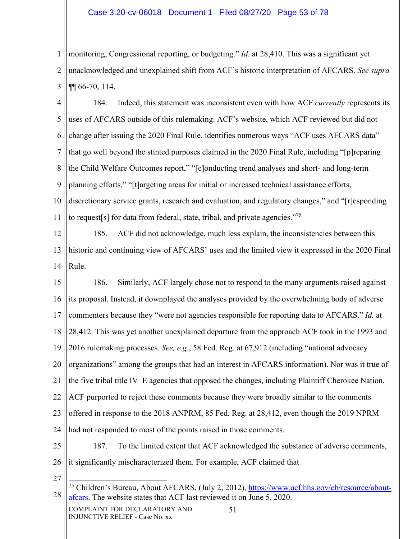## Case 3:20-cv-06018 Document 1 Filed 08/27/20 Page 53 of 78

1 2 3 monitoring, Congressional reporting, or budgeting." *Id.* at 28,410. This was a significant yet unacknowledged and unexplained shift from ACF's historic interpretation of AFCARS. *See supra* ¶¶ 66-70, 114.

4 5 6 7 8 9 10 11 184. Indeed, this statement was inconsistent even with how ACF *currently* represents its uses of AFCARS outside of this rulemaking. ACF's website, which ACF reviewed but did not change after issuing the 2020 Final Rule, identifies numerous ways "ACF uses AFCARS data" that go well beyond the stinted purposes claimed in the 2020 Final Rule, including "[p]reparing the Child Welfare Outcomes report," "[c]onducting trend analyses and short- and long-term planning efforts," "[t]argeting areas for initial or increased technical assistance efforts, discretionary service grants, research and evaluation, and regulatory changes," and "[r]esponding to request<sup>[s]</sup> for data from federal, state, tribal, and private agencies."<sup>75</sup>

12 13 14 185. ACF did not acknowledge, much less explain, the inconsistencies between this historic and continuing view of AFCARS' uses and the limited view it expressed in the 2020 Final Rule.

15 16 17 18 19 20 21 22 23 24 186. Similarly, ACF largely chose not to respond to the many arguments raised against its proposal. Instead, it downplayed the analyses provided by the overwhelming body of adverse commenters because they "were not agencies responsible for reporting data to AFCARS." *Id.* at 28,412. This was yet another unexplained departure from the approach ACF took in the 1993 and 2016 rulemaking processes. *See, e.g.*, 58 Fed. Reg. at 67,912 (including "national advocacy organizations" among the groups that had an interest in AFCARS information). Nor was it true of the five tribal title IV–E agencies that opposed the changes, including Plaintiff Cherokee Nation. ACF purported to reject these comments because they were broadly similar to the comments offered in response to the 2018 ANPRM, 85 Fed. Reg. at 28,412, even though the 2019 NPRM had not responded to most of the points raised in those comments.

25 26

187. To the limited extent that ACF acknowledged the substance of adverse comments, it significantly mischaracterized them. For example, ACF claimed that

27

<sup>28</sup> <sup>75</sup> Children's Bureau, About AFCARS, (July 2, 2012), https://www.acf.hhs.gov/cb/resource/aboutafcars. The website states that ACF last reviewed it on June 5, 2020.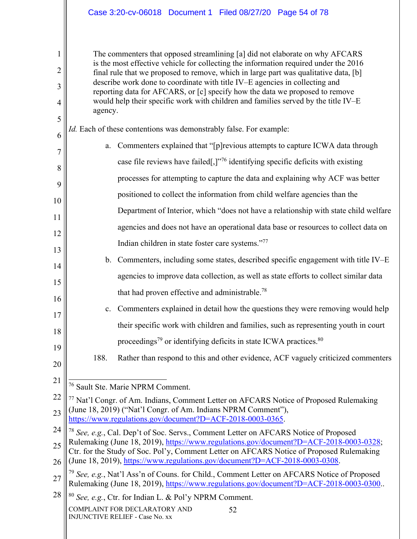|                                                                                                                                                                                                                                                                                                                                                                                                                                                                                                                              |  |  |  | Case 3:20-cv-06018 Document 1 Filed 08/27/20 Page 54 of 78 |                                                                                      |  |  |
|------------------------------------------------------------------------------------------------------------------------------------------------------------------------------------------------------------------------------------------------------------------------------------------------------------------------------------------------------------------------------------------------------------------------------------------------------------------------------------------------------------------------------|--|--|--|------------------------------------------------------------|--------------------------------------------------------------------------------------|--|--|
|                                                                                                                                                                                                                                                                                                                                                                                                                                                                                                                              |  |  |  |                                                            |                                                                                      |  |  |
| The commenters that opposed streamlining [a] did not elaborate on why AFCARS<br>is the most effective vehicle for collecting the information required under the 2016<br>final rule that we proposed to remove, which in large part was qualitative data, [b]<br>describe work done to coordinate with title IV–E agencies in collecting and<br>reporting data for AFCARS, or [c] specify how the data we proposed to remove<br>would help their specific work with children and families served by the title IV-E<br>agency. |  |  |  |                                                            |                                                                                      |  |  |
| <i>Id.</i> Each of these contentions was demonstrably false. For example:                                                                                                                                                                                                                                                                                                                                                                                                                                                    |  |  |  |                                                            |                                                                                      |  |  |
| Commenters explained that "[p] revious attempts to capture ICWA data through<br>a.                                                                                                                                                                                                                                                                                                                                                                                                                                           |  |  |  |                                                            |                                                                                      |  |  |
| case file reviews have failed[,] $\frac{1}{2}$ identifying specific deficits with existing                                                                                                                                                                                                                                                                                                                                                                                                                                   |  |  |  |                                                            |                                                                                      |  |  |
|                                                                                                                                                                                                                                                                                                                                                                                                                                                                                                                              |  |  |  |                                                            | processes for attempting to capture the data and explaining why ACF was better       |  |  |
| positioned to collect the information from child welfare agencies than the                                                                                                                                                                                                                                                                                                                                                                                                                                                   |  |  |  |                                                            |                                                                                      |  |  |
|                                                                                                                                                                                                                                                                                                                                                                                                                                                                                                                              |  |  |  |                                                            | Department of Interior, which "does not have a relationship with state child welfare |  |  |
|                                                                                                                                                                                                                                                                                                                                                                                                                                                                                                                              |  |  |  |                                                            |                                                                                      |  |  |

agencies and does not have an operational data base or resources to collect data on Indian children in state foster care systems."77

- 14 15 16 b. Commenters, including some states, described specific engagement with title IV–E agencies to improve data collection, as well as state efforts to collect similar data that had proven effective and administrable.78
	- c. Commenters explained in detail how the questions they were removing would help their specific work with children and families, such as representing youth in court proceedings<sup>79</sup> or identifying deficits in state ICWA practices. $80$
	- 188. Rather than respond to this and other evidence, ACF vaguely criticized commenters
- 20 21

17

18

19

1

2

3

4

5

6

7

8

9

10

11

12

13

76 Sault Ste. Marie NPRM Comment.

52

28 <sup>80</sup> *See, e.g.*, Ctr. for Indian L. & Pol'y NPRM Comment.

<sup>22</sup> 23 77 Nat'l Congr. of Am. Indians, Comment Letter on AFCARS Notice of Proposed Rulemaking (June 18, 2019) ("Nat'l Congr. of Am. Indians NPRM Comment"), https://www.regulations.gov/document?D=ACF-2018-0003-0365.

<sup>24</sup> 25 <sup>78</sup> *See, e.g.*, Cal. Dep't of Soc. Servs., Comment Letter on AFCARS Notice of Proposed Rulemaking (June 18, 2019), https://www.regulations.gov/document?D=ACF-2018-0003-0328;

<sup>26</sup> Ctr. for the Study of Soc. Pol'y, Comment Letter on AFCARS Notice of Proposed Rulemaking (June 18, 2019), https://www.regulations.gov/document?D=ACF-2018-0003-0308.

<sup>27</sup> <sup>79</sup> *See, e.g.*, Nat'l Ass'n of Couns. for Child., Comment Letter on AFCARS Notice of Proposed Rulemaking (June 18, 2019), https://www.regulations.gov/document?D=ACF-2018-0003-0300..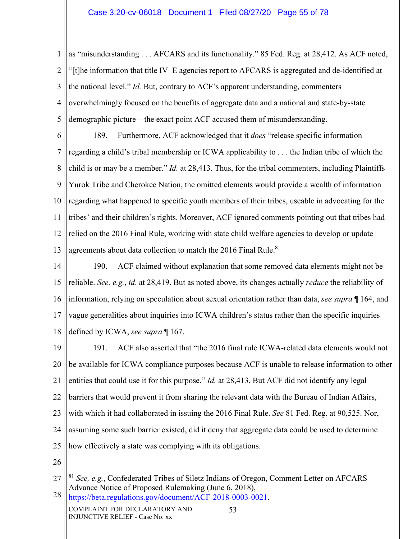1 2 3 4 5 as "misunderstanding . . . AFCARS and its functionality." 85 Fed. Reg. at 28,412. As ACF noted, "[t]he information that title IV–E agencies report to AFCARS is aggregated and de-identified at the national level." *Id.* But, contrary to ACF's apparent understanding, commenters overwhelmingly focused on the benefits of aggregate data and a national and state-by-state demographic picture—the exact point ACF accused them of misunderstanding.

6 7 8 9 10 11 12 13 189. Furthermore, ACF acknowledged that it *does* "release specific information regarding a child's tribal membership or ICWA applicability to . . . the Indian tribe of which the child is or may be a member." *Id.* at 28,413. Thus, for the tribal commenters, including Plaintiffs Yurok Tribe and Cherokee Nation, the omitted elements would provide a wealth of information regarding what happened to specific youth members of their tribes, useable in advocating for the tribes' and their children's rights. Moreover, ACF ignored comments pointing out that tribes had relied on the 2016 Final Rule, working with state child welfare agencies to develop or update agreements about data collection to match the 2016 Final Rule.<sup>81</sup>

14 15 16 17 18 190. ACF claimed without explanation that some removed data elements might not be reliable. *See, e.g.*, *id*. at 28,419. But as noted above, its changes actually *reduce* the reliability of information, relying on speculation about sexual orientation rather than data, *see supra* ¶ 164, and vague generalities about inquiries into ICWA children's status rather than the specific inquiries defined by ICWA, *see supra* ¶ 167.

19 20 21 22 23 24 25 191. ACF also asserted that "the 2016 final rule ICWA-related data elements would not be available for ICWA compliance purposes because ACF is unable to release information to other entities that could use it for this purpose." *Id.* at 28,413. But ACF did not identify any legal barriers that would prevent it from sharing the relevant data with the Bureau of Indian Affairs, with which it had collaborated in issuing the 2016 Final Rule. *See* 81 Fed. Reg. at 90,525. Nor, assuming some such barrier existed, did it deny that aggregate data could be used to determine how effectively a state was complying with its obligations.

<sup>27</sup> 28 <sup>81</sup> *See, e.g.*, Confederated Tribes of Siletz Indians of Oregon, Comment Letter on AFCARS Advance Notice of Proposed Rulemaking (June 6, 2018),

COMPLAINT FOR DECLARATORY AND INJUNCTIVE RELIEF - Case No. xx 53 https://beta.regulations.gov/document/ACF-2018-0003-0021.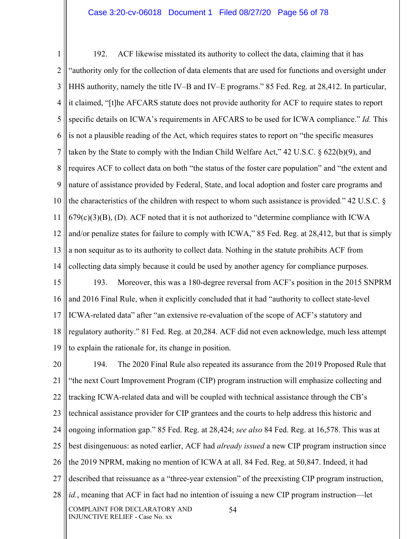#### Case 3:20-cv-06018 Document 1 Filed 08/27/20 Page 56 of 78

1 2 3 4 5 6 7 8 9 10 11 12 13 14 192. ACF likewise misstated its authority to collect the data, claiming that it has "authority only for the collection of data elements that are used for functions and oversight under HHS authority, namely the title IV–B and IV–E programs." 85 Fed. Reg. at 28,412. In particular, it claimed, "[t]he AFCARS statute does not provide authority for ACF to require states to report specific details on ICWA's requirements in AFCARS to be used for ICWA compliance." *Id.* This is not a plausible reading of the Act, which requires states to report on "the specific measures taken by the State to comply with the Indian Child Welfare Act," 42 U.S.C. § 622(b)(9), and requires ACF to collect data on both "the status of the foster care population" and "the extent and nature of assistance provided by Federal, State, and local adoption and foster care programs and the characteristics of the children with respect to whom such assistance is provided." 42 U.S.C. §  $679(c)(3)(B)$ , (D). ACF noted that it is not authorized to "determine compliance with ICWA and/or penalize states for failure to comply with ICWA," 85 Fed. Reg. at 28,412, but that is simply a non sequitur as to its authority to collect data. Nothing in the statute prohibits ACF from collecting data simply because it could be used by another agency for compliance purposes.

15 16 17 18 19 193. Moreover, this was a 180-degree reversal from ACF's position in the 2015 SNPRM and 2016 Final Rule, when it explicitly concluded that it had "authority to collect state-level ICWA-related data" after "an extensive re-evaluation of the scope of ACF's statutory and regulatory authority." 81 Fed. Reg. at 20,284. ACF did not even acknowledge, much less attempt to explain the rationale for, its change in position.

20 21 22 23 24 25 26 27 28 COMPLAINT FOR DECLARATORY AND INJUNCTIVE RELIEF - Case No. xx 54 194. The 2020 Final Rule also repeated its assurance from the 2019 Proposed Rule that "the next Court Improvement Program (CIP) program instruction will emphasize collecting and tracking ICWA-related data and will be coupled with technical assistance through the CB's technical assistance provider for CIP grantees and the courts to help address this historic and ongoing information gap." 85 Fed. Reg. at 28,424; *see also* 84 Fed. Reg. at 16,578. This was at best disingenuous: as noted earlier, ACF had *already issued* a new CIP program instruction since the 2019 NPRM, making no mention of ICWA at all. 84 Fed. Reg. at 50,847. Indeed, it had described that reissuance as a "three-year extension" of the preexisting CIP program instruction, *id.*, meaning that ACF in fact had no intention of issuing a new CIP program instruction—let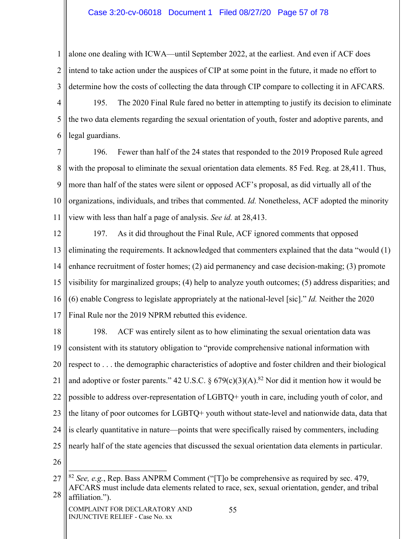### Case 3:20-cv-06018 Document 1 Filed 08/27/20 Page 57 of 78

1 2 3 alone one dealing with ICWA—until September 2022, at the earliest. And even if ACF does intend to take action under the auspices of CIP at some point in the future, it made no effort to determine how the costs of collecting the data through CIP compare to collecting it in AFCARS.

4 5 6 195. The 2020 Final Rule fared no better in attempting to justify its decision to eliminate the two data elements regarding the sexual orientation of youth, foster and adoptive parents, and legal guardians.

7 8 9 10 11 196. Fewer than half of the 24 states that responded to the 2019 Proposed Rule agreed with the proposal to eliminate the sexual orientation data elements. 85 Fed. Reg. at 28,411. Thus, more than half of the states were silent or opposed ACF's proposal, as did virtually all of the organizations, individuals, and tribes that commented. *Id.* Nonetheless, ACF adopted the minority view with less than half a page of analysis. *See id.* at 28,413.

12 13 14 15 16 17 197. As it did throughout the Final Rule, ACF ignored comments that opposed eliminating the requirements. It acknowledged that commenters explained that the data "would (1) enhance recruitment of foster homes; (2) aid permanency and case decision-making; (3) promote visibility for marginalized groups; (4) help to analyze youth outcomes; (5) address disparities; and (6) enable Congress to legislate appropriately at the national-level [sic]." *Id.* Neither the 2020 Final Rule nor the 2019 NPRM rebutted this evidence.

18 19 20 21 22 23 24 25 198. ACF was entirely silent as to how eliminating the sexual orientation data was consistent with its statutory obligation to "provide comprehensive national information with respect to . . . the demographic characteristics of adoptive and foster children and their biological and adoptive or foster parents." 42 U.S.C. §  $679(c)(3)(A)$ .<sup>82</sup> Nor did it mention how it would be possible to address over-representation of LGBTQ+ youth in care, including youth of color, and the litany of poor outcomes for LGBTQ+ youth without state-level and nationwide data, data that is clearly quantitative in nature—points that were specifically raised by commenters, including nearly half of the state agencies that discussed the sexual orientation data elements in particular.

<sup>27</sup> 28 <sup>82</sup> *See, e.g.*, Rep. Bass ANPRM Comment ("[T]o be comprehensive as required by sec. 479, AFCARS must include data elements related to race, sex, sexual orientation, gender, and tribal affiliation.").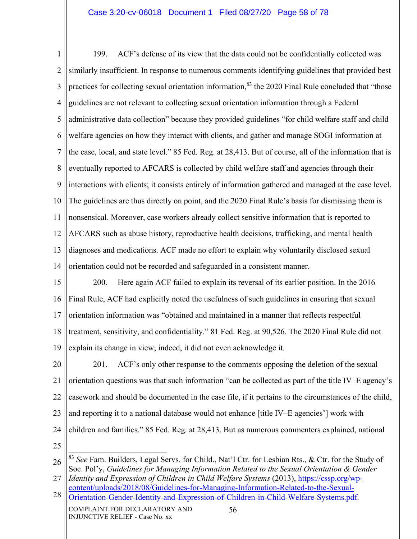1 2 3 4 5 6 7 8 9 10 11 12 13 14 199. ACF's defense of its view that the data could not be confidentially collected was similarly insufficient. In response to numerous comments identifying guidelines that provided best practices for collecting sexual orientation information,<sup>83</sup> the 2020 Final Rule concluded that "those guidelines are not relevant to collecting sexual orientation information through a Federal administrative data collection" because they provided guidelines "for child welfare staff and child welfare agencies on how they interact with clients, and gather and manage SOGI information at the case, local, and state level." 85 Fed. Reg. at 28,413. But of course, all of the information that is eventually reported to AFCARS is collected by child welfare staff and agencies through their interactions with clients; it consists entirely of information gathered and managed at the case level. The guidelines are thus directly on point, and the 2020 Final Rule's basis for dismissing them is nonsensical. Moreover, case workers already collect sensitive information that is reported to AFCARS such as abuse history, reproductive health decisions, trafficking, and mental health diagnoses and medications. ACF made no effort to explain why voluntarily disclosed sexual orientation could not be recorded and safeguarded in a consistent manner.

- 15 16 17 18 19 200. Here again ACF failed to explain its reversal of its earlier position. In the 2016 Final Rule, ACF had explicitly noted the usefulness of such guidelines in ensuring that sexual orientation information was "obtained and maintained in a manner that reflects respectful treatment, sensitivity, and confidentiality." 81 Fed. Reg. at 90,526. The 2020 Final Rule did not explain its change in view; indeed, it did not even acknowledge it.
- 20 21 22 23 24 201. ACF's only other response to the comments opposing the deletion of the sexual orientation questions was that such information "can be collected as part of the title IV–E agency's casework and should be documented in the case file, if it pertains to the circumstances of the child, and reporting it to a national database would not enhance [title IV–E agencies'] work with children and families." 85 Fed. Reg. at 28,413. But as numerous commenters explained, national
- 25

27 *Identity and Expression of Children in Child Welfare Systems* (2013), https://cssp.org/wpcontent/uploads/2018/08/Guidelines-for-Managing-Information-Related-to-the-Sexual-

<sup>26</sup> <sup>83</sup> *See* Fam. Builders, Legal Servs. for Child., Nat'l Ctr. for Lesbian Rts., & Ctr. for the Study of Soc. Pol'y, *Guidelines for Managing Information Related to the Sexual Orientation & Gender* 

<sup>28</sup> Orientation-Gender-Identity-and-Expression-of-Children-in-Child-Welfare-Systems.pdf.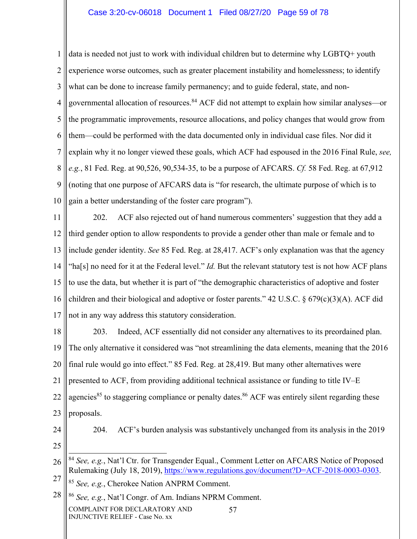## Case 3:20-cv-06018 Document 1 Filed 08/27/20 Page 59 of 78

1 2 3 4 5 6 7 8 9 10 data is needed not just to work with individual children but to determine why LGBTQ+ youth experience worse outcomes, such as greater placement instability and homelessness; to identify what can be done to increase family permanency; and to guide federal, state, and nongovernmental allocation of resources.84 ACF did not attempt to explain how similar analyses—or the programmatic improvements, resource allocations, and policy changes that would grow from them—could be performed with the data documented only in individual case files. Nor did it explain why it no longer viewed these goals, which ACF had espoused in the 2016 Final Rule, *see, e.g.*, 81 Fed. Reg. at 90,526, 90,534-35, to be a purpose of AFCARS. *Cf.* 58 Fed. Reg. at 67,912 (noting that one purpose of AFCARS data is "for research, the ultimate purpose of which is to gain a better understanding of the foster care program").

11 12 13 14 15 16 17 202. ACF also rejected out of hand numerous commenters' suggestion that they add a third gender option to allow respondents to provide a gender other than male or female and to include gender identity. *See* 85 Fed. Reg. at 28,417. ACF's only explanation was that the agency "ha[s] no need for it at the Federal level." *Id.* But the relevant statutory test is not how ACF plans to use the data, but whether it is part of "the demographic characteristics of adoptive and foster children and their biological and adoptive or foster parents." 42 U.S.C. § 679(c)(3)(A). ACF did not in any way address this statutory consideration.

18 19 20 21 22 23 203. Indeed, ACF essentially did not consider any alternatives to its preordained plan. The only alternative it considered was "not streamlining the data elements, meaning that the 2016 final rule would go into effect." 85 Fed. Reg. at 28,419. But many other alternatives were presented to ACF, from providing additional technical assistance or funding to title IV–E agencies<sup>85</sup> to staggering compliance or penalty dates.<sup>86</sup> ACF was entirely silent regarding these proposals.

24 25 204. ACF's burden analysis was substantively unchanged from its analysis in the 2019

26 27 <sup>84</sup> *See, e.g.*, Nat'l Ctr. for Transgender Equal., Comment Letter on AFCARS Notice of Proposed Rulemaking (July 18, 2019), https://www.regulations.gov/document?D=ACF-2018-0003-0303. <sup>85</sup> *See, e.g.*, Cherokee Nation ANPRM Comment.

28 <sup>86</sup> *See, e.g.*, Nat'l Congr. of Am. Indians NPRM Comment.

COMPLAINT FOR DECLARATORY AND INJUNCTIVE RELIEF - Case No. xx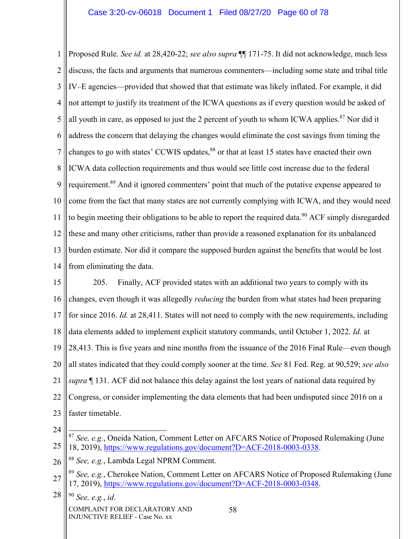1 2 3 4 5 6 7 8 9 10 11 12 13 14 Proposed Rule. *See id.* at 28,420-22; *see also supra* ¶¶ 171-75. It did not acknowledge, much less discuss, the facts and arguments that numerous commenters—including some state and tribal title IV–E agencies—provided that showed that that estimate was likely inflated. For example, it did not attempt to justify its treatment of the ICWA questions as if every question would be asked of all youth in care, as opposed to just the 2 percent of youth to whom ICWA applies. $87$  Nor did it address the concern that delaying the changes would eliminate the cost savings from timing the changes to go with states' CCWIS updates, $88$  or that at least 15 states have enacted their own ICWA data collection requirements and thus would see little cost increase due to the federal requirement.89 And it ignored commenters' point that much of the putative expense appeared to come from the fact that many states are not currently complying with ICWA, and they would need to begin meeting their obligations to be able to report the required data.<sup>90</sup> ACF simply disregarded these and many other criticisms, rather than provide a reasoned explanation for its unbalanced burden estimate. Nor did it compare the supposed burden against the benefits that would be lost from eliminating the data.

15 16 17 18 19 20 21 22 23 205. Finally, ACF provided states with an additional two years to comply with its changes, even though it was allegedly *reducing* the burden from what states had been preparing for since 2016. *Id.* at 28,411. States will not need to comply with the new requirements, including data elements added to implement explicit statutory commands, until October 1, 2022. *Id.* at 28,413. This is five years and nine months from the issuance of the 2016 Final Rule—even though all states indicated that they could comply sooner at the time. *See* 81 Fed. Reg. at 90,529; *see also supra* ¶ 131. ACF did not balance this delay against the lost years of national data required by Congress, or consider implementing the data elements that had been undisputed since 2016 on a faster timetable.

24

COMPLAINT FOR DECLARATORY AND INJUNCTIVE RELIEF - Case No. xx

<sup>25</sup> <sup>87</sup> *See, e.g.*, Oneida Nation, Comment Letter on AFCARS Notice of Proposed Rulemaking (June 18, 2019), https://www.regulations.gov/document?D=ACF-2018-0003-0338.

<sup>26</sup> <sup>88</sup> *See, e.g.*, Lambda Legal NPRM Comment.

<sup>27</sup> <sup>89</sup> *See, e.g.*, Cherokee Nation, Comment Letter on AFCARS Notice of Proposed Rulemaking (June 17, 2019), https://www.regulations.gov/document?D=ACF-2018-0003-0348.

<sup>28</sup> <sup>90</sup> *See, e.g.*, *id*.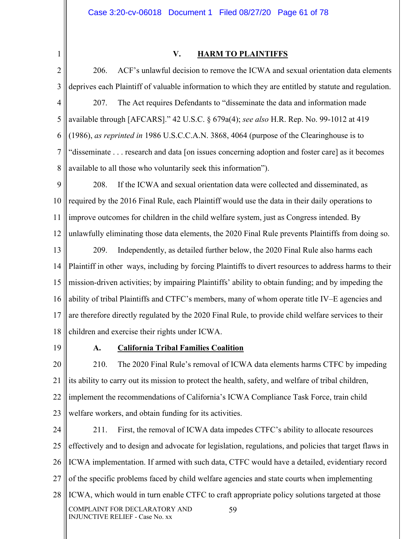#### Case 3:20-cv-06018 Document 1 Filed 08/27/20 Page 61 of 78

1

#### **V. HARM TO PLAINTIFFS**

2 3 4 5 6 7 8 206. ACF's unlawful decision to remove the ICWA and sexual orientation data elements deprives each Plaintiff of valuable information to which they are entitled by statute and regulation. 207. The Act requires Defendants to "disseminate the data and information made available through [AFCARS]." 42 U.S.C. § 679a(4); *see also* H.R. Rep. No. 99-1012 at 419 (1986), *as reprinted in* 1986 U.S.C.C.A.N. 3868, 4064 (purpose of the Clearinghouse is to "disseminate . . . research and data [on issues concerning adoption and foster care] as it becomes available to all those who voluntarily seek this information").

9 10 11 12 208. If the ICWA and sexual orientation data were collected and disseminated, as required by the 2016 Final Rule, each Plaintiff would use the data in their daily operations to improve outcomes for children in the child welfare system, just as Congress intended. By unlawfully eliminating those data elements, the 2020 Final Rule prevents Plaintiffs from doing so.

13 14 15 16 17 18 209. Independently, as detailed further below, the 2020 Final Rule also harms each Plaintiff in other ways, including by forcing Plaintiffs to divert resources to address harms to their mission-driven activities; by impairing Plaintiffs' ability to obtain funding; and by impeding the ability of tribal Plaintiffs and CTFC's members, many of whom operate title IV–E agencies and are therefore directly regulated by the 2020 Final Rule, to provide child welfare services to their children and exercise their rights under ICWA.

19

## **A. California Tribal Families Coalition**

20 21 22 23 210. The 2020 Final Rule's removal of ICWA data elements harms CTFC by impeding its ability to carry out its mission to protect the health, safety, and welfare of tribal children, implement the recommendations of California's ICWA Compliance Task Force, train child welfare workers, and obtain funding for its activities.

24 25 26 27 28 COMPLAINT FOR DECLARATORY AND INJUNCTIVE RELIEF - Case No. xx 59 211. First, the removal of ICWA data impedes CTFC's ability to allocate resources effectively and to design and advocate for legislation, regulations, and policies that target flaws in ICWA implementation. If armed with such data, CTFC would have a detailed, evidentiary record of the specific problems faced by child welfare agencies and state courts when implementing ICWA, which would in turn enable CTFC to craft appropriate policy solutions targeted at those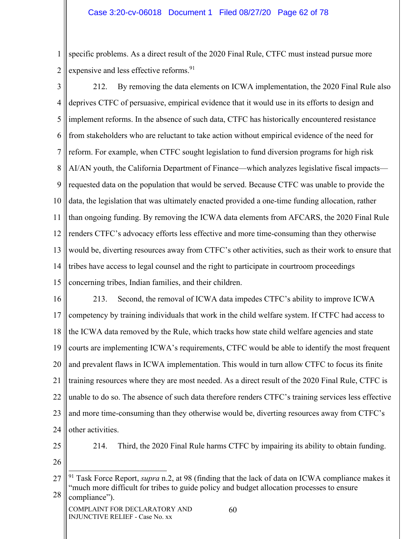1 2 specific problems. As a direct result of the 2020 Final Rule, CTFC must instead pursue more expensive and less effective reforms.<sup>91</sup>

3 4 5 6 7 8 9 10 11 12 13 14 15 212. By removing the data elements on ICWA implementation, the 2020 Final Rule also deprives CTFC of persuasive, empirical evidence that it would use in its efforts to design and implement reforms. In the absence of such data, CTFC has historically encountered resistance from stakeholders who are reluctant to take action without empirical evidence of the need for reform. For example, when CTFC sought legislation to fund diversion programs for high risk AI/AN youth, the California Department of Finance—which analyzes legislative fiscal impacts requested data on the population that would be served. Because CTFC was unable to provide the data, the legislation that was ultimately enacted provided a one-time funding allocation, rather than ongoing funding. By removing the ICWA data elements from AFCARS, the 2020 Final Rule renders CTFC's advocacy efforts less effective and more time-consuming than they otherwise would be, diverting resources away from CTFC's other activities, such as their work to ensure that tribes have access to legal counsel and the right to participate in courtroom proceedings concerning tribes, Indian families, and their children.

16 17 18 19 20 21 22 23 24 213. Second, the removal of ICWA data impedes CTFC's ability to improve ICWA competency by training individuals that work in the child welfare system. If CTFC had access to the ICWA data removed by the Rule, which tracks how state child welfare agencies and state courts are implementing ICWA's requirements, CTFC would be able to identify the most frequent and prevalent flaws in ICWA implementation. This would in turn allow CTFC to focus its finite training resources where they are most needed. As a direct result of the 2020 Final Rule, CTFC is unable to do so. The absence of such data therefore renders CTFC's training services less effective and more time-consuming than they otherwise would be, diverting resources away from CTFC's other activities.

214. Third, the 2020 Final Rule harms CTFC by impairing its ability to obtain funding.

26

<sup>25</sup>

<sup>27</sup> 28 91 Task Force Report, *supra* n.2, at 98 (finding that the lack of data on ICWA compliance makes it "much more difficult for tribes to guide policy and budget allocation processes to ensure compliance").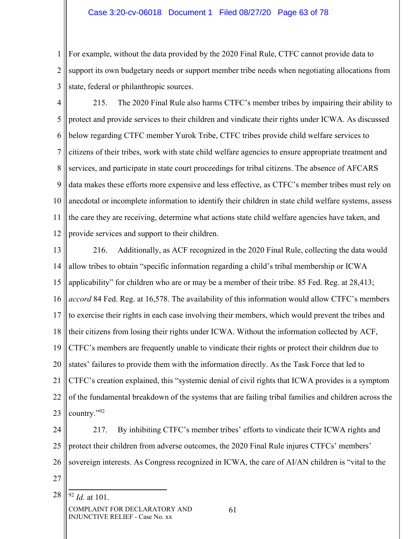### Case 3:20-cv-06018 Document 1 Filed 08/27/20 Page 63 of 78

1 2 3 For example, without the data provided by the 2020 Final Rule, CTFC cannot provide data to support its own budgetary needs or support member tribe needs when negotiating allocations from state, federal or philanthropic sources.

- 4 5 6 7 8 9 10 11 12 215. The 2020 Final Rule also harms CTFC's member tribes by impairing their ability to protect and provide services to their children and vindicate their rights under ICWA. As discussed below regarding CTFC member Yurok Tribe, CTFC tribes provide child welfare services to citizens of their tribes, work with state child welfare agencies to ensure appropriate treatment and services, and participate in state court proceedings for tribal citizens. The absence of AFCARS data makes these efforts more expensive and less effective, as CTFC's member tribes must rely on anecdotal or incomplete information to identify their children in state child welfare systems, assess the care they are receiving, determine what actions state child welfare agencies have taken, and provide services and support to their children.
- 13 14 15 16 17 18 19 20 21 22 23 216. Additionally, as ACF recognized in the 2020 Final Rule, collecting the data would allow tribes to obtain "specific information regarding a child's tribal membership or ICWA applicability" for children who are or may be a member of their tribe. 85 Fed. Reg. at 28,413; *accord* 84 Fed. Reg. at 16,578. The availability of this information would allow CTFC's members to exercise their rights in each case involving their members, which would prevent the tribes and their citizens from losing their rights under ICWA. Without the information collected by ACF, CTFC's members are frequently unable to vindicate their rights or protect their children due to states' failures to provide them with the information directly. As the Task Force that led to CTFC's creation explained, this "systemic denial of civil rights that ICWA provides is a symptom of the fundamental breakdown of the systems that are failing tribal families and children across the country."92
- 24 25 26 217. By inhibiting CTFC's member tribes' efforts to vindicate their ICWA rights and protect their children from adverse outcomes, the 2020 Final Rule injures CTFCs' members' sovereign interests. As Congress recognized in ICWA, the care of AI/AN children is "vital to the
- 27
- 28 <sup>92</sup> *Id.* at 101.
	- COMPLAINT FOR DECLARATORY AND INJUNCTIVE RELIEF - Case No. xx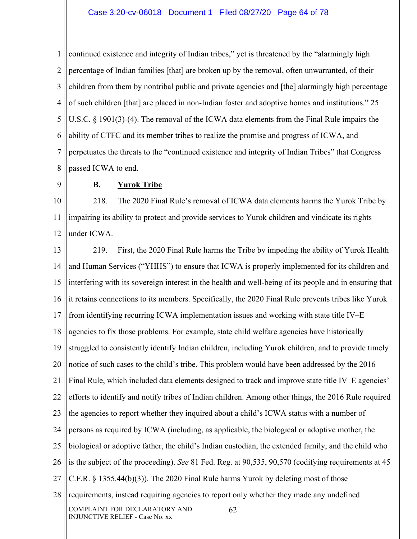#### Case 3:20-cv-06018 Document 1 Filed 08/27/20 Page 64 of 78

1 2 3 4 5 6 7 8 continued existence and integrity of Indian tribes," yet is threatened by the "alarmingly high percentage of Indian families [that] are broken up by the removal, often unwarranted, of their children from them by nontribal public and private agencies and [the] alarmingly high percentage of such children [that] are placed in non-Indian foster and adoptive homes and institutions." 25 U.S.C. § 1901(3)-(4). The removal of the ICWA data elements from the Final Rule impairs the ability of CTFC and its member tribes to realize the promise and progress of ICWA, and perpetuates the threats to the "continued existence and integrity of Indian Tribes" that Congress passed ICWA to end.

9

## **B. Yurok Tribe**

10 11 12 218. The 2020 Final Rule's removal of ICWA data elements harms the Yurok Tribe by impairing its ability to protect and provide services to Yurok children and vindicate its rights under ICWA.

13 14 15 16 17 18 19 20 21 22 23 24 25 26 27 28 COMPLAINT FOR DECLARATORY AND INJUNCTIVE RELIEF - Case No. xx 62 219. First, the 2020 Final Rule harms the Tribe by impeding the ability of Yurok Health and Human Services ("YHHS") to ensure that ICWA is properly implemented for its children and interfering with its sovereign interest in the health and well-being of its people and in ensuring that it retains connections to its members. Specifically, the 2020 Final Rule prevents tribes like Yurok from identifying recurring ICWA implementation issues and working with state title IV–E agencies to fix those problems. For example, state child welfare agencies have historically struggled to consistently identify Indian children, including Yurok children, and to provide timely notice of such cases to the child's tribe. This problem would have been addressed by the 2016 Final Rule, which included data elements designed to track and improve state title IV–E agencies' efforts to identify and notify tribes of Indian children. Among other things, the 2016 Rule required the agencies to report whether they inquired about a child's ICWA status with a number of persons as required by ICWA (including, as applicable, the biological or adoptive mother, the biological or adoptive father, the child's Indian custodian, the extended family, and the child who is the subject of the proceeding). *See* 81 Fed. Reg. at 90,535, 90,570 (codifying requirements at 45 C.F.R. § 1355.44(b)(3)). The 2020 Final Rule harms Yurok by deleting most of those requirements, instead requiring agencies to report only whether they made any undefined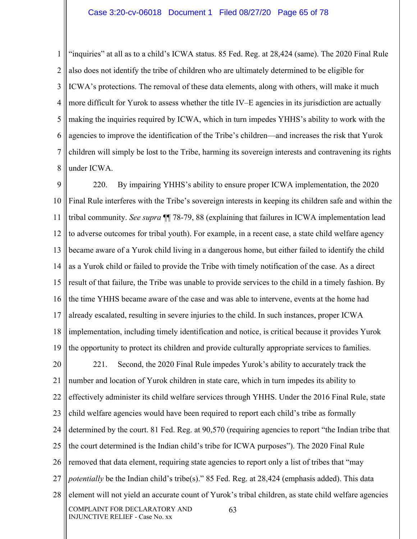1 2 3 4 5 6 7 8 "inquiries" at all as to a child's ICWA status. 85 Fed. Reg. at 28,424 (same). The 2020 Final Rule also does not identify the tribe of children who are ultimately determined to be eligible for ICWA's protections. The removal of these data elements, along with others, will make it much more difficult for Yurok to assess whether the title IV–E agencies in its jurisdiction are actually making the inquiries required by ICWA, which in turn impedes YHHS's ability to work with the agencies to improve the identification of the Tribe's children—and increases the risk that Yurok children will simply be lost to the Tribe, harming its sovereign interests and contravening its rights under ICWA.

9 10 11 12 13 14 15 16 17 18 19 220. By impairing YHHS's ability to ensure proper ICWA implementation, the 2020 Final Rule interferes with the Tribe's sovereign interests in keeping its children safe and within the tribal community. *See supra* ¶¶ 78-79, 88 (explaining that failures in ICWA implementation lead to adverse outcomes for tribal youth). For example, in a recent case, a state child welfare agency became aware of a Yurok child living in a dangerous home, but either failed to identify the child as a Yurok child or failed to provide the Tribe with timely notification of the case. As a direct result of that failure, the Tribe was unable to provide services to the child in a timely fashion. By the time YHHS became aware of the case and was able to intervene, events at the home had already escalated, resulting in severe injuries to the child. In such instances, proper ICWA implementation, including timely identification and notice, is critical because it provides Yurok the opportunity to protect its children and provide culturally appropriate services to families.

20 21 22 23 24 25 26 27 28 COMPLAINT FOR DECLARATORY AND INJUNCTIVE RELIEF - Case No. xx 63 221. Second, the 2020 Final Rule impedes Yurok's ability to accurately track the number and location of Yurok children in state care, which in turn impedes its ability to effectively administer its child welfare services through YHHS. Under the 2016 Final Rule, state child welfare agencies would have been required to report each child's tribe as formally determined by the court. 81 Fed. Reg. at 90,570 (requiring agencies to report "the Indian tribe that the court determined is the Indian child's tribe for ICWA purposes"). The 2020 Final Rule removed that data element, requiring state agencies to report only a list of tribes that "may *potentially* be the Indian child's tribe(s)." 85 Fed. Reg. at 28,424 (emphasis added). This data element will not yield an accurate count of Yurok's tribal children, as state child welfare agencies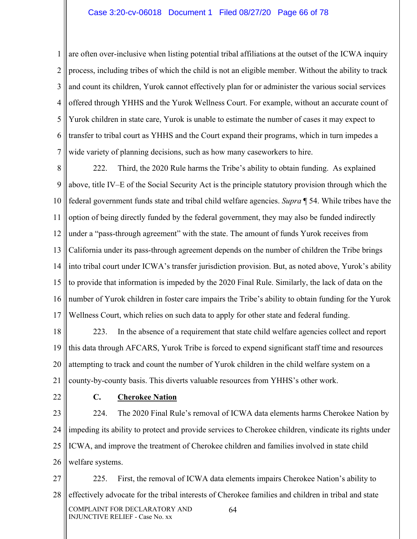#### Case 3:20-cv-06018 Document 1 Filed 08/27/20 Page 66 of 78

1 2 3 4 5 6 7 are often over-inclusive when listing potential tribal affiliations at the outset of the ICWA inquiry process, including tribes of which the child is not an eligible member. Without the ability to track and count its children, Yurok cannot effectively plan for or administer the various social services offered through YHHS and the Yurok Wellness Court. For example, without an accurate count of Yurok children in state care, Yurok is unable to estimate the number of cases it may expect to transfer to tribal court as YHHS and the Court expand their programs, which in turn impedes a wide variety of planning decisions, such as how many caseworkers to hire.

8 9 10 11 12 13 14 15 16 17 222. Third, the 2020 Rule harms the Tribe's ability to obtain funding. As explained above, title IV–E of the Social Security Act is the principle statutory provision through which the federal government funds state and tribal child welfare agencies. *Supra* ¶ 54. While tribes have the option of being directly funded by the federal government, they may also be funded indirectly under a "pass-through agreement" with the state. The amount of funds Yurok receives from California under its pass-through agreement depends on the number of children the Tribe brings into tribal court under ICWA's transfer jurisdiction provision. But, as noted above, Yurok's ability to provide that information is impeded by the 2020 Final Rule. Similarly, the lack of data on the number of Yurok children in foster care impairs the Tribe's ability to obtain funding for the Yurok Wellness Court, which relies on such data to apply for other state and federal funding.

18 19 20 21 223. In the absence of a requirement that state child welfare agencies collect and report this data through AFCARS, Yurok Tribe is forced to expend significant staff time and resources attempting to track and count the number of Yurok children in the child welfare system on a county-by-county basis. This diverts valuable resources from YHHS's other work.

22

#### **C. Cherokee Nation**

23 24 25 26 224. The 2020 Final Rule's removal of ICWA data elements harms Cherokee Nation by impeding its ability to protect and provide services to Cherokee children, vindicate its rights under ICWA, and improve the treatment of Cherokee children and families involved in state child welfare systems.

27 28 COMPLAINT FOR DECLARATORY AND INJUNCTIVE RELIEF - Case No. xx 64 225. First, the removal of ICWA data elements impairs Cherokee Nation's ability to effectively advocate for the tribal interests of Cherokee families and children in tribal and state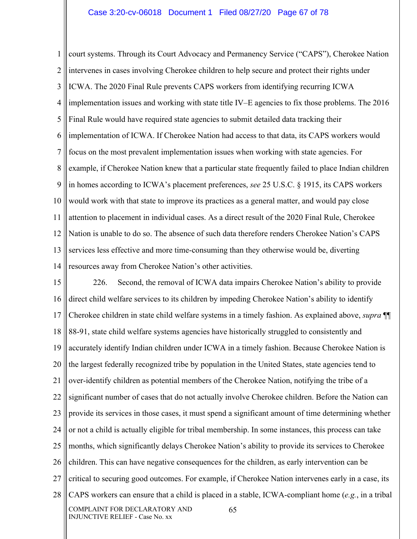1 2 3 4 5 6 7 8 9 10 11 12 13 14 court systems. Through its Court Advocacy and Permanency Service ("CAPS"), Cherokee Nation intervenes in cases involving Cherokee children to help secure and protect their rights under ICWA. The 2020 Final Rule prevents CAPS workers from identifying recurring ICWA implementation issues and working with state title IV–E agencies to fix those problems. The 2016 Final Rule would have required state agencies to submit detailed data tracking their implementation of ICWA. If Cherokee Nation had access to that data, its CAPS workers would focus on the most prevalent implementation issues when working with state agencies. For example, if Cherokee Nation knew that a particular state frequently failed to place Indian children in homes according to ICWA's placement preferences, *see* 25 U.S.C. § 1915, its CAPS workers would work with that state to improve its practices as a general matter, and would pay close attention to placement in individual cases. As a direct result of the 2020 Final Rule, Cherokee Nation is unable to do so. The absence of such data therefore renders Cherokee Nation's CAPS services less effective and more time-consuming than they otherwise would be, diverting resources away from Cherokee Nation's other activities.

15 16 17 18 19 20 21 22 23 24 25 26 27 28 COMPLAINT FOR DECLARATORY AND INJUNCTIVE RELIEF - Case No. xx 65 226. Second, the removal of ICWA data impairs Cherokee Nation's ability to provide direct child welfare services to its children by impeding Cherokee Nation's ability to identify Cherokee children in state child welfare systems in a timely fashion. As explained above, *supra* ¶¶ 88-91, state child welfare systems agencies have historically struggled to consistently and accurately identify Indian children under ICWA in a timely fashion. Because Cherokee Nation is the largest federally recognized tribe by population in the United States, state agencies tend to over-identify children as potential members of the Cherokee Nation, notifying the tribe of a significant number of cases that do not actually involve Cherokee children. Before the Nation can provide its services in those cases, it must spend a significant amount of time determining whether or not a child is actually eligible for tribal membership. In some instances, this process can take months, which significantly delays Cherokee Nation's ability to provide its services to Cherokee children. This can have negative consequences for the children, as early intervention can be critical to securing good outcomes. For example, if Cherokee Nation intervenes early in a case, its CAPS workers can ensure that a child is placed in a stable, ICWA-compliant home (*e.g.*, in a tribal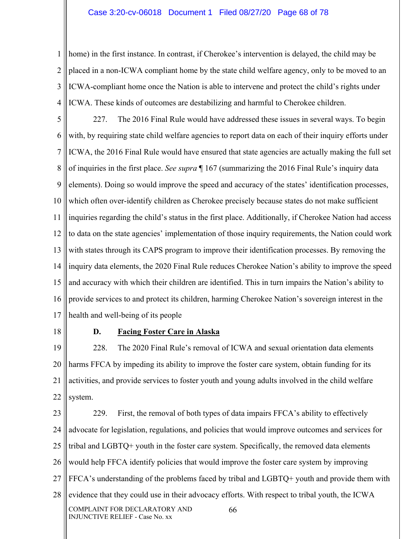#### Case 3:20-cv-06018 Document 1 Filed 08/27/20 Page 68 of 78

1 2 3 4 home) in the first instance. In contrast, if Cherokee's intervention is delayed, the child may be placed in a non-ICWA compliant home by the state child welfare agency, only to be moved to an ICWA-compliant home once the Nation is able to intervene and protect the child's rights under ICWA. These kinds of outcomes are destabilizing and harmful to Cherokee children.

5 6 7 8 9 10 11 12 13 14 15 16 17 227. The 2016 Final Rule would have addressed these issues in several ways. To begin with, by requiring state child welfare agencies to report data on each of their inquiry efforts under ICWA, the 2016 Final Rule would have ensured that state agencies are actually making the full set of inquiries in the first place. *See supra* ¶ 167 (summarizing the 2016 Final Rule's inquiry data elements). Doing so would improve the speed and accuracy of the states' identification processes, which often over-identify children as Cherokee precisely because states do not make sufficient inquiries regarding the child's status in the first place. Additionally, if Cherokee Nation had access to data on the state agencies' implementation of those inquiry requirements, the Nation could work with states through its CAPS program to improve their identification processes. By removing the inquiry data elements, the 2020 Final Rule reduces Cherokee Nation's ability to improve the speed and accuracy with which their children are identified. This in turn impairs the Nation's ability to provide services to and protect its children, harming Cherokee Nation's sovereign interest in the health and well-being of its people

18

#### **D. Facing Foster Care in Alaska**

19 20 21 22 228. The 2020 Final Rule's removal of ICWA and sexual orientation data elements harms FFCA by impeding its ability to improve the foster care system, obtain funding for its activities, and provide services to foster youth and young adults involved in the child welfare system.

23 24 25 26 27 28 COMPLAINT FOR DECLARATORY AND INJUNCTIVE RELIEF - Case No. xx 66 229. First, the removal of both types of data impairs FFCA's ability to effectively advocate for legislation, regulations, and policies that would improve outcomes and services for tribal and LGBTQ+ youth in the foster care system. Specifically, the removed data elements would help FFCA identify policies that would improve the foster care system by improving FFCA's understanding of the problems faced by tribal and LGBTQ+ youth and provide them with evidence that they could use in their advocacy efforts. With respect to tribal youth, the ICWA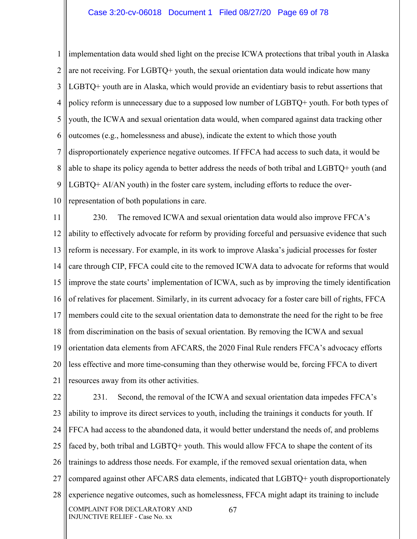1 2 3 4 5 6 7 8 9 10 implementation data would shed light on the precise ICWA protections that tribal youth in Alaska are not receiving. For LGBTQ+ youth, the sexual orientation data would indicate how many LGBTQ+ youth are in Alaska, which would provide an evidentiary basis to rebut assertions that policy reform is unnecessary due to a supposed low number of LGBTQ+ youth. For both types of youth, the ICWA and sexual orientation data would, when compared against data tracking other outcomes (e.g., homelessness and abuse), indicate the extent to which those youth disproportionately experience negative outcomes. If FFCA had access to such data, it would be able to shape its policy agenda to better address the needs of both tribal and LGBTQ+ youth (and LGBTQ+ AI/AN youth) in the foster care system, including efforts to reduce the overrepresentation of both populations in care.

11 12 13 14 15 16 17 18 19 20 21 230. The removed ICWA and sexual orientation data would also improve FFCA's ability to effectively advocate for reform by providing forceful and persuasive evidence that such reform is necessary. For example, in its work to improve Alaska's judicial processes for foster care through CIP, FFCA could cite to the removed ICWA data to advocate for reforms that would improve the state courts' implementation of ICWA, such as by improving the timely identification of relatives for placement. Similarly, in its current advocacy for a foster care bill of rights, FFCA members could cite to the sexual orientation data to demonstrate the need for the right to be free from discrimination on the basis of sexual orientation. By removing the ICWA and sexual orientation data elements from AFCARS, the 2020 Final Rule renders FFCA's advocacy efforts less effective and more time-consuming than they otherwise would be, forcing FFCA to divert resources away from its other activities.

22 23 24 25 26 27 28 COMPLAINT FOR DECLARATORY AND INJUNCTIVE RELIEF - Case No. xx 67 231. Second, the removal of the ICWA and sexual orientation data impedes FFCA's ability to improve its direct services to youth, including the trainings it conducts for youth. If FFCA had access to the abandoned data, it would better understand the needs of, and problems faced by, both tribal and LGBTQ+ youth. This would allow FFCA to shape the content of its trainings to address those needs. For example, if the removed sexual orientation data, when compared against other AFCARS data elements, indicated that LGBTQ+ youth disproportionately experience negative outcomes, such as homelessness, FFCA might adapt its training to include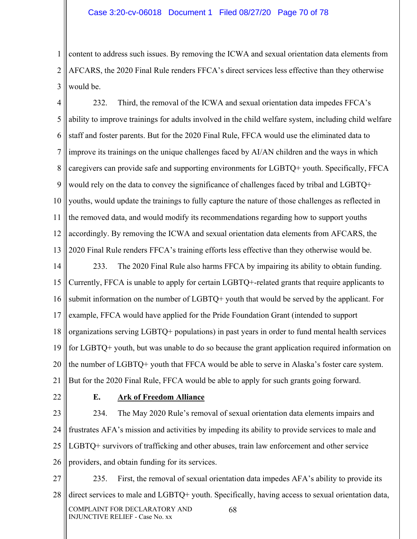1 2 3 content to address such issues. By removing the ICWA and sexual orientation data elements from AFCARS, the 2020 Final Rule renders FFCA's direct services less effective than they otherwise would be.

4 5 6 7 8 9 10 11 12 13 232. Third, the removal of the ICWA and sexual orientation data impedes FFCA's ability to improve trainings for adults involved in the child welfare system, including child welfare staff and foster parents. But for the 2020 Final Rule, FFCA would use the eliminated data to improve its trainings on the unique challenges faced by AI/AN children and the ways in which caregivers can provide safe and supporting environments for LGBTQ+ youth. Specifically, FFCA would rely on the data to convey the significance of challenges faced by tribal and LGBTQ+ youths, would update the trainings to fully capture the nature of those challenges as reflected in the removed data, and would modify its recommendations regarding how to support youths accordingly. By removing the ICWA and sexual orientation data elements from AFCARS, the 2020 Final Rule renders FFCA's training efforts less effective than they otherwise would be.

14 15 16 17 18 19 20 21 233. The 2020 Final Rule also harms FFCA by impairing its ability to obtain funding. Currently, FFCA is unable to apply for certain LGBTQ+-related grants that require applicants to submit information on the number of LGBTQ+ youth that would be served by the applicant. For example, FFCA would have applied for the Pride Foundation Grant (intended to support organizations serving LGBTQ+ populations) in past years in order to fund mental health services for LGBTQ+ youth, but was unable to do so because the grant application required information on the number of LGBTQ+ youth that FFCA would be able to serve in Alaska's foster care system. But for the 2020 Final Rule, FFCA would be able to apply for such grants going forward.

22

#### **E. Ark of Freedom Alliance**

23 24 25 26 234. The May 2020 Rule's removal of sexual orientation data elements impairs and frustrates AFA's mission and activities by impeding its ability to provide services to male and LGBTQ+ survivors of trafficking and other abuses, train law enforcement and other service providers, and obtain funding for its services.

27 28 COMPLAINT FOR DECLARATORY AND INJUNCTIVE RELIEF - Case No. xx 68 235. First, the removal of sexual orientation data impedes AFA's ability to provide its direct services to male and LGBTQ+ youth. Specifically, having access to sexual orientation data,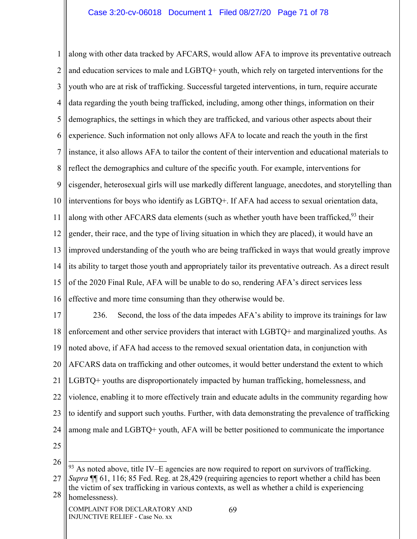1 2 3 4 5 6 7 8 9 10 11 12 13 14 15 16 along with other data tracked by AFCARS, would allow AFA to improve its preventative outreach and education services to male and LGBTQ+ youth, which rely on targeted interventions for the youth who are at risk of trafficking. Successful targeted interventions, in turn, require accurate data regarding the youth being trafficked, including, among other things, information on their demographics, the settings in which they are trafficked, and various other aspects about their experience. Such information not only allows AFA to locate and reach the youth in the first instance, it also allows AFA to tailor the content of their intervention and educational materials to reflect the demographics and culture of the specific youth. For example, interventions for cisgender, heterosexual girls will use markedly different language, anecdotes, and storytelling than interventions for boys who identify as LGBTQ+. If AFA had access to sexual orientation data, along with other AFCARS data elements (such as whether youth have been trafficked,<sup>93</sup> their gender, their race, and the type of living situation in which they are placed), it would have an improved understanding of the youth who are being trafficked in ways that would greatly improve its ability to target those youth and appropriately tailor its preventative outreach. As a direct result of the 2020 Final Rule, AFA will be unable to do so, rendering AFA's direct services less effective and more time consuming than they otherwise would be.

17 18 19 20 21 22 23 24 25 236. Second, the loss of the data impedes AFA's ability to improve its trainings for law enforcement and other service providers that interact with LGBTQ+ and marginalized youths. As noted above, if AFA had access to the removed sexual orientation data, in conjunction with AFCARS data on trafficking and other outcomes, it would better understand the extent to which LGBTQ+ youths are disproportionately impacted by human trafficking, homelessness, and violence, enabling it to more effectively train and educate adults in the community regarding how to identify and support such youths. Further, with data demonstrating the prevalence of trafficking among male and LGBTQ+ youth, AFA will be better positioned to communicate the importance

<sup>26</sup>  $93$  As noted above, title IV–E agencies are now required to report on survivors of trafficking.

<sup>27</sup> 28 *Supra* ¶¶ 61, 116; 85 Fed. Reg. at 28,429 (requiring agencies to report whether a child has been the victim of sex trafficking in various contexts, as well as whether a child is experiencing homelessness).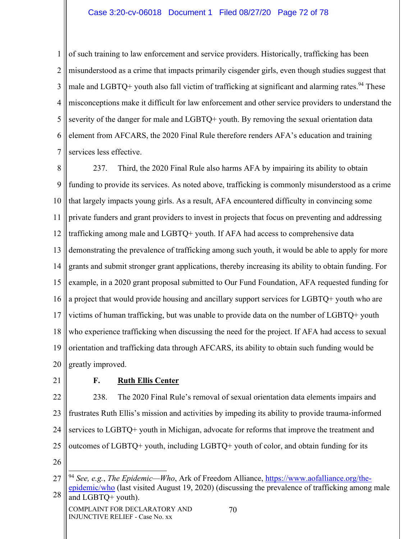### Case 3:20-cv-06018 Document 1 Filed 08/27/20 Page 72 of 78

1 2 3 4 5 6 7 of such training to law enforcement and service providers. Historically, trafficking has been misunderstood as a crime that impacts primarily cisgender girls, even though studies suggest that male and LGBTQ+ youth also fall victim of trafficking at significant and alarming rates.<sup>94</sup> These misconceptions make it difficult for law enforcement and other service providers to understand the severity of the danger for male and LGBTQ+ youth. By removing the sexual orientation data element from AFCARS, the 2020 Final Rule therefore renders AFA's education and training services less effective.

8 9 10 11 12 13 14 15 16 17 18 19 20 237. Third, the 2020 Final Rule also harms AFA by impairing its ability to obtain funding to provide its services. As noted above, trafficking is commonly misunderstood as a crime that largely impacts young girls. As a result, AFA encountered difficulty in convincing some private funders and grant providers to invest in projects that focus on preventing and addressing trafficking among male and LGBTQ+ youth. If AFA had access to comprehensive data demonstrating the prevalence of trafficking among such youth, it would be able to apply for more grants and submit stronger grant applications, thereby increasing its ability to obtain funding. For example, in a 2020 grant proposal submitted to Our Fund Foundation, AFA requested funding for a project that would provide housing and ancillary support services for LGBTQ+ youth who are victims of human trafficking, but was unable to provide data on the number of LGBTQ+ youth who experience trafficking when discussing the need for the project. If AFA had access to sexual orientation and trafficking data through AFCARS, its ability to obtain such funding would be greatly improved.

21

#### **F. Ruth Ellis Center**

22 23 24 25 238. The 2020 Final Rule's removal of sexual orientation data elements impairs and frustrates Ruth Ellis's mission and activities by impeding its ability to provide trauma-informed services to LGBTQ+ youth in Michigan, advocate for reforms that improve the treatment and outcomes of LGBTQ+ youth, including LGBTQ+ youth of color, and obtain funding for its

26

<sup>27</sup> 28 <sup>94</sup> *See, e.g.*, *The Epidemic—Who*, Ark of Freedom Alliance, https://www.aofalliance.org/theepidemic/who (last visited August 19, 2020) (discussing the prevalence of trafficking among male and LGBTQ+ youth).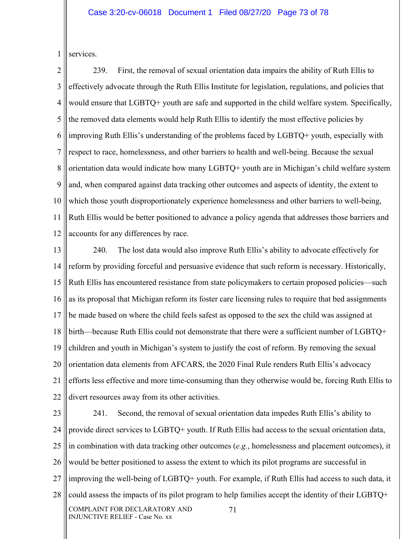1 services.

2 3 4 5 6 7 8 9 10 11 12 239. First, the removal of sexual orientation data impairs the ability of Ruth Ellis to effectively advocate through the Ruth Ellis Institute for legislation, regulations, and policies that would ensure that LGBTQ+ youth are safe and supported in the child welfare system. Specifically, the removed data elements would help Ruth Ellis to identify the most effective policies by improving Ruth Ellis's understanding of the problems faced by LGBTQ+ youth, especially with respect to race, homelessness, and other barriers to health and well-being. Because the sexual orientation data would indicate how many LGBTQ+ youth are in Michigan's child welfare system and, when compared against data tracking other outcomes and aspects of identity, the extent to which those youth disproportionately experience homelessness and other barriers to well-being, Ruth Ellis would be better positioned to advance a policy agenda that addresses those barriers and accounts for any differences by race.

13 14 15 16 17 18 19 20 21 22 240. The lost data would also improve Ruth Ellis's ability to advocate effectively for reform by providing forceful and persuasive evidence that such reform is necessary. Historically, Ruth Ellis has encountered resistance from state policymakers to certain proposed policies—such as its proposal that Michigan reform its foster care licensing rules to require that bed assignments be made based on where the child feels safest as opposed to the sex the child was assigned at birth—because Ruth Ellis could not demonstrate that there were a sufficient number of LGBTQ+ children and youth in Michigan's system to justify the cost of reform. By removing the sexual orientation data elements from AFCARS, the 2020 Final Rule renders Ruth Ellis's advocacy efforts less effective and more time-consuming than they otherwise would be, forcing Ruth Ellis to divert resources away from its other activities.

23 24 25 26 27 28 COMPLAINT FOR DECLARATORY AND INJUNCTIVE RELIEF - Case No. xx 71 241. Second, the removal of sexual orientation data impedes Ruth Ellis's ability to provide direct services to LGBTQ+ youth. If Ruth Ellis had access to the sexual orientation data, in combination with data tracking other outcomes (*e.g.*, homelessness and placement outcomes), it would be better positioned to assess the extent to which its pilot programs are successful in improving the well-being of LGBTQ+ youth. For example, if Ruth Ellis had access to such data, it could assess the impacts of its pilot program to help families accept the identity of their LGBTQ+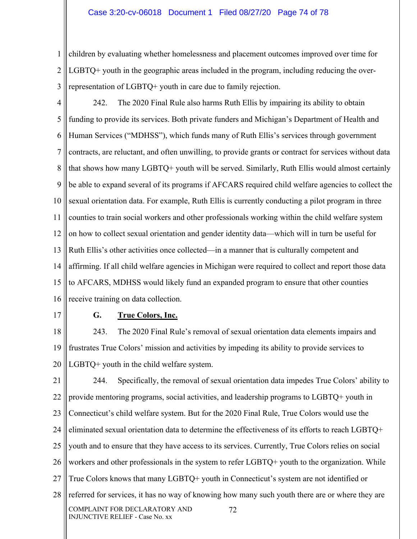## Case 3:20-cv-06018 Document 1 Filed 08/27/20 Page 74 of 78

1 2 3 children by evaluating whether homelessness and placement outcomes improved over time for LGBTQ+ youth in the geographic areas included in the program, including reducing the overrepresentation of LGBTQ+ youth in care due to family rejection.

4 5 6 7 8 9 10 11 12 13 14 15 16 242. The 2020 Final Rule also harms Ruth Ellis by impairing its ability to obtain funding to provide its services. Both private funders and Michigan's Department of Health and Human Services ("MDHSS"), which funds many of Ruth Ellis's services through government contracts, are reluctant, and often unwilling, to provide grants or contract for services without data that shows how many LGBTQ+ youth will be served. Similarly, Ruth Ellis would almost certainly be able to expand several of its programs if AFCARS required child welfare agencies to collect the sexual orientation data. For example, Ruth Ellis is currently conducting a pilot program in three counties to train social workers and other professionals working within the child welfare system on how to collect sexual orientation and gender identity data—which will in turn be useful for Ruth Ellis's other activities once collected—in a manner that is culturally competent and affirming. If all child welfare agencies in Michigan were required to collect and report those data to AFCARS, MDHSS would likely fund an expanded program to ensure that other counties receive training on data collection.

17

## **G. True Colors, Inc.**

18 19 20 243. The 2020 Final Rule's removal of sexual orientation data elements impairs and frustrates True Colors' mission and activities by impeding its ability to provide services to LGBTQ+ youth in the child welfare system.

21 22 23 24 25 26 27 28 COMPLAINT FOR DECLARATORY AND INJUNCTIVE RELIEF - Case No. xx 72 244. Specifically, the removal of sexual orientation data impedes True Colors' ability to provide mentoring programs, social activities, and leadership programs to LGBTQ+ youth in Connecticut's child welfare system. But for the 2020 Final Rule, True Colors would use the eliminated sexual orientation data to determine the effectiveness of its efforts to reach LGBTQ+ youth and to ensure that they have access to its services. Currently, True Colors relies on social workers and other professionals in the system to refer LGBTQ+ youth to the organization. While True Colors knows that many LGBTQ+ youth in Connecticut's system are not identified or referred for services, it has no way of knowing how many such youth there are or where they are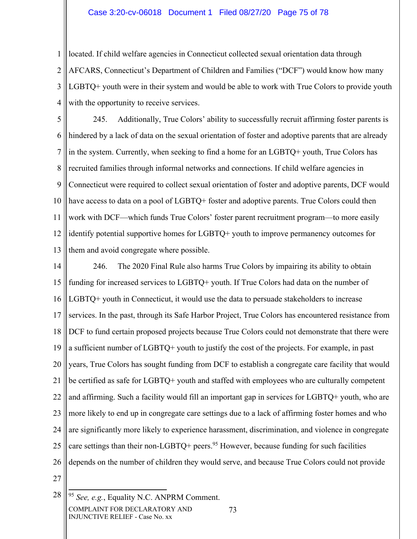## Case 3:20-cv-06018 Document 1 Filed 08/27/20 Page 75 of 78

1 2 3 4 located. If child welfare agencies in Connecticut collected sexual orientation data through AFCARS, Connecticut's Department of Children and Families ("DCF") would know how many LGBTQ+ youth were in their system and would be able to work with True Colors to provide youth with the opportunity to receive services.

5 6 7 8 9 10 11 12 13 245. Additionally, True Colors' ability to successfully recruit affirming foster parents is hindered by a lack of data on the sexual orientation of foster and adoptive parents that are already in the system. Currently, when seeking to find a home for an LGBTQ+ youth, True Colors has recruited families through informal networks and connections. If child welfare agencies in Connecticut were required to collect sexual orientation of foster and adoptive parents, DCF would have access to data on a pool of LGBTQ+ foster and adoptive parents. True Colors could then work with DCF—which funds True Colors' foster parent recruitment program—to more easily identify potential supportive homes for LGBTQ+ youth to improve permanency outcomes for them and avoid congregate where possible.

14 15 16 17 18 19 20 21 22 23 24 25 26 27 246. The 2020 Final Rule also harms True Colors by impairing its ability to obtain funding for increased services to LGBTQ+ youth. If True Colors had data on the number of LGBTQ+ youth in Connecticut, it would use the data to persuade stakeholders to increase services. In the past, through its Safe Harbor Project, True Colors has encountered resistance from DCF to fund certain proposed projects because True Colors could not demonstrate that there were a sufficient number of LGBTQ+ youth to justify the cost of the projects. For example, in past years, True Colors has sought funding from DCF to establish a congregate care facility that would be certified as safe for LGBTQ+ youth and staffed with employees who are culturally competent and affirming. Such a facility would fill an important gap in services for LGBTQ+ youth, who are more likely to end up in congregate care settings due to a lack of affirming foster homes and who are significantly more likely to experience harassment, discrimination, and violence in congregate care settings than their non-LGBTQ+ peers.<sup>95</sup> However, because funding for such facilities depends on the number of children they would serve, and because True Colors could not provide

73

<sup>28</sup> COMPLAINT FOR DECLARATORY AND INJUNCTIVE RELIEF - Case No. xx <sup>95</sup> *See, e.g.*, Equality N.C. ANPRM Comment.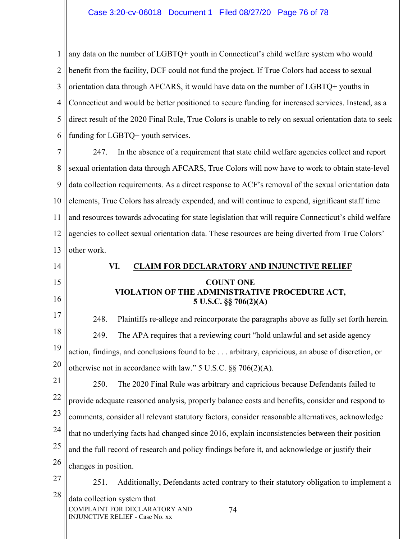1 2 3 4 5 6 any data on the number of LGBTQ+ youth in Connecticut's child welfare system who would benefit from the facility, DCF could not fund the project. If True Colors had access to sexual orientation data through AFCARS, it would have data on the number of LGBTQ+ youths in Connecticut and would be better positioned to secure funding for increased services. Instead, as a direct result of the 2020 Final Rule, True Colors is unable to rely on sexual orientation data to seek funding for LGBTQ+ youth services.

7 8 9 10 11 12 13 247. In the absence of a requirement that state child welfare agencies collect and report sexual orientation data through AFCARS, True Colors will now have to work to obtain state-level data collection requirements. As a direct response to ACF's removal of the sexual orientation data elements, True Colors has already expended, and will continue to expend, significant staff time and resources towards advocating for state legislation that will require Connecticut's child welfare agencies to collect sexual orientation data. These resources are being diverted from True Colors' other work.

14 15 16 17 18 19 20 21 22 23 24 25 26 27 28 COMPLAINT FOR DECLARATORY AND INJUNCTIVE RELIEF - Case No. xx 74 **VI. CLAIM FOR DECLARATORY AND INJUNCTIVE RELIEF COUNT ONE VIOLATION OF THE ADMINISTRATIVE PROCEDURE ACT, 5 U.S.C. §§ 706(2)(A)**  248. Plaintiffs re-allege and reincorporate the paragraphs above as fully set forth herein. 249. The APA requires that a reviewing court "hold unlawful and set aside agency action, findings, and conclusions found to be . . . arbitrary, capricious, an abuse of discretion, or otherwise not in accordance with law."  $5 \text{ U.S.C. }$   $\S$ §  $706(2)(\text{A})$ . 250. The 2020 Final Rule was arbitrary and capricious because Defendants failed to provide adequate reasoned analysis, properly balance costs and benefits, consider and respond to comments, consider all relevant statutory factors, consider reasonable alternatives, acknowledge that no underlying facts had changed since 2016, explain inconsistencies between their position and the full record of research and policy findings before it, and acknowledge or justify their changes in position. 251. Additionally, Defendants acted contrary to their statutory obligation to implement a data collection system that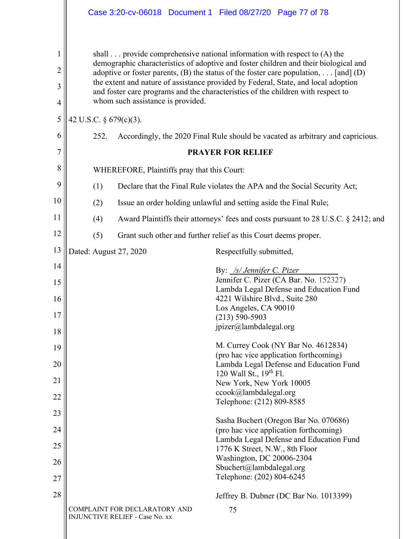|                                                 | Case 3:20-cv-06018 Document 1 Filed 08/27/20 Page 77 of 78                                                                                                                                                                                                                                                                                                                                                                                                                                                |  |  |  |  |  |
|-------------------------------------------------|-----------------------------------------------------------------------------------------------------------------------------------------------------------------------------------------------------------------------------------------------------------------------------------------------------------------------------------------------------------------------------------------------------------------------------------------------------------------------------------------------------------|--|--|--|--|--|
| 1<br>$\overline{c}$<br>3<br>$\overline{4}$<br>5 | shall $\ldots$ provide comprehensive national information with respect to (A) the<br>demographic characteristics of adoptive and foster children and their biological and<br>adoptive or foster parents, (B) the status of the foster care population, [and] (D)<br>the extent and nature of assistance provided by Federal, State, and local adoption<br>and foster care programs and the characteristics of the children with respect to<br>whom such assistance is provided.<br>42 U.S.C. § 679(c)(3). |  |  |  |  |  |
| 6                                               | 252.<br>Accordingly, the 2020 Final Rule should be vacated as arbitrary and capricious.                                                                                                                                                                                                                                                                                                                                                                                                                   |  |  |  |  |  |
| $\overline{7}$                                  | <b>PRAYER FOR RELIEF</b>                                                                                                                                                                                                                                                                                                                                                                                                                                                                                  |  |  |  |  |  |
| 8                                               | WHEREFORE, Plaintiffs pray that this Court:                                                                                                                                                                                                                                                                                                                                                                                                                                                               |  |  |  |  |  |
| 9                                               | Declare that the Final Rule violates the APA and the Social Security Act;<br>(1)                                                                                                                                                                                                                                                                                                                                                                                                                          |  |  |  |  |  |
| 10                                              | (2)<br>Issue an order holding unlawful and setting aside the Final Rule;                                                                                                                                                                                                                                                                                                                                                                                                                                  |  |  |  |  |  |
| 11                                              | Award Plaintiffs their attorneys' fees and costs pursuant to 28 U.S.C. § 2412; and<br>(4)                                                                                                                                                                                                                                                                                                                                                                                                                 |  |  |  |  |  |
| 12                                              | (5)<br>Grant such other and further relief as this Court deems proper.                                                                                                                                                                                                                                                                                                                                                                                                                                    |  |  |  |  |  |
| 13                                              | Dated: August 27, 2020<br>Respectfully submitted,                                                                                                                                                                                                                                                                                                                                                                                                                                                         |  |  |  |  |  |
| 14                                              | By: /s/ Jennifer C. Pizer                                                                                                                                                                                                                                                                                                                                                                                                                                                                                 |  |  |  |  |  |
| 15                                              | Jennifer C. Pizer (CA Bar. No. 152327)<br>Lambda Legal Defense and Education Fund                                                                                                                                                                                                                                                                                                                                                                                                                         |  |  |  |  |  |
| 16<br>17                                        | 4221 Wilshire Blvd., Suite 280<br>Los Angeles, CA 90010<br>$(213) 590 - 5903$                                                                                                                                                                                                                                                                                                                                                                                                                             |  |  |  |  |  |
| 18                                              | jpizer@lambdalegal.org                                                                                                                                                                                                                                                                                                                                                                                                                                                                                    |  |  |  |  |  |
| 19                                              | M. Currey Cook (NY Bar No. 4612834)                                                                                                                                                                                                                                                                                                                                                                                                                                                                       |  |  |  |  |  |
| 20                                              | (pro hac vice application forthcoming)<br>Lambda Legal Defense and Education Fund                                                                                                                                                                                                                                                                                                                                                                                                                         |  |  |  |  |  |
| 21                                              | 120 Wall St., 19th Fl.<br>New York, New York 10005                                                                                                                                                                                                                                                                                                                                                                                                                                                        |  |  |  |  |  |
| 22                                              | ccook@lambdalegal.org<br>Telephone: (212) 809-8585                                                                                                                                                                                                                                                                                                                                                                                                                                                        |  |  |  |  |  |
| 23                                              |                                                                                                                                                                                                                                                                                                                                                                                                                                                                                                           |  |  |  |  |  |
| 24                                              | Sasha Buchert (Oregon Bar No. 070686)<br>(pro hac vice application forthcoming)                                                                                                                                                                                                                                                                                                                                                                                                                           |  |  |  |  |  |
| 25                                              | Lambda Legal Defense and Education Fund<br>1776 K Street, N.W., 8th Floor                                                                                                                                                                                                                                                                                                                                                                                                                                 |  |  |  |  |  |
| 26                                              | Washington, DC 20006-2304<br>Sbuchert@lambdalegal.org                                                                                                                                                                                                                                                                                                                                                                                                                                                     |  |  |  |  |  |
| 27                                              | Telephone: (202) 804-6245                                                                                                                                                                                                                                                                                                                                                                                                                                                                                 |  |  |  |  |  |
| 28                                              | Jeffrey B. Dubner (DC Bar No. 1013399)                                                                                                                                                                                                                                                                                                                                                                                                                                                                    |  |  |  |  |  |
|                                                 | COMPLAINT FOR DECLARATORY AND<br>75<br><b>INJUNCTIVE RELIEF - Case No. xx</b>                                                                                                                                                                                                                                                                                                                                                                                                                             |  |  |  |  |  |